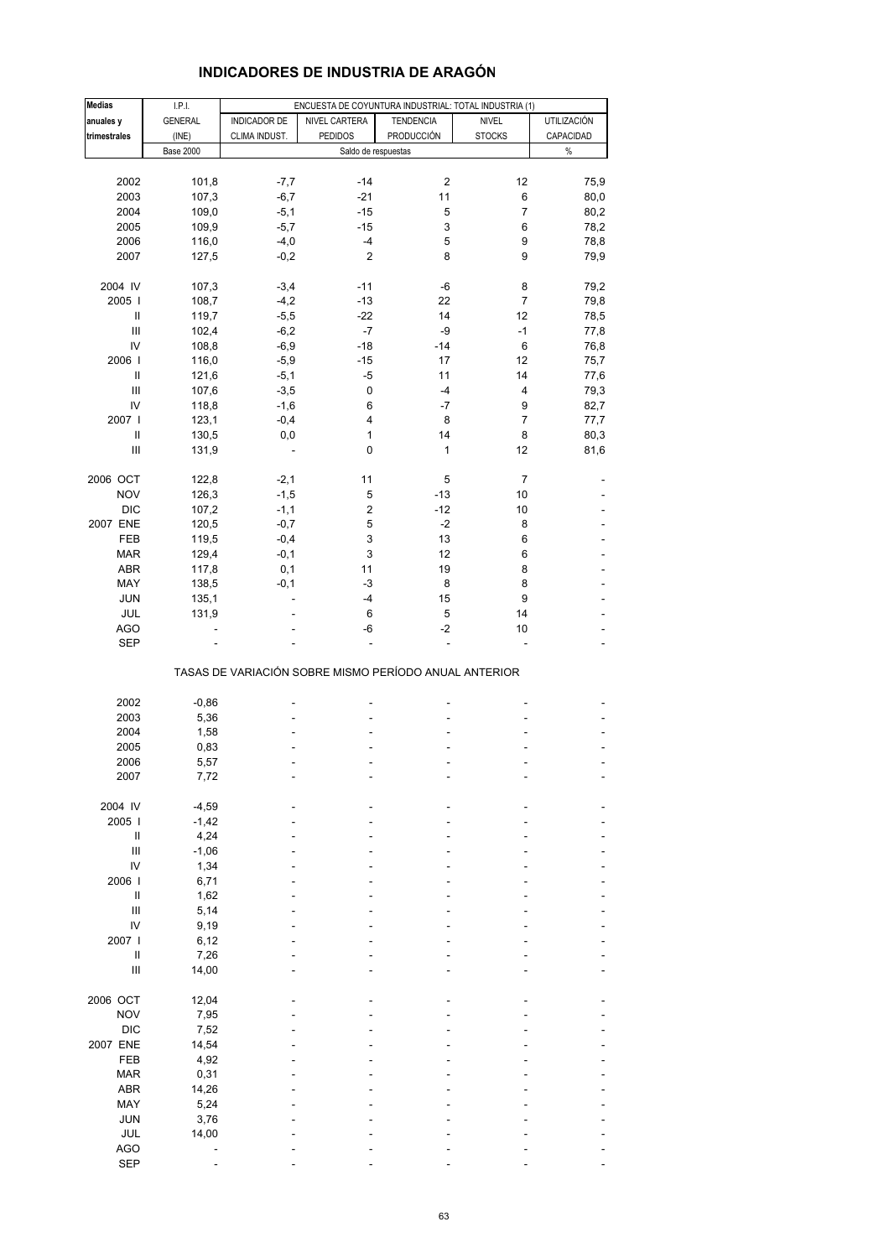| Medias                             | I.P.I.             |               | ENCUESTA DE COYUNTURA INDUSTRIAL: TOTAL INDUSTRIA (1) |                  |                |                    |
|------------------------------------|--------------------|---------------|-------------------------------------------------------|------------------|----------------|--------------------|
| anuales y                          | <b>GENERAL</b>     | INDICADOR DE  | NIVEL CARTERA                                         | <b>TENDENCIA</b> | NIVEL          | <b>UTILIZACIÓN</b> |
| trimestrales                       | (INE)              | CLIMA INDUST. | <b>PEDIDOS</b>                                        | PRODUCCIÓN       | <b>STOCKS</b>  | CAPACIDAD          |
|                                    | <b>Base 2000</b>   |               | Saldo de respuestas                                   |                  |                | $\%$               |
|                                    |                    |               |                                                       |                  |                |                    |
| 2002                               | 101,8              | $-7,7$        | $-14$                                                 | 2                | 12             | 75,9               |
| 2003                               | 107,3              | $-6,7$        | $-21$                                                 | 11               | $\,6$          | 80,0               |
| 2004                               | 109,0              | $-5,1$        | $-15$                                                 | 5                | 7              | 80,2               |
|                                    |                    |               |                                                       |                  |                |                    |
| 2005                               | 109,9              | $-5,7$        | $-15$                                                 | 3                | 6              | 78,2               |
| 2006                               | 116,0              | $-4,0$        | $-4$                                                  | 5                | 9              | 78,8               |
| 2007                               | 127,5              | $-0,2$        | $\overline{2}$                                        | 8                | 9              | 79,9               |
| 2004 IV                            |                    | $-3,4$        | $-11$                                                 | -6               | 8              | 79,2               |
|                                    | 107,3              |               |                                                       |                  |                |                    |
| 2005 l                             | 108,7              | $-4,2$        | $-13$                                                 | 22               | $\overline{7}$ | 79,8               |
| $\sf II$                           | 119,7              | $-5,5$        | $-22$                                                 | 14               | 12             | 78,5               |
| $\mathbf{III}$                     | 102,4              | $-6,2$        | $-7$                                                  | -9               | $-1$           | 77,8               |
| IV                                 | 108,8              | $-6,9$        | $-18$                                                 | $-14$            | 6              | 76,8               |
| 2006                               | 116,0              | $-5,9$        | $-15$                                                 | 17               | 12             | 75,7               |
| $\mathbf{I}$                       | 121,6              | $-5,1$        | -5                                                    | 11               | 14             | 77,6               |
| $\ensuremath{\mathsf{III}}\xspace$ | 107,6              | $-3,5$        | $\pmb{0}$                                             | $-4$             | 4              | 79,3               |
| IV                                 | 118,8              | $-1,6$        | 6                                                     | $-7$             | 9              | 82,7               |
| 2007 l                             | 123,1              | $-0,4$        | 4                                                     | 8                | 7              | 77,7               |
| Ш                                  |                    |               | 1                                                     | 14               | 8              |                    |
|                                    | 130,5              | 0,0           |                                                       |                  |                | 80,3               |
| $\ensuremath{\mathsf{III}}\xspace$ | 131,9              |               | 0                                                     | 1                | 12             | 81,6               |
| 2006 OCT                           | 122,8              | $-2,1$        | 11                                                    | 5                | 7              |                    |
| <b>NOV</b>                         | 126,3              | $-1,5$        | 5                                                     | $-13$            | 10             |                    |
| <b>DIC</b>                         | 107,2              | $-1,1$        | $\overline{\mathbf{c}}$                               | $-12$            | 10             |                    |
| 2007 ENE                           | 120,5              | $-0,7$        | 5                                                     | $-2$             | 8              |                    |
|                                    |                    |               |                                                       |                  |                |                    |
| FEB                                | 119,5              | $-0,4$        | 3                                                     | 13               | 6              |                    |
| <b>MAR</b>                         | 129,4              | $-0,1$        | 3                                                     | 12               | 6              |                    |
| <b>ABR</b>                         | 117,8              | 0,1           | 11                                                    | 19               | 8              |                    |
| MAY                                | 138,5              | $-0,1$        | -3                                                    | 8                | 8              |                    |
| <b>JUN</b>                         | 135,1              |               | -4                                                    | 15               | 9              |                    |
| JUL                                | 131,9              |               | 6                                                     | 5                | 14             |                    |
| <b>AGO</b>                         | $\overline{a}$     |               | -6                                                    | $-2$             | 10             |                    |
| <b>SEP</b>                         |                    |               |                                                       |                  |                |                    |
|                                    |                    |               | TASAS DE VARIACIÓN SOBRE MISMO PERÍODO ANUAL ANTERIOR |                  |                |                    |
|                                    |                    |               |                                                       |                  |                |                    |
| 2002                               | $-0,86$            |               |                                                       |                  |                |                    |
| 2003                               | 5,36               |               | ä,                                                    |                  |                |                    |
| 2004                               | 1,58               |               |                                                       |                  |                |                    |
| 2005                               | 0,83               |               |                                                       |                  |                |                    |
| 2006                               | 5,57               |               |                                                       |                  |                |                    |
| 2007                               | 7,72               |               |                                                       |                  |                |                    |
|                                    |                    |               |                                                       |                  |                |                    |
| 2004 IV<br>2005 l                  | $-4,59$<br>$-1,42$ |               |                                                       |                  |                |                    |
|                                    |                    |               |                                                       |                  |                |                    |
| Ш                                  | 4,24               |               |                                                       |                  |                |                    |
| $\mathbf{III}$                     | $-1,06$            |               |                                                       |                  |                |                    |
| IV                                 | 1,34               |               |                                                       |                  |                |                    |
| 2006                               | 6,71               |               |                                                       |                  |                |                    |
| Ш                                  | 1,62               |               |                                                       |                  |                |                    |
| $\mathbf{III}$                     | 5,14               |               |                                                       |                  |                |                    |
| IV                                 | 9,19               |               |                                                       |                  |                |                    |
| 2007 l                             | 6, 12              |               |                                                       |                  |                |                    |
| $\sf II$                           | 7,26               |               |                                                       |                  |                |                    |
| $\mathbf{III}$                     | 14,00              |               |                                                       |                  |                |                    |
|                                    |                    |               |                                                       |                  |                |                    |
| 2006 OCT                           | 12,04              |               |                                                       |                  |                |                    |
| <b>NOV</b>                         | 7,95               |               |                                                       |                  |                |                    |
| <b>DIC</b>                         | 7,52               |               |                                                       |                  |                |                    |
| 2007 ENE                           | 14,54              |               |                                                       |                  |                |                    |
| FEB                                | 4,92               |               |                                                       |                  |                |                    |
| <b>MAR</b>                         | 0,31               |               |                                                       |                  |                |                    |
|                                    |                    |               |                                                       |                  |                |                    |
| <b>ABR</b>                         | 14,26              |               |                                                       |                  |                |                    |
| MAY                                | 5,24               |               |                                                       |                  |                |                    |
| <b>JUN</b>                         | 3,76               |               |                                                       |                  |                |                    |
| JUL                                | 14,00              |               |                                                       |                  |                |                    |
| <b>AGO</b>                         |                    |               |                                                       |                  |                |                    |
| <b>SEP</b>                         |                    |               |                                                       |                  |                |                    |

### **INDICADORES DE INDUSTRIA DE ARAGÓN**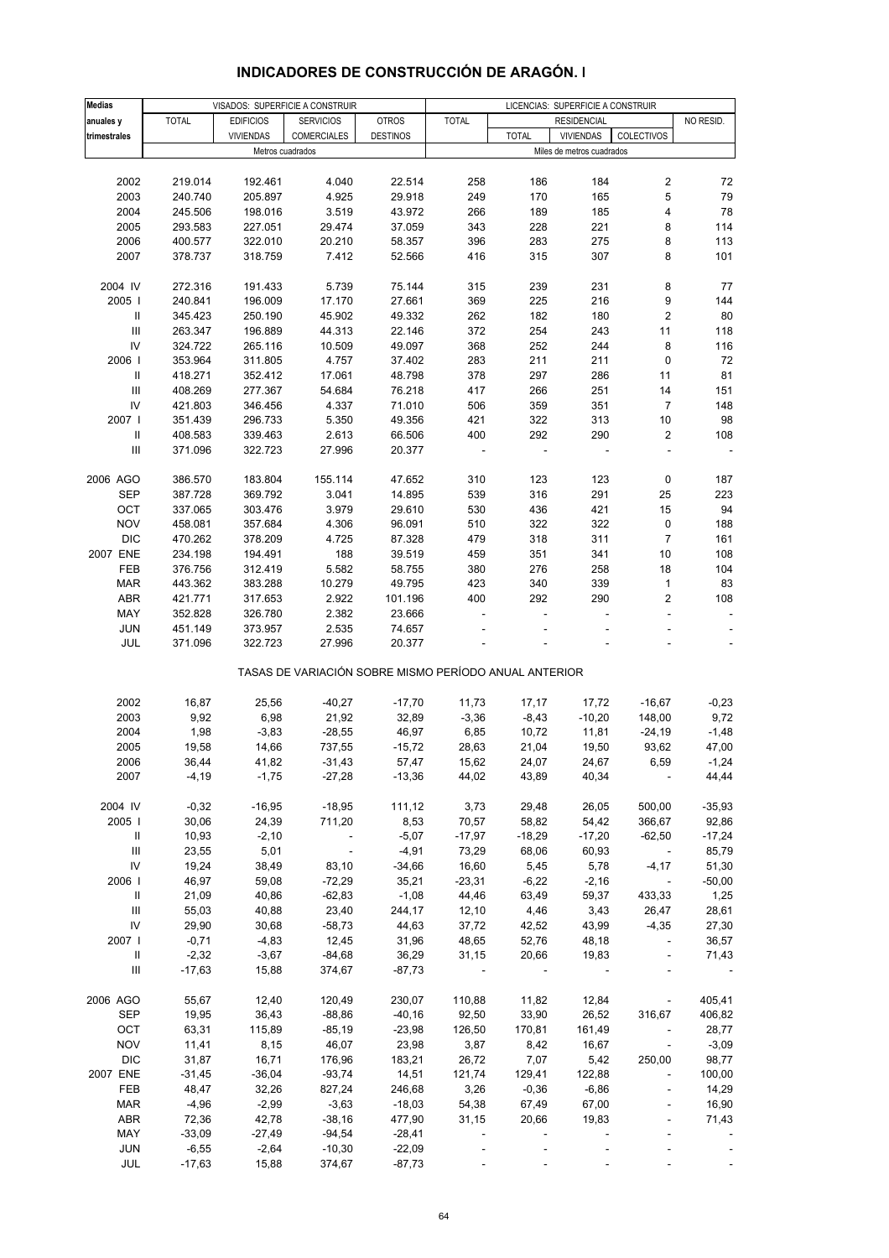| <b>Medias</b>                      |              |                  | VISADOS: SUPERFICIE A CONSTRUIR                       |                 |                         |              | LICENCIAS: SUPERFICIE A CONSTRUIR |                             |                          |
|------------------------------------|--------------|------------------|-------------------------------------------------------|-----------------|-------------------------|--------------|-----------------------------------|-----------------------------|--------------------------|
| anuales y                          | <b>TOTAL</b> | <b>EDIFICIOS</b> | <b>SERVICIOS</b>                                      | <b>OTROS</b>    | <b>TOTAL</b>            |              | <b>RESIDENCIAL</b>                |                             | NO RESID.                |
| trimestrales                       |              | <b>VIVIENDAS</b> | <b>COMERCIALES</b>                                    | <b>DESTINOS</b> |                         | <b>TOTAL</b> | <b>VIVIENDAS</b>                  | COLECTIVOS                  |                          |
|                                    |              |                  | Metros cuadrados                                      |                 |                         |              | Miles de metros cuadrados         |                             |                          |
|                                    |              |                  |                                                       |                 |                         |              |                                   |                             |                          |
| 2002                               | 219.014      | 192.461          | 4.040                                                 | 22.514          | 258                     | 186          | 184                               | 2                           | 72                       |
| 2003                               | 240.740      | 205.897          | 4.925                                                 | 29.918          | 249                     | 170          | 165                               | 5                           | 79                       |
| 2004                               |              |                  |                                                       |                 |                         |              | 185                               | 4                           | 78                       |
|                                    | 245.506      | 198.016          | 3.519                                                 | 43.972          | 266                     | 189          |                                   |                             |                          |
| 2005                               | 293.583      | 227.051          | 29.474                                                | 37.059          | 343                     | 228          | 221                               | 8                           | 114                      |
| 2006                               | 400.577      | 322.010          | 20.210                                                | 58.357          | 396                     | 283          | 275                               | 8                           | 113                      |
| 2007                               | 378.737      | 318.759          | 7.412                                                 | 52.566          | 416                     | 315          | 307                               | 8                           | 101                      |
|                                    |              |                  |                                                       |                 |                         |              |                                   |                             |                          |
| 2004 IV                            | 272.316      | 191.433          | 5.739                                                 | 75.144          | 315                     | 239          | 231                               | 8                           | 77                       |
| 2005                               | 240.841      | 196.009          | 17.170                                                | 27.661          | 369                     | 225          | 216                               | 9                           | 144                      |
| $\, \parallel$                     | 345.423      | 250.190          | 45.902                                                | 49.332          | 262                     | 182          | 180                               | 2                           | 80                       |
|                                    |              |                  |                                                       |                 |                         |              |                                   |                             |                          |
| $\mathsf{III}\,$                   | 263.347      | 196.889          | 44.313                                                | 22.146          | 372                     | 254          | 243                               | 11                          | 118                      |
| IV                                 | 324.722      | 265.116          | 10.509                                                | 49.097          | 368                     | 252          | 244                               | 8                           | 116                      |
| 2006                               | 353.964      | 311.805          | 4.757                                                 | 37.402          | 283                     | 211          | 211                               | 0                           | 72                       |
| Ш                                  | 418.271      | 352.412          | 17.061                                                | 48.798          | 378                     | 297          | 286                               | 11                          | 81                       |
| Ш                                  | 408.269      | 277.367          | 54.684                                                | 76.218          | 417                     | 266          | 251                               | 14                          | 151                      |
| IV                                 | 421.803      | 346.456          | 4.337                                                 | 71.010          | 506                     | 359          | 351                               | $\overline{7}$              | 148                      |
| 2007 l                             | 351.439      | 296.733          | 5.350                                                 | 49.356          | 421                     | 322          | 313                               | 10                          | 98                       |
|                                    |              |                  |                                                       |                 |                         |              |                                   |                             |                          |
| Ш                                  | 408.583      | 339.463          | 2.613                                                 | 66.506          | 400                     | 292          | 290                               | 2                           | 108                      |
| $\ensuremath{\mathsf{III}}\xspace$ | 371.096      | 322.723          | 27.996                                                | 20.377          |                         |              |                                   | ÷,                          | $\overline{\phantom{a}}$ |
|                                    |              |                  |                                                       |                 |                         |              |                                   |                             |                          |
| 2006 AGO                           | 386.570      | 183.804          | 155.114                                               | 47.652          | 310                     | 123          | 123                               | $\pmb{0}$                   | 187                      |
| <b>SEP</b>                         | 387.728      | 369.792          | 3.041                                                 | 14.895          | 539                     | 316          | 291                               | 25                          | 223                      |
| OCT                                | 337.065      | 303.476          | 3.979                                                 | 29.610          | 530                     | 436          | 421                               | 15                          | 94                       |
| <b>NOV</b>                         | 458.081      | 357.684          | 4.306                                                 | 96.091          | 510                     | 322          | 322                               | $\pmb{0}$                   | 188                      |
| <b>DIC</b>                         | 470.262      | 378.209          | 4.725                                                 | 87.328          | 479                     | 318          | 311                               | $\overline{7}$              | 161                      |
|                                    |              |                  |                                                       |                 |                         |              |                                   |                             |                          |
| 2007 ENE                           | 234.198      | 194.491          | 188                                                   | 39.519          | 459                     | 351          | 341                               | 10                          | 108                      |
| FEB                                | 376.756      | 312.419          | 5.582                                                 | 58.755          | 380                     | 276          | 258                               | 18                          | 104                      |
| <b>MAR</b>                         | 443.362      | 383.288          | 10.279                                                | 49.795          | 423                     | 340          | 339                               | $\mathbf{1}$                | 83                       |
| ABR                                | 421.771      | 317.653          | 2.922                                                 | 101.196         | 400                     | 292          | 290                               | 2                           | 108                      |
| MAY                                | 352.828      | 326.780          | 2.382                                                 | 23.666          |                         |              |                                   | L,                          | $\blacksquare$           |
| <b>JUN</b>                         | 451.149      | 373.957          | 2.535                                                 | 74.657          |                         |              |                                   |                             |                          |
| JUL                                | 371.096      | 322.723          | 27.996                                                | 20.377          |                         |              |                                   |                             |                          |
|                                    |              |                  |                                                       |                 |                         |              |                                   |                             |                          |
|                                    |              |                  | TASAS DE VARIACIÓN SOBRE MISMO PERÍODO ANUAL ANTERIOR |                 |                         |              |                                   |                             |                          |
|                                    |              |                  |                                                       |                 |                         |              |                                   |                             |                          |
| 2002                               | 16,87        | 25,56            | $-40,27$                                              | $-17,70$        | 11,73                   | 17,17        | 17,72                             | $-16,67$                    | $-0,23$                  |
| 2003                               | 9,92         | 6,98             | 21,92                                                 | 32,89           | $-3,36$                 | $-8,43$      | $-10,20$                          | 148,00                      | 9,72                     |
| 2004                               | 1,98         | $-3,83$          | $-28,55$                                              | 46,97           | 6,85                    | 10,72        | 11,81                             | $-24,19$                    | $-1,48$                  |
| 2005                               | 19,58        | 14,66            | 737,55                                                | $-15,72$        | 28,63                   | 21,04        | 19,50                             | 93,62                       | 47,00                    |
| 2006                               | 36,44        | 41,82            | $-31,43$                                              | 57,47           | 15,62                   | 24,07        | 24,67                             | 6,59                        | $-1,24$                  |
| 2007                               | $-4,19$      | $-1,75$          | $-27,28$                                              | $-13,36$        | 44,02                   | 43,89        | 40,34                             | $\overline{\phantom{a}}$    | 44,44                    |
|                                    |              |                  |                                                       |                 |                         |              |                                   |                             |                          |
| 2004 IV                            | $-0,32$      | $-16,95$         | $-18,95$                                              | 111,12          | 3,73                    | 29,48        | 26,05                             | 500,00                      | $-35,93$                 |
| 2005                               | 30,06        | 24,39            | 711,20                                                | 8,53            | 70,57                   | 58,82        | 54,42                             | 366,67                      | 92,86                    |
| Ш                                  | 10,93        | $-2,10$          | $\sim 100$ m $^{-1}$                                  | $-5,07$         | $-17,97$                | $-18,29$     | $-17,20$                          | $-62,50$                    | $-17,24$                 |
|                                    |              | 5,01             |                                                       | $-4,91$         | 73,29                   |              |                                   | $\sim$                      |                          |
| Ш                                  | 23,55        |                  | $\sim 100$                                            |                 |                         | 68,06        | 60,93                             |                             | 85,79                    |
| IV                                 | 19,24        | 38,49            | 83,10                                                 | $-34,66$        | 16,60                   | 5,45         | 5,78                              | $-4,17$                     | 51,30                    |
| 2006                               | 46,97        | 59,08            | $-72,29$                                              | 35,21           | $-23,31$                | $-6,22$      | $-2,16$                           | $\sim$                      | $-50,00$                 |
| Ш                                  | 21,09        | 40,86            | $-62,83$                                              | $-1,08$         | 44,46                   | 63,49        | 59,37                             | 433,33                      | 1,25                     |
| Ш                                  | 55,03        | 40,88            | 23,40                                                 | 244,17          | 12,10                   | 4,46         | 3,43                              | 26,47                       | 28,61                    |
| IV                                 | 29,90        | 30,68            | $-58,73$                                              | 44,63           | 37,72                   | 42,52        | 43,99                             | $-4,35$                     | 27,30                    |
| 2007 l                             | $-0,71$      | $-4,83$          | 12,45                                                 | 31,96           | 48,65                   | 52,76        | 48,18                             | $\mathcal{L}_{\mathcal{A}}$ | 36,57                    |
|                                    |              |                  |                                                       |                 |                         |              |                                   |                             |                          |
| $\mathbf{II}$                      | $-2,32$      | $-3,67$          | $-84,68$                                              | 36,29           | 31,15                   | 20,66        | 19,83                             | $\blacksquare$              | 71,43                    |
| Ш                                  | $-17,63$     | 15,88            | 374,67                                                | $-87,73$        | $\sim 100$ km s $^{-1}$ |              |                                   |                             |                          |
| 2006 AGO                           | 55,67        | 12,40            | 120,49                                                | 230,07          | 110,88                  | 11,82        | 12,84                             | $\sim$                      | 405,41                   |
| <b>SEP</b>                         | 19,95        | 36,43            | $-88,86$                                              | $-40,16$        | 92,50                   | 33,90        | 26,52                             | 316,67                      | 406,82                   |
|                                    |              |                  |                                                       |                 |                         |              |                                   |                             |                          |
| OCT                                | 63,31        | 115,89           | $-85,19$                                              | $-23,98$        | 126,50                  | 170,81       | 161,49                            | $\sim$                      | 28,77                    |
| <b>NOV</b>                         | 11,41        | 8,15             | 46,07                                                 | 23,98           | 3,87                    | 8,42         | 16,67                             | $\mathcal{L}_{\mathcal{A}}$ | $-3,09$                  |
| <b>DIC</b>                         | 31,87        | 16,71            | 176,96                                                | 183,21          | 26,72                   | 7,07         | 5,42                              | 250,00                      | 98,77                    |
| 2007 ENE                           | $-31,45$     | $-36,04$         | $-93,74$                                              | 14,51           | 121,74                  | 129,41       | 122,88                            | $\overline{\phantom{a}}$    | 100,00                   |
| FEB                                | 48,47        | 32,26            | 827,24                                                | 246,68          | 3,26                    | $-0,36$      | $-6,86$                           | $\overline{\phantom{a}}$    | 14,29                    |
| <b>MAR</b>                         | $-4,96$      | $-2,99$          | $-3,63$                                               | $-18,03$        | 54,38                   | 67,49        | 67,00                             | $\overline{\phantom{a}}$    | 16,90                    |
| <b>ABR</b>                         | 72,36        | 42,78            | $-38,16$                                              | 477,90          | 31,15                   | 20,66        | 19,83                             |                             | 71,43                    |
|                                    |              |                  |                                                       |                 |                         |              |                                   |                             |                          |
| MAY                                | $-33,09$     | $-27,49$         | $-94,54$                                              | $-28,41$        |                         |              |                                   |                             |                          |
| <b>JUN</b>                         | $-6,55$      | $-2,64$          | $-10,30$                                              | $-22,09$        |                         |              |                                   |                             |                          |
| JUL                                | $-17,63$     | 15,88            | 374,67                                                | $-87,73$        |                         |              |                                   |                             |                          |

## **INDICADORES DE CONSTRUCCIÓN DE ARAGÓN. I**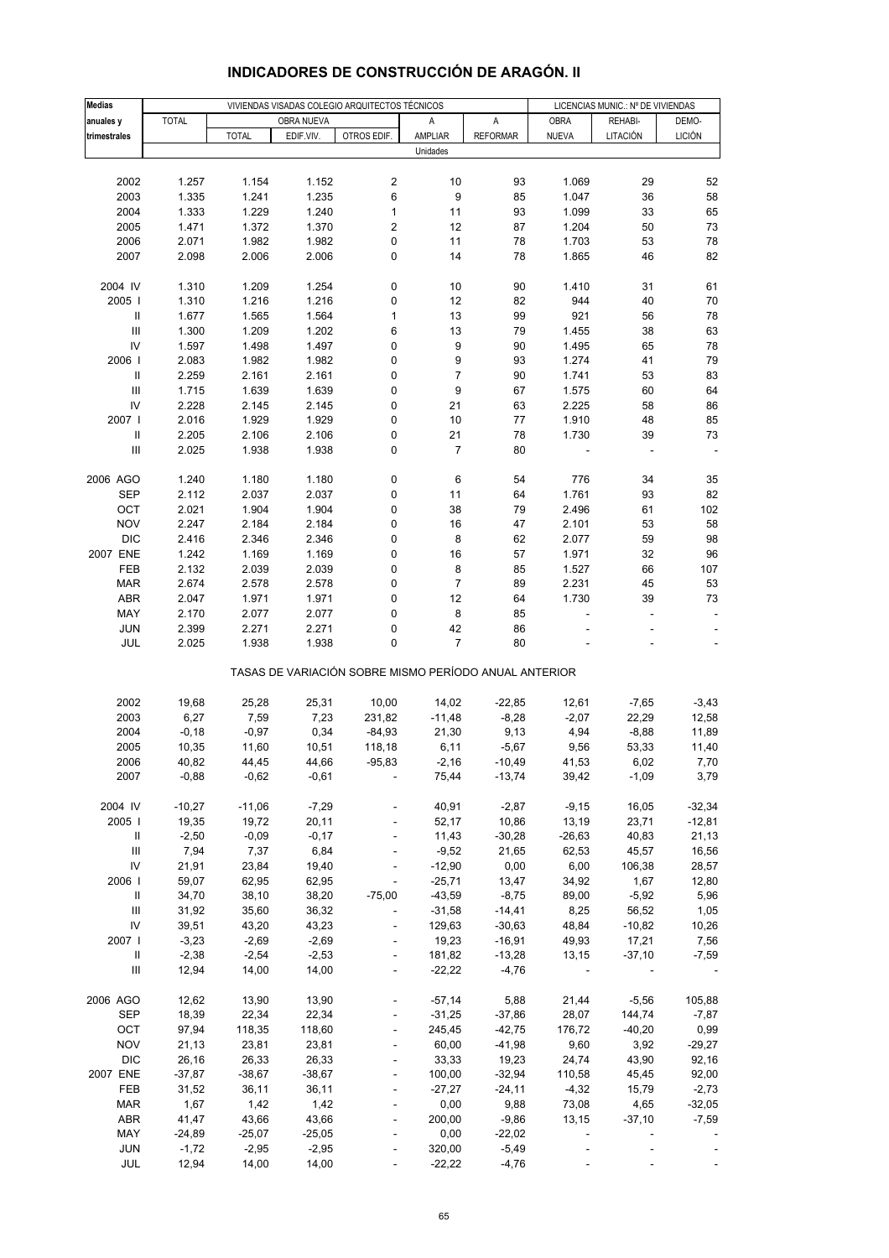| <b>Medias</b>                      |              |              |            | VIVIENDAS VISADAS COLEGIO ARQUITECTOS TÉCNICOS |                                                       |                     | LICENCIAS MUNIC.: Nº DE VIVIENDAS |          |               |  |
|------------------------------------|--------------|--------------|------------|------------------------------------------------|-------------------------------------------------------|---------------------|-----------------------------------|----------|---------------|--|
| anuales y                          | <b>TOTAL</b> |              | OBRA NUEVA |                                                | Α                                                     | A                   | OBRA                              | REHABI-  | DEMO-         |  |
| trimestrales                       |              | <b>TOTAL</b> | EDIF.VIV.  | OTROS EDIF.                                    | AMPLIAR                                               | <b>REFORMAR</b>     | <b>NUEVA</b>                      | LITACIÓN | <b>LICIÓN</b> |  |
|                                    |              |              |            |                                                | Unidades                                              |                     |                                   |          |               |  |
|                                    |              |              |            |                                                |                                                       |                     |                                   |          |               |  |
| 2002                               | 1.257        | 1.154        | 1.152      | $\overline{\mathbf{c}}$                        | 10                                                    | 93                  | 1.069                             | 29       | 52            |  |
|                                    |              |              |            |                                                |                                                       |                     |                                   |          |               |  |
| 2003                               | 1.335        | 1.241        | 1.235      | 6                                              | $\boldsymbol{9}$                                      | 85                  | 1.047                             | 36       | 58            |  |
| 2004                               | 1.333        | 1.229        | 1.240      | $\mathbf{1}$                                   | 11                                                    | 93                  | 1.099                             | 33       | 65            |  |
| 2005                               | 1.471        | 1.372        | 1.370      | 2                                              | 12                                                    | 87                  | 1.204                             | 50       | 73            |  |
| 2006                               | 2.071        | 1.982        | 1.982      | 0                                              | 11                                                    | 78                  | 1.703                             | 53       | 78            |  |
| 2007                               | 2.098        | 2.006        | 2.006      | 0                                              | 14                                                    | 78                  | 1.865                             | 46       | 82            |  |
|                                    |              |              |            |                                                |                                                       |                     |                                   |          |               |  |
| 2004 IV                            | 1.310        | 1.209        | 1.254      | 0                                              | 10                                                    | 90                  | 1.410                             | 31       | 61            |  |
| 2005                               | 1.310        | 1.216        | 1.216      | 0                                              | 12                                                    | 82                  | 944                               | 40       | 70            |  |
|                                    | 1.677        | 1.565        | 1.564      | $\mathbf{1}$                                   | 13                                                    | 99                  | 921                               | 56       | 78            |  |
| $\ensuremath{\mathsf{III}}\xspace$ | 1.300        | 1.209        | 1.202      | 6                                              | 13                                                    | 79                  | 1.455                             | 38       | 63            |  |
| IV                                 | 1.597        | 1.498        | 1.497      | 0                                              | 9                                                     | 90                  | 1.495                             | 65       | 78            |  |
| 2006                               | 2.083        | 1.982        | 1.982      | 0                                              | 9                                                     | 93                  | 1.274                             | 41       | 79            |  |
|                                    | 2.259        | 2.161        | 2.161      | 0                                              | $\overline{7}$                                        | 90                  | 1.741                             | 53       | 83            |  |
| $\ensuremath{\mathsf{III}}\xspace$ | 1.715        | 1.639        | 1.639      | 0                                              | 9                                                     | 67                  | 1.575                             | 60       | 64            |  |
| IV                                 | 2.228        | 2.145        | 2.145      | 0                                              | 21                                                    | 63                  | 2.225                             | 58       | 86            |  |
| 2007 l                             | 2.016        | 1.929        | 1.929      | 0                                              | 10                                                    | 77                  | 1.910                             | 48       | 85            |  |
|                                    |              |              |            |                                                |                                                       |                     |                                   |          |               |  |
| Ш                                  | 2.205        | 2.106        | 2.106      | 0                                              | 21                                                    | 78                  | 1.730                             | 39       | 73            |  |
| $\ensuremath{\mathsf{III}}\xspace$ | 2.025        | 1.938        | 1.938      | 0                                              | 7                                                     | 80                  |                                   |          |               |  |
|                                    |              |              |            |                                                |                                                       |                     |                                   |          |               |  |
| 2006 AGO                           | 1.240        | 1.180        | 1.180      | 0                                              | 6                                                     | 54                  | 776                               | 34       | 35            |  |
| <b>SEP</b>                         | 2.112        | 2.037        | 2.037      | 0                                              | 11                                                    | 64                  | 1.761                             | 93       | 82            |  |
| OCT                                | 2.021        | 1.904        | 1.904      | 0                                              | 38                                                    | 79                  | 2.496                             | 61       | 102           |  |
| <b>NOV</b>                         | 2.247        | 2.184        | 2.184      | 0                                              | 16                                                    | 47                  | 2.101                             | 53       | 58            |  |
| <b>DIC</b>                         | 2.416        | 2.346        | 2.346      | 0                                              | 8                                                     | 62                  | 2.077                             | 59       | 98            |  |
| 2007 ENE                           | 1.242        | 1.169        | 1.169      | 0                                              | 16                                                    | 57                  | 1.971                             | 32       | 96            |  |
| FEB                                | 2.132        | 2.039        | 2.039      | 0                                              | 8                                                     | 85                  | 1.527                             | 66       | 107           |  |
| MAR                                | 2.674        | 2.578        | 2.578      | 0                                              | $\overline{7}$                                        | 89                  | 2.231                             | 45       | 53            |  |
| <b>ABR</b>                         | 2.047        | 1.971        | 1.971      | 0                                              | 12                                                    | 64                  | 1.730                             | 39       | 73            |  |
| MAY                                | 2.170        | 2.077        | 2.077      | 0                                              | 8                                                     | 85                  |                                   |          |               |  |
| <b>JUN</b>                         | 2.399        | 2.271        | 2.271      | 0                                              | 42                                                    | 86                  |                                   |          |               |  |
| JUL                                | 2.025        | 1.938        | 1.938      | 0                                              | $\overline{7}$                                        | 80                  |                                   |          |               |  |
|                                    |              |              |            |                                                |                                                       |                     |                                   |          |               |  |
|                                    |              |              |            |                                                | TASAS DE VARIACIÓN SOBRE MISMO PERÍODO ANUAL ANTERIOR |                     |                                   |          |               |  |
|                                    |              |              |            |                                                |                                                       |                     |                                   |          |               |  |
| 2002                               | 19,68        | 25,28        | 25,31      | 10,00                                          | 14,02                                                 | $-22,85$            | 12,61                             | $-7,65$  | $-3,43$       |  |
| 2003                               | 6,27         | 7,59         | 7,23       | 231,82                                         | $-11,48$                                              | $-8,28$             | $-2,07$                           | 22,29    | 12,58         |  |
| 2004                               | $-0,18$      | $-0,97$      | 0,34       | $-84,93$                                       | 21,30                                                 | 9,13                | 4,94                              | $-8,88$  | 11,89         |  |
| 2005                               | 10,35        | 11,60        | 10,51      | 118,18                                         | 6,11                                                  | $-5,67$             | 9,56                              | 53,33    | 11,40         |  |
| 2006                               | 40,82        | 44,45        | 44,66      | $-95,83$                                       | $-2,16$                                               | $-10,49$            | 41,53                             | 6,02     | 7,70          |  |
| 2007                               | $-0,88$      | $-0,62$      | $-0,61$    |                                                | 75,44                                                 | $-13,74$            | 39,42                             | $-1,09$  | 3,79          |  |
|                                    |              |              |            |                                                |                                                       |                     |                                   |          |               |  |
| 2004 IV                            | $-10,27$     | $-11,06$     | $-7,29$    |                                                | 40,91                                                 | $-2,87$             | $-9,15$                           | 16,05    | $-32,34$      |  |
| 2005                               | 19,35        | 19,72        | 20,11      |                                                | 52,17                                                 | 10,86               | 13,19                             | 23,71    | $-12,81$      |  |
| Ш                                  | $-2,50$      | $-0,09$      | $-0,17$    |                                                | 11,43                                                 | $-30,28$            | $-26,63$                          | 40,83    | 21,13         |  |
| $\ensuremath{\mathsf{III}}\xspace$ | 7,94         | 7,37         | 6,84       | $\overline{\phantom{a}}$                       | $-9,52$                                               | 21,65               | 62,53                             | 45,57    | 16,56         |  |
| IV                                 | 21,91        | 23,84        | 19,40      |                                                | $-12,90$                                              | 0,00                | 6,00                              | 106,38   | 28,57         |  |
| 2006                               | 59,07        | 62,95        | 62,95      | $\Box$                                         | $-25,71$                                              | 13,47               | 34,92                             | 1,67     | 12,80         |  |
| Ш                                  | 34,70        | 38,10        | 38,20      | $-75,00$                                       | $-43,59$                                              | $-8,75$             | 89,00                             | $-5,92$  | 5,96          |  |
| $\ensuremath{\mathsf{III}}\xspace$ | 31,92        | 35,60        | 36,32      | $\blacksquare$                                 | $-31,58$                                              | $-14,41$            | 8,25                              | 56,52    | 1,05          |  |
| IV                                 | 39,51        | 43,20        | 43,23      |                                                | 129,63                                                | $-30,63$            | 48,84                             | $-10,82$ | 10,26         |  |
| 2007 l                             | $-3,23$      | $-2,69$      | $-2,69$    | $\Box$                                         | 19,23                                                 | $-16,91$            | 49,93                             | 17,21    | 7,56          |  |
| Ш                                  | $-2,38$      | $-2,54$      | $-2,53$    |                                                | 181,82                                                | $-13,28$            | 13,15                             | $-37,10$ | $-7,59$       |  |
| Ш                                  |              |              |            | $\Box$                                         |                                                       | $-4,76$             | $\sim$                            |          |               |  |
|                                    | 12,94        | 14,00        | 14,00      |                                                | $-22,22$                                              |                     |                                   |          |               |  |
| 2006 AGO                           | 12,62        | 13,90        | 13,90      |                                                | $-57,14$                                              | 5,88                | 21,44                             | $-5,56$  | 105,88        |  |
| <b>SEP</b>                         | 18,39        | 22,34        | 22,34      | $\Box$                                         | $-31,25$                                              | $-37,86$            | 28,07                             | 144,74   | $-7,87$       |  |
| OCT                                | 97,94        | 118,35       | 118,60     | $\Box$                                         | 245,45                                                | $-42,75$            | 176,72                            | $-40,20$ | 0,99          |  |
| <b>NOV</b>                         | 21,13        | 23,81        | 23,81      |                                                | 60,00                                                 | $-41,98$            | 9,60                              | 3,92     | $-29,27$      |  |
| <b>DIC</b>                         | 26,16        | 26,33        | 26,33      |                                                | 33,33                                                 | 19,23               | 24,74                             | 43,90    | 92,16         |  |
| 2007 ENE                           | $-37,87$     | $-38,67$     | $-38,67$   | $\blacksquare$                                 | 100,00                                                | $-32,94$            | 110,58                            | 45,45    | 92,00         |  |
| FEB                                | 31,52        | 36,11        | 36,11      |                                                | $-27,27$                                              | $-24,11$            | $-4,32$                           | 15,79    | $-2,73$       |  |
| MAR                                | 1,67         | 1,42         | 1,42       |                                                | 0,00                                                  | 9,88                | 73,08                             | 4,65     | $-32,05$      |  |
| <b>ABR</b>                         | 41,47        | 43,66        | 43,66      |                                                | 200,00                                                | $-9,86$             | 13,15                             | $-37,10$ | $-7,59$       |  |
| MAY                                |              |              |            |                                                |                                                       |                     |                                   |          |               |  |
| <b>JUN</b>                         | $-24,89$     | $-25,07$     | $-25,05$   |                                                | 0,00                                                  | $-22,02$<br>$-5,49$ | ÷,                                |          |               |  |
|                                    | $-1,72$      | $-2,95$      | $-2,95$    | $\frac{1}{2}$                                  | 320,00                                                |                     |                                   |          |               |  |
| JUL                                | 12,94        | 14,00        | 14,00      |                                                | $-22,22$                                              | $-4,76$             |                                   |          |               |  |

# **INDICADORES DE CONSTRUCCIÓN DE ARAGÓN. II**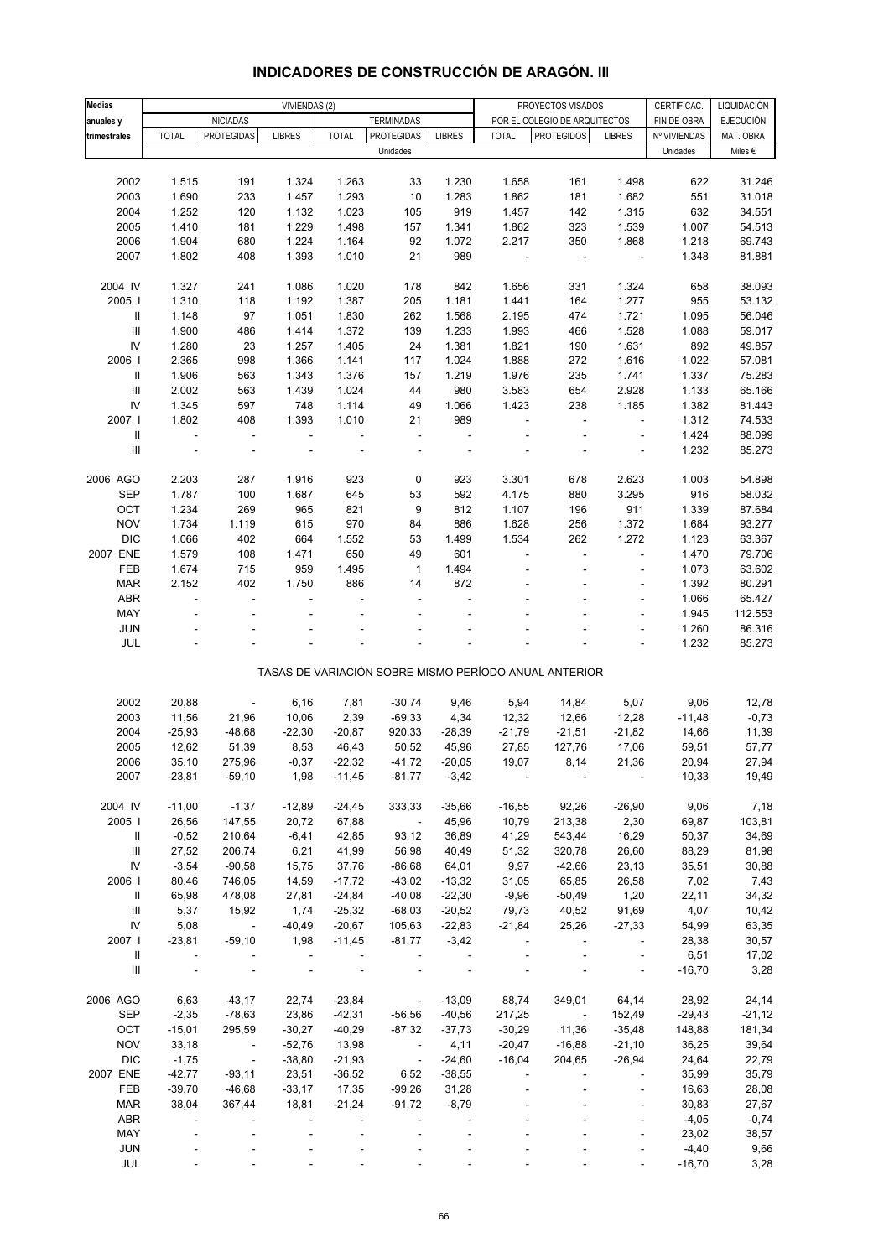| <b>Medias</b>                      |                          |                           |                          |                |                          |               |                          |                                                       |                          |              |                  |
|------------------------------------|--------------------------|---------------------------|--------------------------|----------------|--------------------------|---------------|--------------------------|-------------------------------------------------------|--------------------------|--------------|------------------|
|                                    |                          |                           | VIVIENDAS (2)            |                |                          |               |                          | PROYECTOS VISADOS                                     |                          | CERTIFICAC.  | LIQUIDACIÓN      |
| anuales y                          |                          | <b>INICIADAS</b>          |                          |                | <b>TERMINADAS</b>        |               |                          | POR EL COLEGIO DE ARQUITECTOS                         |                          | FIN DE OBRA  | <b>EJECUCIÓN</b> |
| trimestrales                       | <b>TOTAL</b>             | <b>PROTEGIDAS</b>         | <b>LIBRES</b>            | <b>TOTAL</b>   | <b>PROTEGIDAS</b>        | <b>LIBRES</b> | <b>TOTAL</b>             | <b>PROTEGIDOS</b>                                     | <b>LIBRES</b>            | Nº VIVIENDAS | MAT. OBRA        |
|                                    |                          |                           |                          |                | Unidades                 |               |                          |                                                       |                          | Unidades     | Miles $\epsilon$ |
|                                    |                          |                           |                          |                |                          |               |                          |                                                       |                          |              |                  |
| 2002                               | 1.515                    | 191                       | 1.324                    | 1.263          | 33                       | 1.230         | 1.658                    | 161                                                   | 1.498                    | 622          | 31.246           |
| 2003                               | 1.690                    | 233                       | 1.457                    | 1.293          | 10                       | 1.283         | 1.862                    | 181                                                   | 1.682                    | 551          | 31.018           |
| 2004                               | 1.252                    | 120                       | 1.132                    | 1.023          | 105                      | 919           | 1.457                    | 142                                                   | 1.315                    | 632          | 34.551           |
| 2005                               | 1.410                    | 181                       | 1.229                    | 1.498          | 157                      | 1.341         | 1.862                    | 323                                                   | 1.539                    | 1.007        | 54.513           |
| 2006                               | 1.904                    | 680                       | 1.224                    | 1.164          | 92                       | 1.072         | 2.217                    | 350                                                   | 1.868                    | 1.218        | 69.743           |
|                                    |                          |                           |                          |                |                          |               |                          |                                                       |                          |              |                  |
| 2007                               | 1.802                    | 408                       | 1.393                    | 1.010          | 21                       | 989           | $\overline{\phantom{a}}$ | $\overline{\phantom{a}}$                              | $\overline{\phantom{a}}$ | 1.348        | 81.881           |
|                                    |                          |                           |                          |                |                          |               |                          |                                                       |                          |              |                  |
| 2004 IV                            | 1.327                    | 241                       | 1.086                    | 1.020          | 178                      | 842           | 1.656                    | 331                                                   | 1.324                    | 658          | 38.093           |
| 2005                               | 1.310                    | 118                       | 1.192                    | 1.387          | 205                      | 1.181         | 1.441                    | 164                                                   | 1.277                    | 955          | 53.132           |
| Ш                                  | 1.148                    | 97                        | 1.051                    | 1.830          | 262                      | 1.568         | 2.195                    | 474                                                   | 1.721                    | 1.095        | 56.046           |
| $\mathbf{III}$                     | 1.900                    | 486                       | 1.414                    | 1.372          | 139                      | 1.233         | 1.993                    | 466                                                   | 1.528                    | 1.088        | 59.017           |
| IV                                 | 1.280                    | 23                        | 1.257                    | 1.405          | 24                       | 1.381         | 1.821                    | 190                                                   | 1.631                    | 892          | 49.857           |
| 2006                               | 2.365                    | 998                       | 1.366                    | 1.141          | 117                      | 1.024         | 1.888                    | 272                                                   | 1.616                    | 1.022        | 57.081           |
| Ш                                  | 1.906                    | 563                       | 1.343                    | 1.376          | 157                      | 1.219         | 1.976                    | 235                                                   | 1.741                    | 1.337        | 75.283           |
| $\ensuremath{\mathsf{III}}\xspace$ |                          |                           |                          |                | 44                       | 980           |                          |                                                       |                          |              |                  |
|                                    | 2.002                    | 563                       | 1.439                    | 1.024          |                          |               | 3.583                    | 654                                                   | 2.928                    | 1.133        | 65.166           |
| IV                                 | 1.345                    | 597                       | 748                      | 1.114          | 49                       | 1.066         | 1.423                    | 238                                                   | 1.185                    | 1.382        | 81.443           |
| 2007                               | 1.802                    | 408                       | 1.393                    | 1.010          | 21                       | 989           | $\overline{\phantom{a}}$ | $\blacksquare$                                        | $\overline{\phantom{a}}$ | 1.312        | 74.533           |
| Ш                                  | $\overline{\phantom{a}}$ | $\blacksquare$            | $\overline{\phantom{a}}$ |                | $\frac{1}{2}$            |               |                          |                                                       | ÷,                       | 1.424        | 88.099           |
| $\ensuremath{\mathsf{III}}\xspace$ |                          |                           |                          |                |                          |               |                          |                                                       |                          | 1.232        | 85.273           |
|                                    |                          |                           |                          |                |                          |               |                          |                                                       |                          |              |                  |
| 2006 AGO                           | 2.203                    | 287                       | 1.916                    | 923            | 0                        | 923           | 3.301                    | 678                                                   | 2.623                    | 1.003        | 54.898           |
| <b>SEP</b>                         | 1.787                    | 100                       | 1.687                    | 645            | 53                       | 592           | 4.175                    | 880                                                   | 3.295                    | 916          | 58.032           |
| OCT                                | 1.234                    | 269                       | 965                      | 821            | 9                        | 812           | 1.107                    | 196                                                   | 911                      | 1.339        | 87.684           |
| <b>NOV</b>                         | 1.734                    | 1.119                     | 615                      | 970            | 84                       | 886           | 1.628                    | 256                                                   | 1.372                    | 1.684        | 93.277           |
|                                    |                          |                           |                          |                |                          |               |                          |                                                       |                          |              |                  |
| <b>DIC</b>                         | 1.066                    | 402                       | 664                      | 1.552          | 53                       | 1.499         | 1.534                    | 262                                                   | 1.272                    | 1.123        | 63.367           |
| 2007 ENE                           | 1.579                    | 108                       | 1.471                    | 650            | 49                       | 601           | ä,                       |                                                       | ÷,                       | 1.470        | 79.706           |
| FEB                                | 1.674                    | 715                       | 959                      | 1.495          | 1                        | 1.494         |                          |                                                       | ÷,                       | 1.073        | 63.602           |
| <b>MAR</b>                         | 2.152                    | 402                       | 1.750                    | 886            | 14                       | 872           |                          |                                                       |                          | 1.392        | 80.291           |
| ABR                                | ÷,                       | ÷,                        |                          |                |                          |               |                          |                                                       | ÷,                       | 1.066        | 65.427           |
| MAY                                |                          |                           |                          |                |                          |               |                          |                                                       | ÷,                       | 1.945        | 112.553          |
| <b>JUN</b>                         |                          |                           |                          |                |                          |               |                          |                                                       |                          | 1.260        | 86.316           |
| <b>JUL</b>                         |                          |                           |                          |                |                          |               |                          |                                                       | ÷,                       | 1.232        | 85.273           |
|                                    |                          |                           |                          |                |                          |               |                          |                                                       |                          |              |                  |
|                                    |                          |                           |                          |                |                          |               |                          | TASAS DE VARIACIÓN SOBRE MISMO PERÍODO ANUAL ANTERIOR |                          |              |                  |
|                                    |                          |                           |                          |                |                          |               |                          |                                                       |                          |              |                  |
| 2002                               | 20,88                    | $\overline{\phantom{m}}$  | 6,16                     | 7,81           | $-30,74$                 | 9,46          | 5,94                     | 14,84                                                 | 5,07                     | 9,06         | 12,78            |
|                                    |                          |                           |                          |                |                          |               |                          |                                                       |                          |              |                  |
| 2003                               | 11,56                    | 21,96                     | 10,06                    | 2,39           | $-69,33$                 | 4,34          | 12,32                    | 12,66                                                 | 12,28                    | $-11,48$     | $-0,73$          |
| 2004                               | $-25,93$                 | $-48,68$                  | $-22,30$                 | $-20,87$       | 920,33                   | $-28,39$      | $-21,79$                 | $-21,51$                                              | $-21,82$                 | 14,66        | 11,39            |
| 2005                               | 12,62                    | 51,39                     | 8,53                     | 46,43          | 50,52                    | 45,96         | 27,85                    | 127,76                                                | 17,06                    | 59,51        | 57,77            |
| 2006                               | 35,10                    | 275,96                    | $-0,37$                  | $-22,32$       | $-41,72$                 | $-20,05$      | 19,07                    | 8,14                                                  | 21,36                    | 20,94        | 27,94            |
| 2007                               | $-23,81$                 | $-59,10$                  | 1,98                     | $-11,45$       | $-81,77$                 | $-3,42$       |                          |                                                       |                          | 10,33        | 19,49            |
|                                    |                          |                           |                          |                |                          |               |                          |                                                       |                          |              |                  |
| 2004 IV                            | $-11,00$                 | $-1,37$                   | $-12,89$                 | $-24,45$       | 333,33                   | $-35,66$      | $-16,55$                 | 92,26                                                 | $-26,90$                 | 9,06         | 7,18             |
| 2005                               | 26,56                    | 147,55                    | 20,72                    | 67,88          | $\sim 100$               | 45,96         | 10,79                    | 213,38                                                | 2,30                     | 69,87        | 103,81           |
| Ш                                  | $-0,52$                  | 210,64                    | $-6,41$                  | 42,85          | 93,12                    | 36,89         | 41,29                    | 543,44                                                | 16,29                    | 50,37        | 34,69            |
| Ш                                  | 27,52                    | 206,74                    | 6,21                     | 41,99          | 56,98                    | 40,49         | 51,32                    | 320,78                                                | 26,60                    | 88,29        | 81,98            |
| ${\sf IV}$                         |                          | $-90,58$                  |                          |                |                          |               |                          |                                                       |                          |              |                  |
|                                    | $-3,54$                  |                           | 15,75                    | 37,76          | $-86,68$                 | 64,01         | 9,97                     | $-42,66$                                              | 23,13                    | 35,51        | 30,88            |
| 2006                               | 80,46                    | 746,05                    | 14,59                    | $-17,72$       | $-43,02$                 | $-13,32$      | 31,05                    | 65,85                                                 | 26,58                    | 7,02         | 7,43             |
| Ш                                  | 65,98                    | 478,08                    | 27,81                    | $-24,84$       | $-40,08$                 | $-22,30$      | $-9,96$                  | $-50,49$                                              | 1,20                     | 22,11        | 34,32            |
| Ш                                  | 5,37                     | 15,92                     | 1,74                     | $-25,32$       | $-68,03$                 | $-20,52$      | 79,73                    | 40,52                                                 | 91,69                    | 4,07         | 10,42            |
| ${\sf IV}$                         | 5,08                     | $\sim 10^{-10}$ m $^{-1}$ | $-40,49$                 | $-20,67$       | 105,63                   | $-22,83$      | $-21,84$                 | 25,26                                                 | $-27,33$                 | 54,99        | 63,35            |
| 2007                               | $-23,81$                 | $-59,10$                  | 1,98                     | $-11,45$       | $-81,77$                 | $-3,42$       |                          |                                                       |                          | 28,38        | 30,57            |
| Ш                                  | $\blacksquare$           |                           | $\sim$ $-$               | $\blacksquare$ | $\blacksquare$           | $\sim 100$    |                          |                                                       | $\blacksquare$           | 6,51         | 17,02            |
| $\mathop{\mathsf{III}}\nolimits$   |                          |                           |                          |                |                          |               |                          |                                                       |                          | $-16,70$     | 3,28             |
|                                    |                          |                           |                          |                |                          |               |                          |                                                       |                          |              |                  |
|                                    | 6,63                     |                           |                          |                |                          | $-13,09$      |                          |                                                       |                          |              |                  |
| 2006 AGO                           |                          | $-43,17$                  | 22,74                    | $-23,84$       | $\sim 10^{11}$ m $^{-1}$ |               | 88,74                    | 349,01                                                | 64,14                    | 28,92        | 24,14            |
| <b>SEP</b>                         | $-2,35$                  | $-78,63$                  | 23,86                    | $-42,31$       | $-56,56$                 | $-40,56$      | 217,25                   | $\sim 100$ km s $^{-1}$                               | 152,49                   | $-29,43$     | $-21,12$         |
| OCT                                | $-15,01$                 | 295,59                    | $-30,27$                 | $-40,29$       | $-87,32$                 | $-37,73$      | $-30,29$                 | 11,36                                                 | $-35,48$                 | 148,88       | 181,34           |
| <b>NOV</b>                         | 33,18                    | $\sim 10^{-10}$ m $^{-1}$ | $-52,76$                 | 13,98          | $\sim 10^{-10}$          | 4,11          | $-20,47$                 | $-16,88$                                              | $-21,10$                 | 36,25        | 39,64            |
| <b>DIC</b>                         | $-1,75$                  | $\sim 10^{11}$ m $^{-1}$  | $-38,80$                 | $-21,93$       | $\sim 100$ km $^{-1}$    | $-24,60$      | $-16,04$                 | 204,65                                                | $-26,94$                 | 24,64        | 22,79            |
| 2007 ENE                           | $-42,77$                 | $-93,11$                  | 23,51                    | $-36,52$       | 6,52                     | $-38,55$      |                          |                                                       | $\overline{\phantom{a}}$ | 35,99        | 35,79            |
| FEB                                | $-39,70$                 | $-46,68$                  | $-33,17$                 | 17,35          | $-99,26$                 | 31,28         |                          |                                                       | ÷,                       | 16,63        | 28,08            |
| <b>MAR</b>                         | 38,04                    | 367,44                    | 18,81                    | $-21,24$       | $-91,72$                 | $-8,79$       |                          |                                                       |                          | 30,83        | 27,67            |
| ABR                                |                          |                           |                          |                |                          |               |                          |                                                       | ÷,                       | $-4,05$      | $-0,74$          |
|                                    |                          |                           |                          |                |                          |               |                          |                                                       |                          |              |                  |
| MAY                                |                          |                           |                          |                |                          |               |                          |                                                       | $\overline{\phantom{a}}$ | 23,02        | 38,57            |
| JUN                                |                          |                           |                          |                |                          |               |                          |                                                       |                          | $-4,40$      | 9,66             |
| JUL                                |                          |                           |                          |                |                          |               |                          |                                                       |                          | $-16,70$     | 3,28             |

### **INDICADORES DE CONSTRUCCIÓN DE ARAGÓN. III**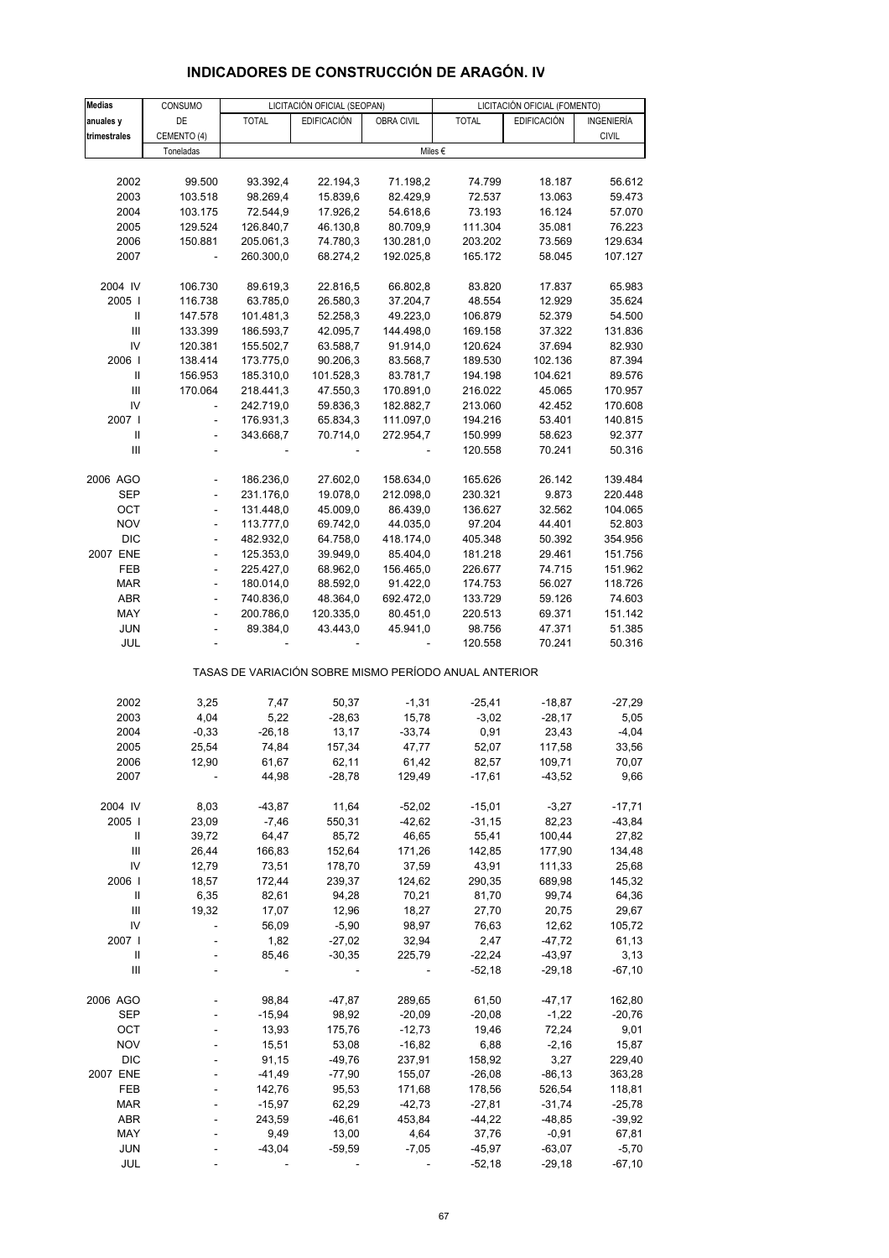| Medias                             | CONSUMO                  |                  | LICITACIÓN OFICIAL (SEOPAN) |                   | LICITACIÓN OFICIAL (FOMENTO)                          |                     |                   |  |
|------------------------------------|--------------------------|------------------|-----------------------------|-------------------|-------------------------------------------------------|---------------------|-------------------|--|
| anuales y                          | DE                       | <b>TOTAL</b>     | <b>EDIFICACIÓN</b>          | OBRA CIVIL        | <b>TOTAL</b>                                          | <b>EDIFICACIÓN</b>  | INGENIERÍA        |  |
| trimestrales                       | CEMENTO (4)              |                  |                             |                   |                                                       |                     | <b>CIVIL</b>      |  |
|                                    | Toneladas                |                  |                             |                   | Miles $\epsilon$                                      |                     |                   |  |
|                                    |                          |                  |                             |                   |                                                       |                     |                   |  |
| 2002                               | 99.500                   | 93.392,4         | 22.194,3                    | 71.198,2          | 74.799                                                | 18.187              | 56.612            |  |
| 2003                               | 103.518                  | 98.269,4         | 15.839,6                    | 82.429,9          | 72.537                                                | 13.063              | 59.473            |  |
| 2004                               | 103.175                  | 72.544,9         | 17.926,2                    | 54.618,6          | 73.193                                                | 16.124              | 57.070            |  |
| 2005                               | 129.524                  | 126.840,7        | 46.130,8                    | 80.709,9          | 111.304                                               | 35.081              | 76.223            |  |
| 2006                               | 150.881                  | 205.061,3        | 74.780,3                    | 130.281,0         | 203.202                                               | 73.569              | 129.634           |  |
| 2007                               |                          | 260.300,0        | 68.274,2                    | 192.025,8         | 165.172                                               | 58.045              | 107.127           |  |
|                                    |                          |                  |                             |                   |                                                       |                     |                   |  |
| 2004 IV                            | 106.730                  | 89.619,3         | 22.816,5                    | 66.802,8          | 83.820                                                | 17.837              | 65.983            |  |
| 2005                               | 116.738                  | 63.785,0         | 26.580,3                    | 37.204,7          | 48.554                                                | 12.929              | 35.624            |  |
|                                    | 147.578                  | 101.481,3        | 52.258,3                    | 49.223,0          | 106.879                                               | 52.379              | 54.500            |  |
| III                                | 133.399                  | 186.593,7        | 42.095,7                    | 144.498,0         | 169.158                                               | 37.322              | 131.836           |  |
| IV                                 | 120.381                  | 155.502,7        | 63.588,7                    | 91.914,0          | 120.624                                               | 37.694              | 82.930            |  |
| 2006                               | 138.414                  | 173.775,0        | 90.206,3                    | 83.568,7          | 189.530                                               | 102.136             | 87.394            |  |
| $\mathsf{I}$                       | 156.953                  | 185.310,0        | 101.528,3                   | 83.781,7          | 194.198                                               | 104.621             | 89.576            |  |
| Ш                                  | 170.064                  | 218.441,3        | 47.550,3                    | 170.891,0         | 216.022                                               | 45.065              | 170.957           |  |
| IV                                 |                          | 242.719,0        | 59.836,3                    | 182.882,7         | 213.060                                               | 42.452              | 170.608           |  |
| 2007 I                             | ÷,                       | 176.931,3        | 65.834,3                    | 111.097,0         | 194.216                                               | 53.401              | 140.815           |  |
| Ш                                  | $\frac{1}{2}$            | 343.668,7        | 70.714,0                    | 272.954,7         | 150.999                                               | 58.623              | 92.377            |  |
| Ш                                  |                          |                  |                             |                   | 120.558                                               | 70.241              | 50.316            |  |
| 2006 AGO                           |                          | 186.236,0        | 27.602,0                    | 158.634,0         | 165.626                                               | 26.142              | 139.484           |  |
| <b>SEP</b>                         |                          | 231.176,0        | 19.078,0                    | 212.098,0         | 230.321                                               | 9.873               | 220.448           |  |
| OCT                                | $\frac{1}{2}$            | 131.448,0        | 45.009,0                    | 86.439,0          | 136.627                                               | 32.562              | 104.065           |  |
| <b>NOV</b>                         | $\frac{1}{2}$            | 113.777,0        | 69.742,0                    | 44.035,0          | 97.204                                                | 44.401              | 52.803            |  |
| <b>DIC</b>                         | $\overline{a}$           | 482.932,0        | 64.758,0                    | 418.174,0         | 405.348                                               | 50.392              | 354.956           |  |
| 2007 ENE                           | $\overline{\phantom{a}}$ | 125.353,0        | 39.949,0                    | 85.404,0          | 181.218                                               | 29.461              | 151.756           |  |
| FEB                                | $\overline{a}$           | 225.427,0        | 68.962,0                    | 156.465,0         | 226.677                                               | 74.715              | 151.962           |  |
| <b>MAR</b>                         | $\overline{a}$           | 180.014,0        | 88.592,0                    | 91.422,0          | 174.753                                               | 56.027              | 118.726           |  |
| <b>ABR</b>                         | $\blacksquare$           | 740.836,0        | 48.364,0                    | 692.472,0         | 133.729                                               | 59.126              | 74.603            |  |
| MAY                                |                          | 200.786,0        | 120.335,0                   | 80.451,0          | 220.513                                               | 69.371              | 151.142           |  |
| JUN                                |                          | 89.384,0         | 43.443,0                    | 45.941,0          | 98.756                                                | 47.371              | 51.385            |  |
| JUL                                |                          |                  |                             |                   | 120.558                                               | 70.241              | 50.316            |  |
|                                    |                          |                  |                             |                   | TASAS DE VARIACIÓN SOBRE MISMO PERÍODO ANUAL ANTERIOR |                     |                   |  |
|                                    |                          |                  |                             |                   |                                                       |                     |                   |  |
| 2002                               | 3,25                     | 7,47             | 50,37                       | $-1,31$           | $-25,41$                                              | $-18,87$            | $-27,29$          |  |
| 2003<br>2004                       | 4,04<br>$-0,33$          | 5,22<br>$-26,18$ | $-28,63$<br>13,17           | 15,78<br>$-33,74$ | $-3,02$<br>0,91                                       | $-28,17$<br>23,43   | 5,05<br>$-4,04$   |  |
| 2005                               | 25,54                    | 74,84            | 157,34                      | 47,77             | 52,07                                                 | 117,58              | 33,56             |  |
| 2006                               | 12,90                    | 61,67            | 62,11                       | 61,42             | 82,57                                                 | 109,71              | 70,07             |  |
| 2007                               |                          | 44,98            | $-28,78$                    | 129,49            | $-17,61$                                              | $-43,52$            | 9,66              |  |
|                                    |                          |                  |                             |                   |                                                       |                     |                   |  |
| 2004 IV                            | 8,03                     | $-43,87$         | 11,64                       | $-52,02$          | $-15,01$                                              | $-3,27$             | $-17,71$          |  |
| 2005                               | 23,09                    | $-7,46$          | 550,31                      | $-42,62$          | $-31,15$                                              | 82,23               | $-43,84$          |  |
| Ш                                  | 39,72                    | 64,47            | 85,72                       | 46,65             | 55,41                                                 | 100,44              | 27,82             |  |
| III                                | 26,44                    | 166,83           | 152,64                      | 171,26            | 142,85                                                | 177,90              | 134,48            |  |
| IV                                 | 12,79                    | 73,51            | 178,70                      | 37,59             | 43,91                                                 | 111,33              | 25,68             |  |
| 2006                               | 18,57                    | 172,44           | 239,37                      | 124,62            | 290,35                                                | 689,98              | 145,32            |  |
| Ш                                  | 6,35                     | 82,61            | 94,28                       | 70,21             | 81,70                                                 | 99,74               | 64,36             |  |
| Ш                                  | 19,32                    | 17,07            | 12,96                       | 18,27             | 27,70                                                 | 20,75               | 29,67             |  |
| IV                                 | L.                       | 56,09            | $-5,90$                     | 98,97             | 76,63                                                 | 12,62               | 105,72            |  |
| 2007 l                             |                          | 1,82             | $-27,02$                    | 32,94             | 2,47                                                  | $-47,72$            | 61,13             |  |
| Ш                                  |                          | 85,46            | $-30,35$                    | 225,79            | $-22,24$                                              | $-43,97$            | 3,13              |  |
| $\ensuremath{\mathsf{III}}\xspace$ |                          |                  |                             |                   | $-52,18$                                              | $-29,18$            | $-67,10$          |  |
| 2006 AGO                           |                          | 98,84            | $-47,87$                    | 289,65            | 61,50                                                 | $-47,17$            | 162,80            |  |
| <b>SEP</b>                         |                          | $-15,94$         | 98,92                       | $-20,09$          | $-20,08$                                              | $-1,22$             | $-20,76$          |  |
| OCT                                |                          | 13,93            | 175,76                      | $-12,73$          | 19,46                                                 | 72,24               | 9,01              |  |
| <b>NOV</b>                         |                          | 15,51            | 53,08                       | $-16,82$          | 6,88                                                  | $-2,16$             | 15,87             |  |
| <b>DIC</b>                         |                          | 91,15            | $-49,76$                    | 237,91            | 158,92                                                | 3,27                | 229,40            |  |
| 2007 ENE                           |                          | $-41,49$         | $-77,90$                    | 155,07            | $-26,08$                                              | $-86, 13$           | 363,28            |  |
| FEB                                |                          | 142,76           | 95,53                       | 171,68            | 178,56                                                | 526,54              | 118,81            |  |
| <b>MAR</b>                         |                          | $-15,97$         | 62,29                       | $-42,73$          | $-27,81$                                              | $-31,74$            | $-25,78$          |  |
| <b>ABR</b><br>MAY                  |                          | 243,59<br>9,49   | $-46,61$<br>13,00           | 453,84<br>4,64    | $-44,22$<br>37,76                                     | $-48,85$<br>$-0,91$ | $-39,92$<br>67,81 |  |
| <b>JUN</b>                         |                          | $-43,04$         | $-59,59$                    | $-7,05$           | $-45,97$                                              | $-63,07$            | $-5,70$           |  |
| JUL                                |                          |                  |                             |                   | $-52,18$                                              | $-29,18$            | $-67,10$          |  |
|                                    |                          |                  |                             |                   |                                                       |                     |                   |  |

## **INDICADORES DE CONSTRUCCIÓN DE ARAGÓN. IV**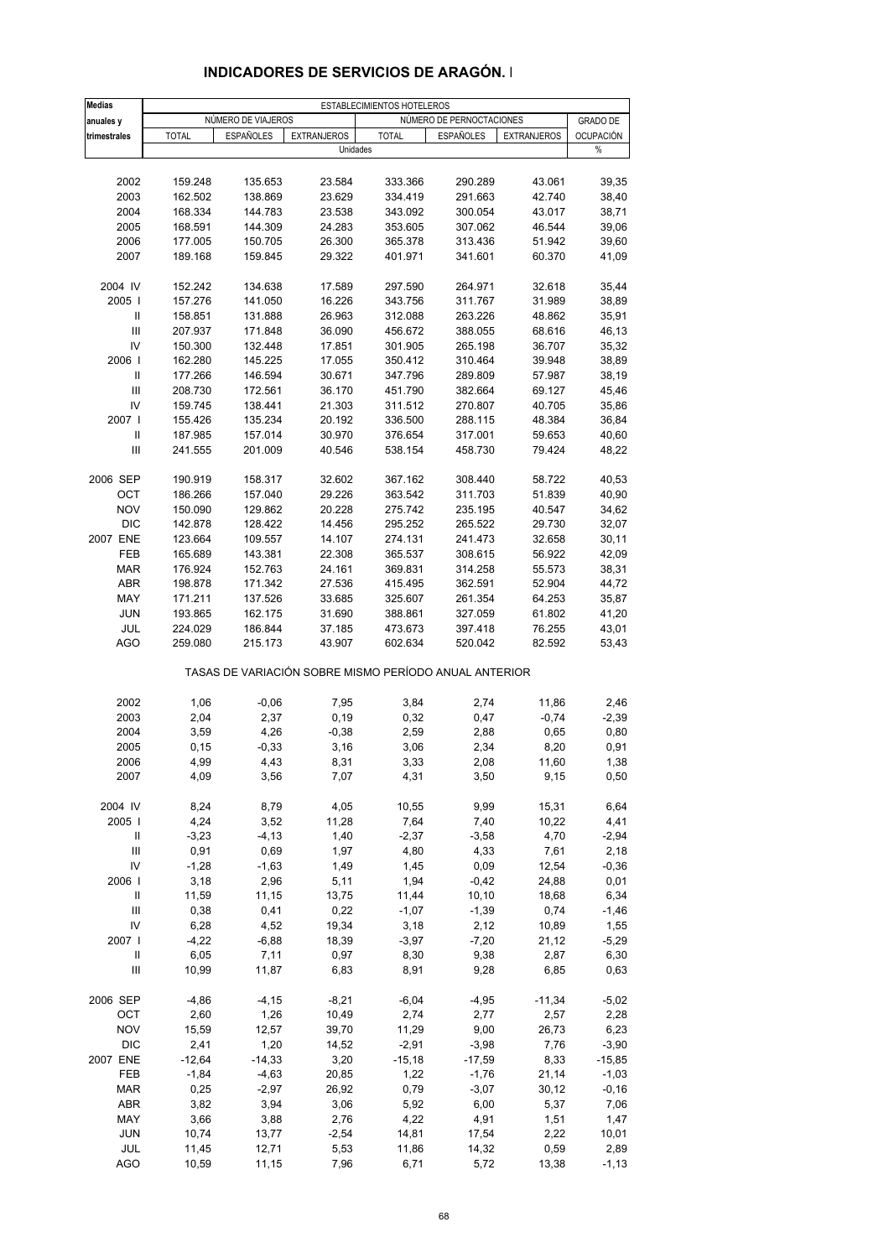| <b>Medias</b>                      |              |                    |                    | ESTABLECIMIENTOS HOTELEROS                            |                          |                    |                  |
|------------------------------------|--------------|--------------------|--------------------|-------------------------------------------------------|--------------------------|--------------------|------------------|
| anuales y                          |              | NÚMERO DE VIAJEROS |                    |                                                       | NÚMERO DE PERNOCTACIONES |                    | <b>GRADO DE</b>  |
| trimestrales                       | <b>TOTAL</b> | <b>ESPAÑOLES</b>   | <b>EXTRANJEROS</b> | <b>TOTAL</b>                                          | <b>ESPAÑOLES</b>         | <b>EXTRANJEROS</b> | <b>OCUPACIÓN</b> |
|                                    |              |                    | Unidades           |                                                       |                          |                    | %                |
|                                    |              |                    |                    |                                                       |                          |                    |                  |
| 2002                               | 159.248      | 135.653            | 23.584             | 333.366                                               | 290.289                  | 43.061             | 39,35            |
| 2003                               | 162.502      | 138.869            | 23.629             | 334.419                                               | 291.663                  | 42.740             | 38,40            |
| 2004                               | 168.334      | 144.783            | 23.538             | 343.092                                               | 300.054                  | 43.017             | 38,71            |
| 2005                               | 168.591      | 144.309            | 24.283             | 353.605                                               | 307.062                  | 46.544             | 39,06            |
| 2006                               | 177.005      | 150.705            | 26.300             | 365.378                                               | 313.436                  | 51.942             | 39,60            |
| 2007                               |              |                    |                    |                                                       |                          |                    |                  |
|                                    | 189.168      | 159.845            | 29.322             | 401.971                                               | 341.601                  | 60.370             | 41,09            |
| 2004 IV                            | 152.242      | 134.638            | 17.589             | 297.590                                               | 264.971                  | 32.618             | 35,44            |
| 2005                               | 157.276      | 141.050            | 16.226             | 343.756                                               | 311.767                  | 31.989             | 38,89            |
| $\ensuremath{\mathsf{II}}$         | 158.851      | 131.888            | 26.963             | 312.088                                               | 263.226                  | 48.862             | 35,91            |
| III                                | 207.937      | 171.848            | 36.090             | 456.672                                               | 388.055                  | 68.616             | 46,13            |
| IV                                 | 150.300      | 132.448            | 17.851             | 301.905                                               | 265.198                  | 36.707             | 35,32            |
| 2006                               | 162.280      | 145.225            | 17.055             | 350.412                                               | 310.464                  | 39.948             | 38,89            |
| Ш                                  | 177.266      | 146.594            | 30.671             | 347.796                                               | 289.809                  | 57.987             | 38,19            |
| Ш                                  | 208.730      | 172.561            | 36.170             | 451.790                                               | 382.664                  | 69.127             | 45,46            |
| IV                                 |              |                    |                    |                                                       |                          |                    |                  |
| 2007 l                             | 159.745      | 138.441            | 21.303             | 311.512<br>336.500                                    | 270.807                  | 40.705             | 35,86            |
|                                    | 155.426      | 135.234            | 20.192             |                                                       | 288.115                  | 48.384             | 36,84            |
| Ш                                  | 187.985      | 157.014            | 30.970             | 376.654                                               | 317.001                  | 59.653             | 40,60            |
| Ш                                  | 241.555      | 201.009            | 40.546             | 538.154                                               | 458.730                  | 79.424             | 48,22            |
| 2006 SEP                           | 190.919      | 158.317            | 32.602             | 367.162                                               | 308.440                  | 58.722             | 40,53            |
| OCT                                | 186.266      | 157.040            | 29.226             | 363.542                                               | 311.703                  | 51.839             | 40,90            |
| <b>NOV</b>                         | 150.090      | 129.862            | 20.228             | 275.742                                               | 235.195                  | 40.547             | 34,62            |
| <b>DIC</b>                         | 142.878      | 128.422            | 14.456             | 295.252                                               | 265.522                  | 29.730             | 32,07            |
| 2007 ENE                           | 123.664      | 109.557            | 14.107             | 274.131                                               | 241.473                  | 32.658             | 30, 11           |
| FEB                                | 165.689      | 143.381            | 22.308             | 365.537                                               | 308.615                  | 56.922             | 42,09            |
| <b>MAR</b>                         | 176.924      |                    | 24.161             |                                                       |                          | 55.573             |                  |
|                                    |              | 152.763            |                    | 369.831                                               | 314.258                  |                    | 38,31            |
| ABR                                | 198.878      | 171.342            | 27.536             | 415.495                                               | 362.591                  | 52.904             | 44,72            |
| MAY                                | 171.211      | 137.526            | 33.685             | 325.607                                               | 261.354                  | 64.253             | 35,87            |
| <b>JUN</b>                         | 193.865      | 162.175            | 31.690             | 388.861                                               | 327.059                  | 61.802             | 41,20            |
| JUL                                | 224.029      | 186.844            | 37.185             | 473.673                                               | 397.418                  | 76.255             | 43,01            |
| <b>AGO</b>                         | 259.080      | 215.173            | 43.907             | 602.634                                               | 520.042                  | 82.592             | 53,43            |
|                                    |              |                    |                    | TASAS DE VARIACIÓN SOBRE MISMO PERÍODO ANUAL ANTERIOR |                          |                    |                  |
| 2002                               | 1,06         | $-0,06$            | 7,95               | 3,84                                                  | 2,74                     | 11,86              | 2,46             |
| 2003                               | 2,04         | 2,37               | 0, 19              | 0,32                                                  | 0,47                     | $-0,74$            | $-2,39$          |
| 2004                               | 3,59         | 4,26               | $-0,38$            | 2,59                                                  | 2,88                     | 0,65               | 0,80             |
| 2005                               | 0, 15        | $-0,33$            | 3,16               | 3,06                                                  | 2,34                     | 8,20               | 0,91             |
| 2006                               | 4,99         | 4,43               | 8,31               | 3,33                                                  | 2,08                     | 11,60              | 1,38             |
| 2007                               | 4,09         | 3,56               | 7,07               | 4,31                                                  | 3,50                     | 9,15               | 0,50             |
|                                    |              |                    |                    |                                                       |                          |                    |                  |
| 2004 IV                            | 8,24         | 8,79               | 4,05               | 10,55                                                 | 9,99                     | 15,31              | 6,64             |
| 2005                               | 4,24         | 3,52               | 11,28              | 7,64                                                  | 7,40                     | 10,22              | 4,41             |
| Ш                                  | $-3,23$      | $-4, 13$           | 1,40               | $-2,37$                                               | $-3,58$                  | 4,70               | $-2,94$          |
| $\ensuremath{\mathsf{III}}\xspace$ | 0,91         | 0,69               | 1,97               | 4,80                                                  | 4,33                     | 7,61               | 2,18             |
| IV                                 | $-1,28$      | $-1,63$            | 1,49               | 1,45                                                  | 0,09                     | 12,54              | $-0,36$          |
| 2006                               | 3,18         | 2,96               | 5,11               | 1,94                                                  | $-0,42$                  | 24,88              | 0,01             |
| Ш                                  | 11,59        | 11,15              | 13,75              | 11,44                                                 | 10, 10                   | 18,68              | 6,34             |
| Ш                                  | 0,38         | 0,41               | 0,22               | $-1,07$                                               | $-1,39$                  | 0,74               | $-1,46$          |
| IV                                 | 6,28         | 4,52               | 19,34              | 3,18                                                  | 2,12                     | 10,89              | 1,55             |
| 2007                               | $-4,22$      | $-6,88$            | 18,39              | $-3,97$                                               | $-7,20$                  | 21,12              | $-5,29$          |
| Ш                                  | 6,05         | 7,11               | 0,97               | 8,30                                                  | 9,38                     | 2,87               | 6,30             |
| Ш                                  | 10,99        | 11,87              | 6,83               | 8,91                                                  | 9,28                     | 6,85               | 0,63             |
| 2006 SEP                           | $-4,86$      | $-4, 15$           | $-8,21$            | $-6,04$                                               | $-4,95$                  | $-11,34$           | $-5,02$          |
| OCT                                | 2,60         | 1,26               | 10,49              | 2,74                                                  | 2,77                     | 2,57               | 2,28             |
| <b>NOV</b>                         | 15,59        | 12,57              | 39,70              | 11,29                                                 | 9,00                     | 26,73              | 6,23             |
| <b>DIC</b>                         | 2,41         | 1,20               | 14,52              | $-2,91$                                               | $-3,98$                  | 7,76               | $-3,90$          |
| 2007 ENE                           | $-12,64$     | $-14,33$           | 3,20               | $-15,18$                                              | $-17,59$                 | 8,33               | $-15,85$         |
| FEB                                | $-1,84$      | $-4,63$            | 20,85              | 1,22                                                  | $-1,76$                  | 21,14              | $-1,03$          |
| <b>MAR</b>                         | 0,25         | $-2,97$            | 26,92              | 0,79                                                  | $-3,07$                  | 30, 12             | $-0,16$          |
| ABR                                | 3,82         | 3,94               | 3,06               | 5,92                                                  | 6,00                     | 5,37               | 7,06             |
| MAY                                | 3,66         | 3,88               | 2,76               | 4,22                                                  | 4,91                     | 1,51               | 1,47             |
| <b>JUN</b>                         | 10,74        | 13,77              | $-2,54$            | 14,81                                                 | 17,54                    | 2,22               | 10,01            |
| JUL                                | 11,45        | 12,71              | 5,53               | 11,86                                                 | 14,32                    | 0,59               | 2,89             |
| <b>AGO</b>                         | 10,59        | 11,15              | 7,96               | 6,71                                                  | 5,72                     | 13,38              | $-1, 13$         |
|                                    |              |                    |                    |                                                       |                          |                    |                  |

### **INDICADORES DE SERVICIOS DE ARAGÓN. I**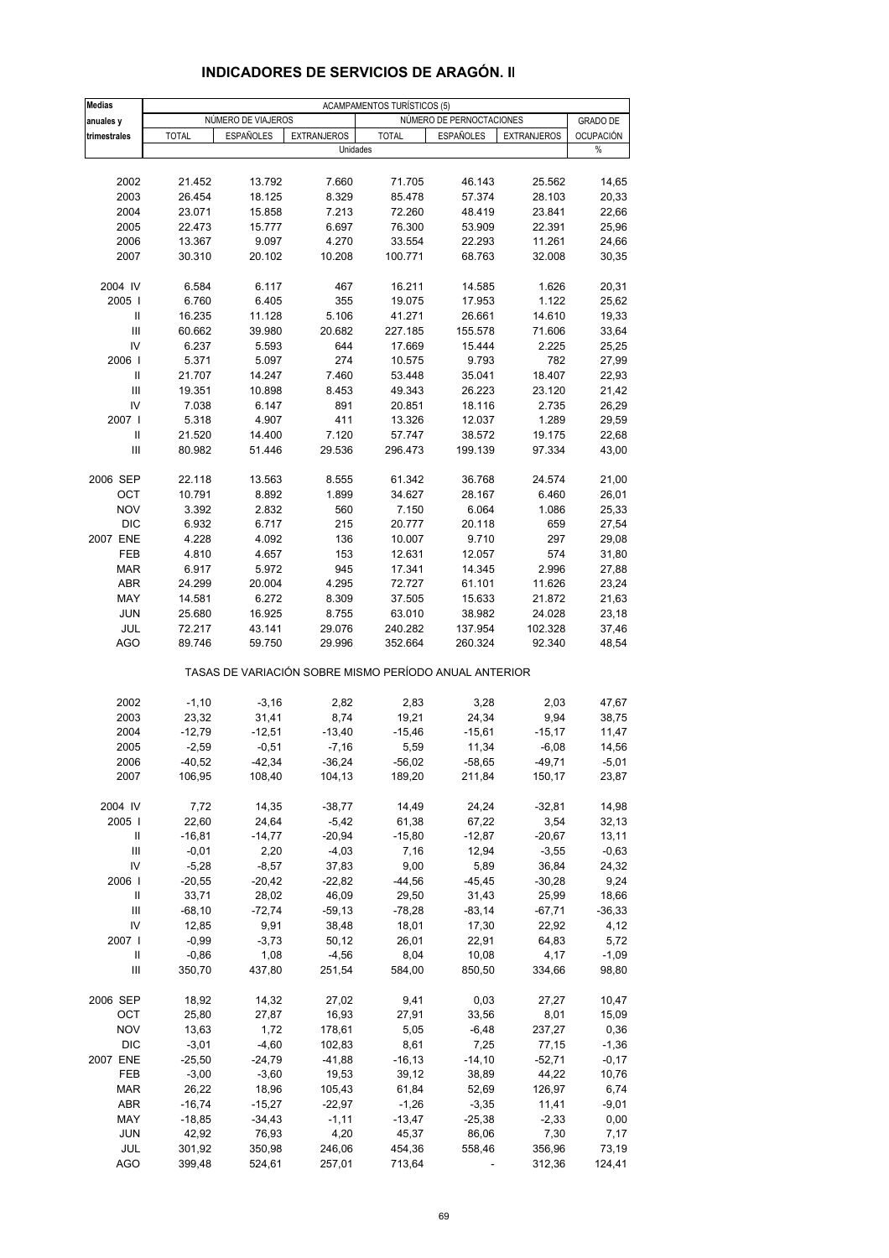| <b>Medias</b> |              |                    |                    | <b>ACAMPAMENTOS TURÍSTICOS (5)</b>                    |                          |                    |                  |
|---------------|--------------|--------------------|--------------------|-------------------------------------------------------|--------------------------|--------------------|------------------|
| anuales y     |              | NÚMERO DE VIAJEROS |                    |                                                       | NÚMERO DE PERNOCTACIONES |                    | <b>GRADO DE</b>  |
| trimestrales  | <b>TOTAL</b> | <b>ESPAÑOLES</b>   | <b>EXTRANJEROS</b> | <b>TOTAL</b>                                          | <b>ESPAÑOLES</b>         | <b>EXTRANJEROS</b> | <b>OCUPACIÓN</b> |
|               |              |                    | Unidades           |                                                       |                          |                    | %                |
|               |              |                    |                    |                                                       |                          |                    |                  |
| 2002          | 21.452       | 13.792             | 7.660              | 71.705                                                | 46.143                   | 25.562             | 14,65            |
| 2003          | 26.454       | 18.125             | 8.329              | 85.478                                                | 57.374                   | 28.103             | 20,33            |
| 2004          | 23.071       | 15.858             | 7.213              | 72.260                                                | 48.419                   | 23.841             | 22,66            |
| 2005          | 22.473       | 15.777             | 6.697              | 76.300                                                | 53.909                   | 22.391             | 25,96            |
| 2006          | 13.367       | 9.097              | 4.270              | 33.554                                                | 22.293                   | 11.261             | 24,66            |
| 2007          | 30.310       | 20.102             | 10.208             | 100.771                                               | 68.763                   | 32.008             | 30,35            |
|               |              |                    |                    |                                                       |                          |                    |                  |
| 2004 IV       | 6.584        | 6.117              | 467                | 16.211                                                | 14.585                   | 1.626              | 20,31            |
| 2005          | 6.760        | 6.405              | 355                | 19.075                                                | 17.953                   | 1.122              | 25,62            |
| Ш             | 16.235       | 11.128             | 5.106              | 41.271                                                | 26.661                   | 14.610             | 19,33            |
| III           | 60.662       | 39.980             | 20.682             | 227.185                                               | 155.578                  | 71.606             | 33,64            |
| IV            | 6.237        | 5.593              | 644                | 17.669                                                | 15.444                   | 2.225              | 25,25            |
| 2006          | 5.371        | 5.097              | 274                | 10.575                                                | 9.793                    | 782                | 27,99            |
| Ш             | 21.707       | 14.247             | 7.460              | 53.448                                                | 35.041                   | 18.407             | 22,93            |
| Ш             | 19.351       | 10.898             | 8.453              | 49.343                                                | 26.223                   | 23.120             | 21,42            |
| IV            | 7.038        | 6.147              | 891                | 20.851                                                | 18.116                   | 2.735              | 26,29            |
| 2007 l        | 5.318        | 4.907              | 411                | 13.326                                                | 12.037                   | 1.289              | 29,59            |
| Ш             | 21.520       | 14.400             | 7.120              | 57.747                                                | 38.572                   | 19.175             | 22,68            |
| III           | 80.982       | 51.446             | 29.536             | 296.473                                               | 199.139                  | 97.334             | 43,00            |
|               |              |                    |                    |                                                       |                          |                    |                  |
| 2006 SEP      | 22.118       | 13.563             | 8.555              | 61.342                                                | 36.768                   | 24.574             | 21,00            |
| OCT           | 10.791       | 8.892              | 1.899              | 34.627                                                | 28.167                   | 6.460              | 26,01            |
| <b>NOV</b>    | 3.392        | 2.832              | 560                | 7.150                                                 | 6.064                    | 1.086              | 25,33            |
| <b>DIC</b>    | 6.932        | 6.717              | 215                | 20.777                                                | 20.118                   | 659                | 27,54            |
| 2007 ENE      | 4.228        | 4.092              | 136                | 10.007                                                | 9.710                    | 297                | 29,08            |
| FEB           | 4.810        | 4.657              | 153                | 12.631                                                | 12.057                   | 574                | 31,80            |
| <b>MAR</b>    | 6.917        | 5.972              | 945                | 17.341                                                | 14.345                   | 2.996              | 27,88            |
| ABR           | 24.299       | 20.004             | 4.295              | 72.727                                                | 61.101                   | 11.626             | 23,24            |
| MAY           | 14.581       | 6.272              | 8.309              | 37.505                                                | 15.633                   | 21.872             | 21,63            |
| <b>JUN</b>    | 25.680       | 16.925             | 8.755              | 63.010                                                | 38.982                   | 24.028             | 23,18            |
| JUL           | 72.217       | 43.141             | 29.076             | 240.282                                               | 137.954                  | 102.328            | 37,46            |
| <b>AGO</b>    | 89.746       | 59.750             | 29.996             | 352.664                                               | 260.324                  | 92.340             | 48,54            |
|               |              |                    |                    | TASAS DE VARIACIÓN SOBRE MISMO PERÍODO ANUAL ANTERIOR |                          |                    |                  |
|               |              |                    |                    |                                                       |                          |                    |                  |
| 2002          | $-1,10$      | $-3,16$            | 2,82               | 2,83                                                  | 3,28                     | 2,03               | 47,67            |
| 2003          | 23,32        | 31,41              | 8,74               | 19,21                                                 | 24,34                    | 9,94               | 38,75            |
| 2004          | $-12,79$     | $-12,51$           | $-13,40$           | $-15,46$                                              | $-15,61$                 | $-15,17$           | 11,47            |
| 2005          | $-2,59$      | $-0,51$            | $-7,16$            | 5,59                                                  | 11,34                    | $-6,08$            | 14,56            |
| 2006          | -40,52       | $-42,34$           | $-36,24$           | $-56,02$                                              | $-58,65$                 | $-49,71$           | $-5,01$          |
| 2007          | 106,95       | 108,40             | 104,13             | 189,20                                                | 211,84                   | 150,17             | 23,87            |
| 2004 IV       |              |                    | $-38,77$           |                                                       |                          |                    |                  |
|               | 7,72         | 14,35              |                    | 14,49                                                 | 24,24                    | $-32,81$           | 14,98<br>32,13   |
| 2005          | 22,60        | 24,64              | $-5,42$            | 61,38<br>$-15,80$                                     | 67,22<br>$-12,87$        | 3,54               |                  |
| Ш             | $-16,81$     | $-14,77$           | $-20,94$           |                                                       |                          | $-20,67$           | 13,11            |
| Ш             | $-0,01$      | 2,20               | $-4,03$            | 7,16                                                  | 12,94                    | $-3,55$            | $-0,63$          |
| IV            | $-5,28$      | $-8,57$            | 37,83              | 9,00                                                  | 5,89                     | 36,84              | 24,32            |
| 2006          | $-20,55$     | $-20,42$           | $-22,82$           | $-44,56$                                              | $-45,45$                 | $-30,28$           | 9,24             |
| Ш             | 33,71        | 28,02              | 46,09              | 29,50                                                 | 31,43                    | 25,99              | 18,66            |
| Ш             | $-68,10$     | $-72,74$           | $-59,13$           | $-78,28$                                              | $-83,14$                 | $-67,71$           | $-36,33$         |
| IV            | 12,85        | 9,91               | 38,48              | 18,01                                                 | 17,30                    | 22,92              | 4,12             |
| 2007          | $-0,99$      | $-3,73$            | 50, 12             | 26,01                                                 | 22,91                    | 64,83              | 5,72             |
| Ш             | $-0.86$      | 1,08               | $-4,56$            | 8,04                                                  | 10,08                    | 4,17               | $-1,09$          |
| Ш             | 350,70       | 437,80             | 251,54             | 584,00                                                | 850,50                   | 334,66             | 98,80            |
| 2006 SEP      | 18,92        | 14,32              | 27,02              | 9,41                                                  | 0,03                     | 27,27              | 10,47            |
| OCT           | 25,80        | 27,87              | 16,93              | 27,91                                                 | 33,56                    | 8,01               | 15,09            |
| <b>NOV</b>    | 13,63        | 1,72               | 178,61             | 5,05                                                  | $-6,48$                  | 237,27             | 0,36             |
| DIC           | $-3,01$      | $-4,60$            | 102,83             | 8,61                                                  | 7,25                     | 77,15              | $-1,36$          |
| 2007 ENE      | $-25,50$     | $-24,79$           | $-41,88$           | $-16, 13$                                             | $-14,10$                 | $-52,71$           | $-0,17$          |
| FEB           | $-3,00$      | $-3,60$            | 19,53              | 39,12                                                 | 38,89                    | 44,22              | 10,76            |
| MAR           | 26,22        | 18,96              | 105,43             | 61,84                                                 | 52,69                    | 126,97             | 6,74             |
| ABR           | $-16,74$     | $-15,27$           | $-22,97$           | $-1,26$                                               | $-3,35$                  | 11,41              | $-9,01$          |
| MAY           | $-18,85$     | $-34,43$           | $-1,11$            | $-13,47$                                              | $-25,38$                 | $-2,33$            | 0,00             |
| <b>JUN</b>    | 42,92        | 76,93              | 4,20               | 45,37                                                 | 86,06                    | 7,30               | 7,17             |
| JUL           | 301,92       | 350,98             | 246,06             | 454,36                                                | 558,46                   | 356,96             | 73,19            |
| <b>AGO</b>    | 399,48       | 524,61             | 257,01             | 713,64                                                | $\blacksquare$           | 312,36             | 124,41           |
|               |              |                    |                    |                                                       |                          |                    |                  |

### **INDICADORES DE SERVICIOS DE ARAGÓN. II**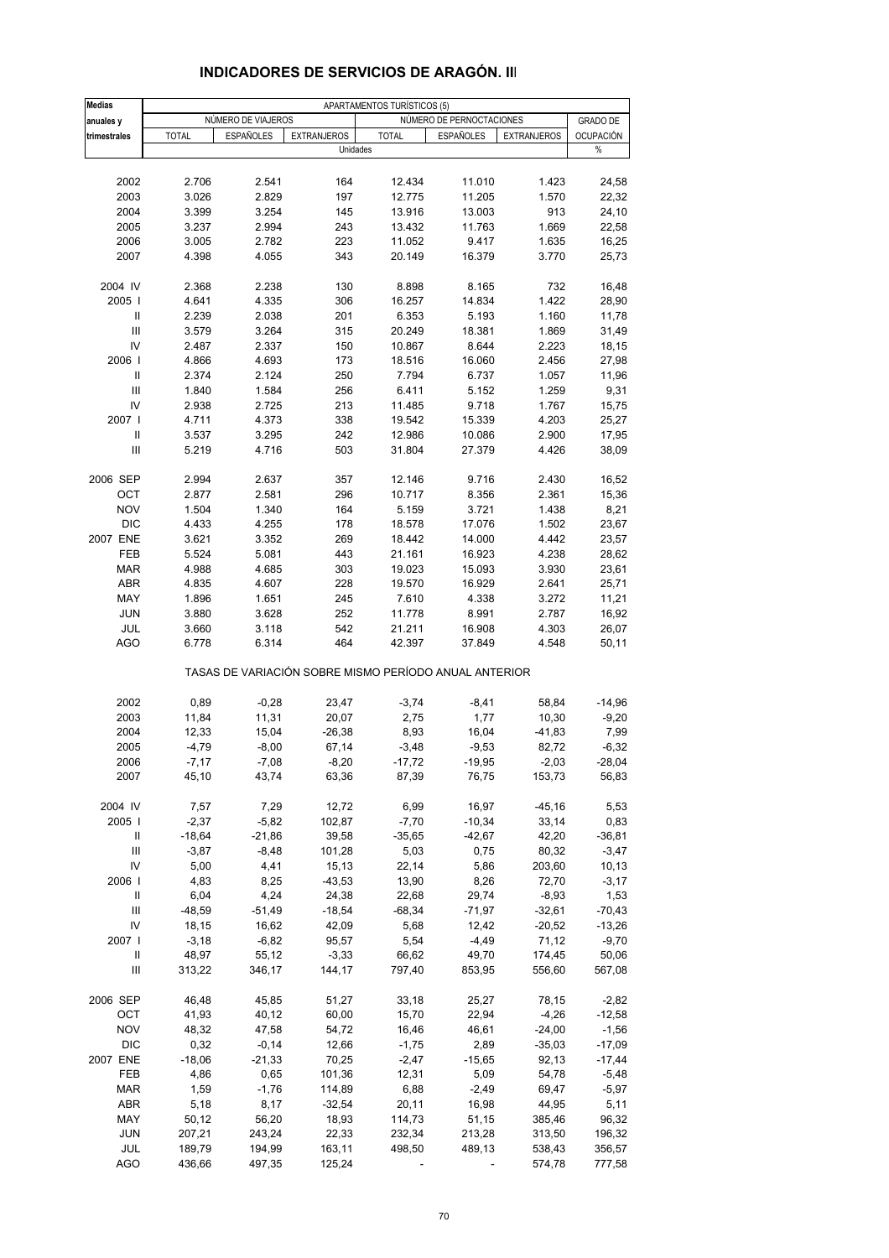| <b>Medias</b>                      |              |                    |                    | APARTAMENTOS TURÍSTICOS (5)                           |                          |                    |                  |
|------------------------------------|--------------|--------------------|--------------------|-------------------------------------------------------|--------------------------|--------------------|------------------|
| anuales y                          |              | NÚMERO DE VIAJEROS |                    |                                                       | NÚMERO DE PERNOCTACIONES |                    | <b>GRADO DE</b>  |
| trimestrales                       | <b>TOTAL</b> | <b>ESPAÑOLES</b>   | <b>EXTRANJEROS</b> | <b>TOTAL</b>                                          | <b>ESPAÑOLES</b>         | <b>EXTRANJEROS</b> | <b>OCUPACIÓN</b> |
|                                    |              |                    | Unidades           |                                                       |                          |                    | $\%$             |
|                                    |              |                    |                    |                                                       |                          |                    |                  |
| 2002                               | 2.706        | 2.541              | 164                | 12.434                                                | 11.010                   | 1.423              | 24,58            |
| 2003                               | 3.026        | 2.829              | 197                | 12.775                                                | 11.205                   | 1.570              | 22,32            |
| 2004                               | 3.399        | 3.254              | 145                | 13.916                                                | 13.003                   | 913                | 24,10            |
| 2005                               | 3.237        | 2.994              | 243                | 13.432                                                | 11.763                   | 1.669              | 22,58            |
| 2006                               | 3.005        | 2.782              | 223                | 11.052                                                | 9.417                    | 1.635              | 16,25            |
| 2007                               | 4.398        | 4.055              | 343                | 20.149                                                | 16.379                   | 3.770              | 25,73            |
|                                    |              |                    |                    |                                                       |                          |                    |                  |
| 2004 IV                            | 2.368        | 2.238              | 130                | 8.898                                                 | 8.165                    | 732                | 16,48            |
| 2005                               | 4.641        | 4.335              | 306                | 16.257                                                | 14.834                   | 1.422              | 28,90            |
| Ш                                  | 2.239        | 2.038              | 201                | 6.353                                                 | 5.193                    | 1.160              | 11,78            |
| $\mathsf{III}\,$                   | 3.579        | 3.264              | 315                | 20.249                                                | 18.381                   | 1.869              | 31,49            |
| IV                                 | 2.487        | 2.337              | 150                | 10.867                                                | 8.644                    | 2.223              | 18,15            |
| 2006                               | 4.866        | 4.693              | 173                | 18.516                                                | 16.060                   | 2.456              | 27,98            |
|                                    |              |                    |                    | 7.794                                                 | 6.737                    |                    |                  |
| Ш                                  | 2.374        | 2.124              | 250                |                                                       |                          | 1.057              | 11,96            |
| Ш<br>IV                            | 1.840        | 1.584              | 256<br>213         | 6.411                                                 | 5.152                    | 1.259              | 9,31             |
| 2007 l                             | 2.938        | 2.725              |                    | 11.485                                                | 9.718                    | 1.767              | 15,75            |
|                                    | 4.711        | 4.373              | 338                | 19.542                                                | 15.339                   | 4.203              | 25,27            |
| Ш                                  | 3.537        | 3.295              | 242                | 12.986                                                | 10.086                   | 2.900              | 17,95            |
| Ш                                  | 5.219        | 4.716              | 503                | 31.804                                                | 27.379                   | 4.426              | 38,09            |
|                                    |              |                    |                    |                                                       |                          |                    |                  |
| 2006 SEP                           | 2.994        | 2.637              | 357                | 12.146                                                | 9.716                    | 2.430              | 16,52            |
| OCT                                | 2.877        | 2.581              | 296                | 10.717                                                | 8.356                    | 2.361              | 15,36            |
| <b>NOV</b>                         | 1.504        | 1.340              | 164                | 5.159                                                 | 3.721                    | 1.438              | 8,21             |
| <b>DIC</b>                         | 4.433        | 4.255              | 178                | 18.578                                                | 17.076                   | 1.502              | 23,67            |
| 2007 ENE                           | 3.621        | 3.352              | 269                | 18.442                                                | 14.000                   | 4.442              | 23,57            |
| FEB                                | 5.524        | 5.081              | 443                | 21.161                                                | 16.923                   | 4.238              | 28,62            |
| <b>MAR</b>                         | 4.988        | 4.685              | 303                | 19.023                                                | 15.093                   | 3.930              | 23,61            |
| ABR                                | 4.835        | 4.607              | 228                | 19.570                                                | 16.929                   | 2.641              | 25,71            |
| MAY                                | 1.896        | 1.651              | 245                | 7.610                                                 | 4.338                    | 3.272              | 11,21            |
| <b>JUN</b>                         | 3.880        | 3.628              | 252                | 11.778                                                | 8.991                    | 2.787              | 16,92            |
| JUL                                | 3.660        | 3.118              | 542                | 21.211                                                | 16.908                   | 4.303              | 26,07            |
| AGO                                | 6.778        | 6.314              | 464                | 42.397                                                | 37.849                   | 4.548              | 50,11            |
|                                    |              |                    |                    | TASAS DE VARIACIÓN SOBRE MISMO PERÍODO ANUAL ANTERIOR |                          |                    |                  |
| 2002                               | 0,89         |                    | 23,47              |                                                       |                          | 58,84              | $-14,96$         |
| 2003                               | 11,84        | $-0,28$<br>11,31   |                    | $-3,74$                                               | $-8,41$                  | 10,30              | $-9,20$          |
| 2004                               | 12,33        | 15,04              | 20,07<br>$-26,38$  | 2,75<br>8,93                                          | 1,77<br>16,04            | $-41,83$           | 7,99             |
| 2005                               |              |                    |                    |                                                       |                          |                    |                  |
|                                    | $-4,79$      | $-8,00$            | 67,14              | $-3,48$                                               | $-9,53$                  | 82,72              | $-6,32$          |
| 2006                               | $-7,17$      | $-7,08$            | $-8,20$            | $-17,72$                                              | $-19,95$                 | $-2,03$            | $-28,04$         |
| 2007                               | 45,10        | 43,74              | 63,36              | 87,39                                                 | 76,75                    | 153,73             | 56,83            |
| 2004 IV                            | 7,57         | 7,29               | 12,72              | 6,99                                                  | 16,97                    | $-45,16$           | 5,53             |
| 2005                               | $-2,37$      | $-5,82$            | 102,87             | $-7,70$                                               | $-10,34$                 | 33,14              | 0,83             |
| Ш                                  | $-18,64$     | $-21,86$           | 39,58              | $-35,65$                                              | $-42,67$                 | 42,20              | $-36,81$         |
| $\ensuremath{\mathsf{III}}\xspace$ | $-3,87$      | $-8,48$            | 101,28             | 5,03                                                  | 0,75                     | 80,32              | $-3,47$          |
| IV                                 | 5,00         | 4,41               | 15,13              | 22,14                                                 | 5,86                     | 203,60             | 10, 13           |
| 2006                               | 4,83         | 8,25               | $-43,53$           | 13,90                                                 | 8,26                     | 72,70              | $-3,17$          |
| Ш                                  | 6,04         | 4,24               | 24,38              | 22,68                                                 | 29,74                    | $-8,93$            | 1,53             |
| Ш                                  | $-48,59$     | $-51,49$           | $-18,54$           | $-68,34$                                              | $-71,97$                 | $-32,61$           | $-70,43$         |
| IV                                 | 18,15        | 16,62              | 42,09              | 5,68                                                  | 12,42                    | $-20,52$           | $-13,26$         |
| 2007 l                             | $-3,18$      | $-6,82$            | 95,57              | 5,54                                                  | -4,49                    | 71,12              | $-9,70$          |
| Ш                                  | 48,97        | 55,12              | $-3,33$            | 66,62                                                 | 49,70                    | 174,45             | 50,06            |
| Ш                                  | 313,22       | 346,17             | 144,17             | 797,40                                                | 853,95                   | 556,60             | 567,08           |
|                                    |              |                    |                    |                                                       |                          |                    |                  |
| 2006 SEP                           | 46,48        | 45,85              | 51,27              | 33,18                                                 | 25,27                    | 78,15              | $-2,82$          |
| OCT                                | 41,93        | 40,12              | 60,00              | 15,70                                                 | 22,94                    | -4,26              | $-12,58$         |
| <b>NOV</b>                         | 48,32        | 47,58              | 54,72              | 16,46                                                 | 46,61                    | $-24,00$           | $-1,56$          |
| <b>DIC</b>                         | 0,32         | $-0,14$            | 12,66              | $-1,75$                                               | 2,89                     | $-35,03$           | $-17,09$         |
| 2007 ENE                           | $-18,06$     | $-21,33$           | 70,25              | $-2,47$                                               | $-15,65$                 | 92,13              | $-17,44$         |
| FEB                                | 4,86         | 0,65               | 101,36             | 12,31                                                 | 5,09                     | 54,78              | $-5,48$          |
| <b>MAR</b>                         | 1,59         | $-1,76$            | 114,89             | 6,88                                                  | $-2,49$                  | 69,47              | $-5,97$          |
| ABR                                | 5,18         | 8,17               | $-32,54$           | 20,11                                                 | 16,98                    | 44,95              | 5,11             |
| MAY                                | 50,12        | 56,20              | 18,93              | 114,73                                                | 51,15                    | 385,46             | 96,32            |
| <b>JUN</b>                         | 207,21       | 243,24             | 22,33              | 232,34                                                | 213,28                   | 313,50             | 196,32           |
| JUL                                | 189,79       | 194,99             | 163,11             | 498,50                                                | 489,13                   | 538,43             | 356,57           |
| <b>AGO</b>                         | 436,66       | 497,35             | 125,24             | $\overline{\phantom{a}}$                              | $\blacksquare$           | 574,78             | 777,58           |

# **INDICADORES DE SERVICIOS DE ARAGÓN. III**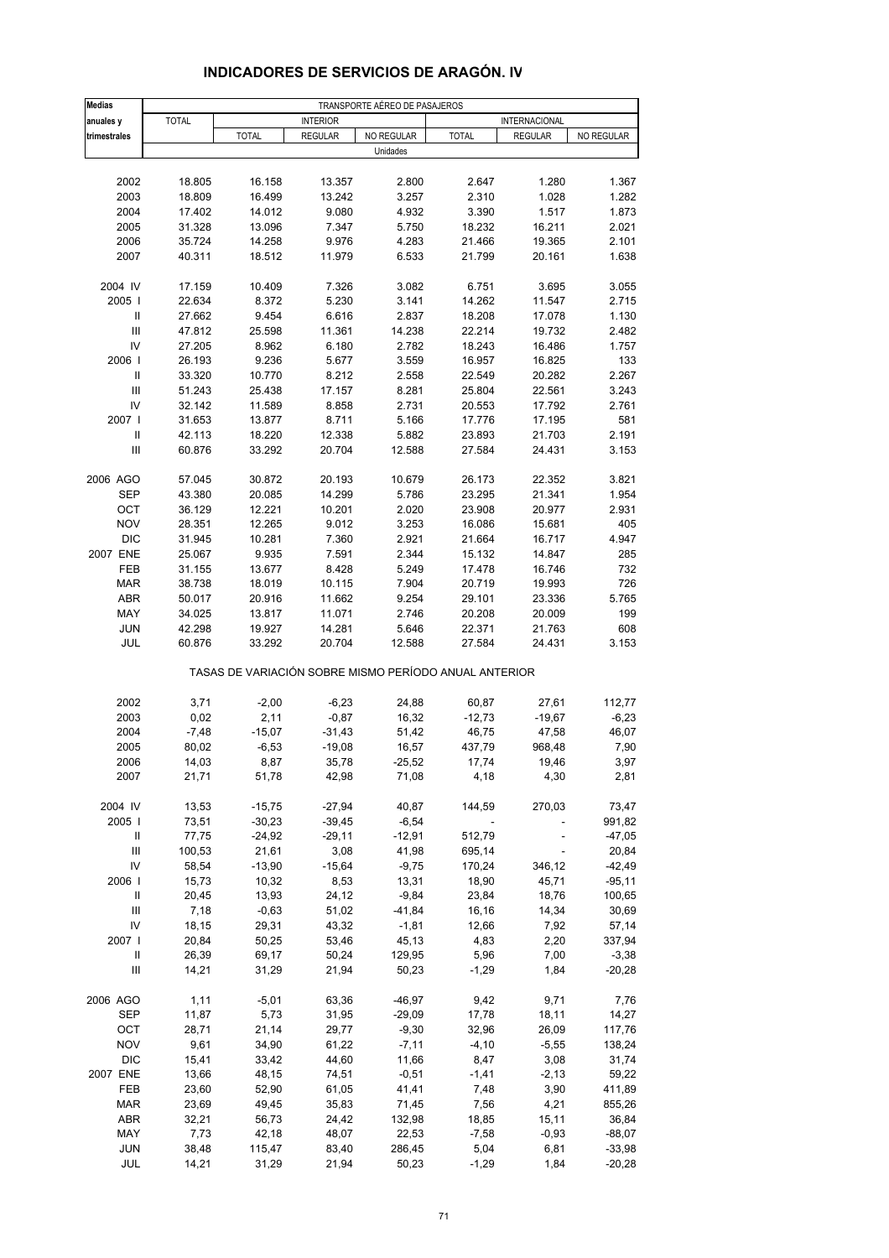| <b>Medias</b>                      |                  |                  |                 | TRANSPORTE AÉREO DE PASAJEROS |                                                       |                   |                    |
|------------------------------------|------------------|------------------|-----------------|-------------------------------|-------------------------------------------------------|-------------------|--------------------|
| anuales y                          | <b>TOTAL</b>     |                  | <b>INTERIOR</b> |                               |                                                       | INTERNACIONAL     |                    |
| trimestrales                       |                  | <b>TOTAL</b>     | <b>REGULAR</b>  | NO REGULAR                    | <b>TOTAL</b>                                          | <b>REGULAR</b>    | NO REGULAR         |
|                                    |                  |                  |                 | Unidades                      |                                                       |                   |                    |
|                                    |                  |                  |                 |                               |                                                       |                   |                    |
| 2002                               | 18.805           | 16.158           | 13.357          | 2.800                         | 2.647                                                 | 1.280             | 1.367              |
| 2003                               | 18.809           | 16.499           | 13.242          | 3.257                         | 2.310                                                 | 1.028             | 1.282              |
| 2004                               | 17.402           | 14.012           | 9.080           | 4.932                         | 3.390                                                 | 1.517             | 1.873              |
| 2005                               | 31.328           | 13.096           | 7.347           | 5.750                         | 18.232                                                | 16.211            | 2.021              |
| 2006                               | 35.724           | 14.258           | 9.976           | 4.283                         | 21.466                                                | 19.365            | 2.101              |
| 2007                               | 40.311           | 18.512           | 11.979          | 6.533                         | 21.799                                                | 20.161            | 1.638              |
| 2004 IV                            | 17.159           | 10.409           | 7.326           | 3.082                         | 6.751                                                 | 3.695             | 3.055              |
| 2005                               | 22.634           | 8.372            | 5.230           | 3.141                         | 14.262                                                | 11.547            | 2.715              |
| Ш                                  | 27.662           | 9.454            | 6.616           | 2.837                         | 18.208                                                | 17.078            | 1.130              |
| $\mathbf{III}$                     | 47.812           | 25.598           | 11.361          | 14.238                        | 22.214                                                | 19.732            | 2.482              |
| IV                                 | 27.205           | 8.962            | 6.180           | 2.782                         | 18.243                                                | 16.486            | 1.757              |
| 2006                               | 26.193           | 9.236            | 5.677           | 3.559                         | 16.957                                                | 16.825            | 133                |
| Ш                                  | 33.320           | 10.770           | 8.212           | 2.558                         | 22.549                                                | 20.282            | 2.267              |
| Ш                                  | 51.243           | 25.438           | 17.157          | 8.281                         | 25.804                                                | 22.561            | 3.243              |
| IV                                 | 32.142           | 11.589           | 8.858           | 2.731                         | 20.553                                                | 17.792            | 2.761              |
| 2007 l                             | 31.653           | 13.877           | 8.711           | 5.166                         | 17.776                                                | 17.195            | 581                |
| Ш                                  | 42.113           | 18.220           | 12.338          | 5.882                         | 23.893                                                | 21.703            | 2.191              |
| $\ensuremath{\mathsf{III}}\xspace$ | 60.876           | 33.292           | 20.704          | 12.588                        | 27.584                                                | 24.431            | 3.153              |
|                                    |                  |                  |                 |                               |                                                       |                   |                    |
| 2006 AGO                           | 57.045           | 30.872           | 20.193          | 10.679                        | 26.173                                                | 22.352            | 3.821              |
| <b>SEP</b>                         | 43.380           | 20.085           | 14.299          | 5.786                         | 23.295                                                | 21.341            | 1.954              |
| OCT                                | 36.129<br>28.351 | 12.221           | 10.201          | 2.020                         | 23.908<br>16.086                                      | 20.977            | 2.931              |
| <b>NOV</b><br><b>DIC</b>           |                  | 12.265<br>10.281 | 9.012<br>7.360  | 3.253<br>2.921                |                                                       | 15.681            | 405<br>4.947       |
| 2007 ENE                           | 31.945<br>25.067 | 9.935            | 7.591           | 2.344                         | 21.664<br>15.132                                      | 16.717<br>14.847  | 285                |
| FEB                                | 31.155           | 13.677           | 8.428           | 5.249                         | 17.478                                                | 16.746            | 732                |
| <b>MAR</b>                         | 38.738           | 18.019           | 10.115          | 7.904                         | 20.719                                                | 19.993            | 726                |
| <b>ABR</b>                         | 50.017           | 20.916           | 11.662          | 9.254                         | 29.101                                                | 23.336            | 5.765              |
| MAY                                | 34.025           | 13.817           | 11.071          | 2.746                         | 20.208                                                | 20.009            | 199                |
| <b>JUN</b>                         | 42.298           | 19.927           | 14.281          | 5.646                         | 22.371                                                | 21.763            | 608                |
| JUL                                | 60.876           | 33.292           | 20.704          | 12.588                        | 27.584                                                | 24.431            | 3.153              |
|                                    |                  |                  |                 |                               | TASAS DE VARIACIÓN SOBRE MISMO PERÍODO ANUAL ANTERIOR |                   |                    |
|                                    |                  |                  | $-6,23$         |                               |                                                       |                   |                    |
| 2002<br>2003                       | 3,71<br>0,02     | $-2,00$<br>2,11  | $-0,87$         | 24,88<br>16,32                | 60,87<br>$-12,73$                                     | 27,61<br>$-19,67$ | 112,77<br>$-6,23$  |
| 2004                               | $-7,48$          | $-15,07$         | -31,43          | 51,42                         | 46,75                                                 | 47,58             | 46,07              |
| 2005                               | 80,02            | $-6,53$          | $-19,08$        | 16,57                         | 437,79                                                | 968,48            | 7,90               |
| 2006                               | 14,03            | 8,87             | 35,78           | $-25,52$                      | 17,74                                                 | 19,46             | 3,97               |
| 2007                               | 21,71            | 51,78            | 42,98           | 71,08                         | 4,18                                                  | 4,30              | 2,81               |
|                                    |                  |                  |                 |                               |                                                       |                   |                    |
| 2004 IV                            | 13,53            | $-15,75$         | $-27,94$        | 40,87                         | 144,59                                                | 270,03            | 73,47              |
| 2005                               | 73,51            | $-30,23$         | $-39,45$        | $-6,54$                       | $\overline{\phantom{a}}$                              |                   | 991,82             |
| Ш                                  | 77,75            | $-24,92$         | $-29,11$        | $-12,91$                      | 512,79                                                |                   | $-47,05$           |
| $\mathbf{III}$                     | 100,53           | 21,61            | 3,08            | 41,98                         | 695,14                                                | ÷,                | 20,84              |
| IV<br>2006                         | 58,54            | $-13,90$         | $-15,64$        | $-9,75$                       | 170,24                                                | 346,12            | $-42,49$           |
| Ш                                  | 15,73<br>20,45   | 10,32<br>13,93   | 8,53<br>24,12   | 13,31<br>$-9,84$              | 18,90<br>23,84                                        | 45,71<br>18,76    | $-95,11$<br>100,65 |
| Ш                                  | 7,18             | $-0,63$          | 51,02           | $-41,84$                      | 16,16                                                 | 14,34             | 30,69              |
| IV                                 | 18,15            | 29,31            | 43,32           | $-1,81$                       | 12,66                                                 | 7,92              | 57,14              |
| 2007 I                             | 20,84            | 50,25            | 53,46           | 45,13                         | 4,83                                                  | 2,20              | 337,94             |
| Ш                                  | 26,39            | 69,17            | 50,24           | 129,95                        | 5,96                                                  | 7,00              | $-3,38$            |
| Ш                                  | 14,21            | 31,29            | 21,94           | 50,23                         | $-1,29$                                               | 1,84              | $-20,28$           |
|                                    |                  |                  |                 |                               |                                                       |                   |                    |
| 2006 AGO                           | 1,11             | $-5,01$          | 63,36           | $-46,97$                      | 9,42                                                  | 9,71              | 7,76               |
| SEP                                | 11,87            | 5,73             | 31,95           | $-29,09$                      | 17,78                                                 | 18,11             | 14,27              |
| OCT                                | 28,71            | 21,14            | 29,77           | $-9,30$                       | 32,96                                                 | 26,09             | 117,76             |
| <b>NOV</b>                         | 9,61             | 34,90            | 61,22           | $-7,11$                       | $-4,10$                                               | $-5,55$           | 138,24             |
| <b>DIC</b>                         | 15,41            | 33,42            | 44,60           | 11,66                         | 8,47                                                  | 3,08              | 31,74              |
| 2007 ENE                           | 13,66            | 48,15            | 74,51           | $-0,51$                       | $-1,41$                                               | $-2,13$           | 59,22              |
| FEB<br><b>MAR</b>                  | 23,60<br>23,69   | 52,90<br>49,45   | 61,05<br>35,83  | 41,41<br>71,45                | 7,48<br>7,56                                          | 3,90<br>4,21      | 411,89<br>855,26   |
| <b>ABR</b>                         | 32,21            | 56,73            | 24,42           | 132,98                        | 18,85                                                 | 15,11             | 36,84              |
| MAY                                | 7,73             | 42,18            | 48,07           | 22,53                         | $-7,58$                                               | $-0,93$           | $-88,07$           |
| <b>JUN</b>                         | 38,48            | 115,47           | 83,40           | 286,45                        | 5,04                                                  | 6,81              | $-33,98$           |
| JUL                                | 14,21            | 31,29            | 21,94           | 50,23                         | $-1,29$                                               | 1,84              | $-20,28$           |

### **INDICADORES DE SERVICIOS DE ARAGÓN. IV**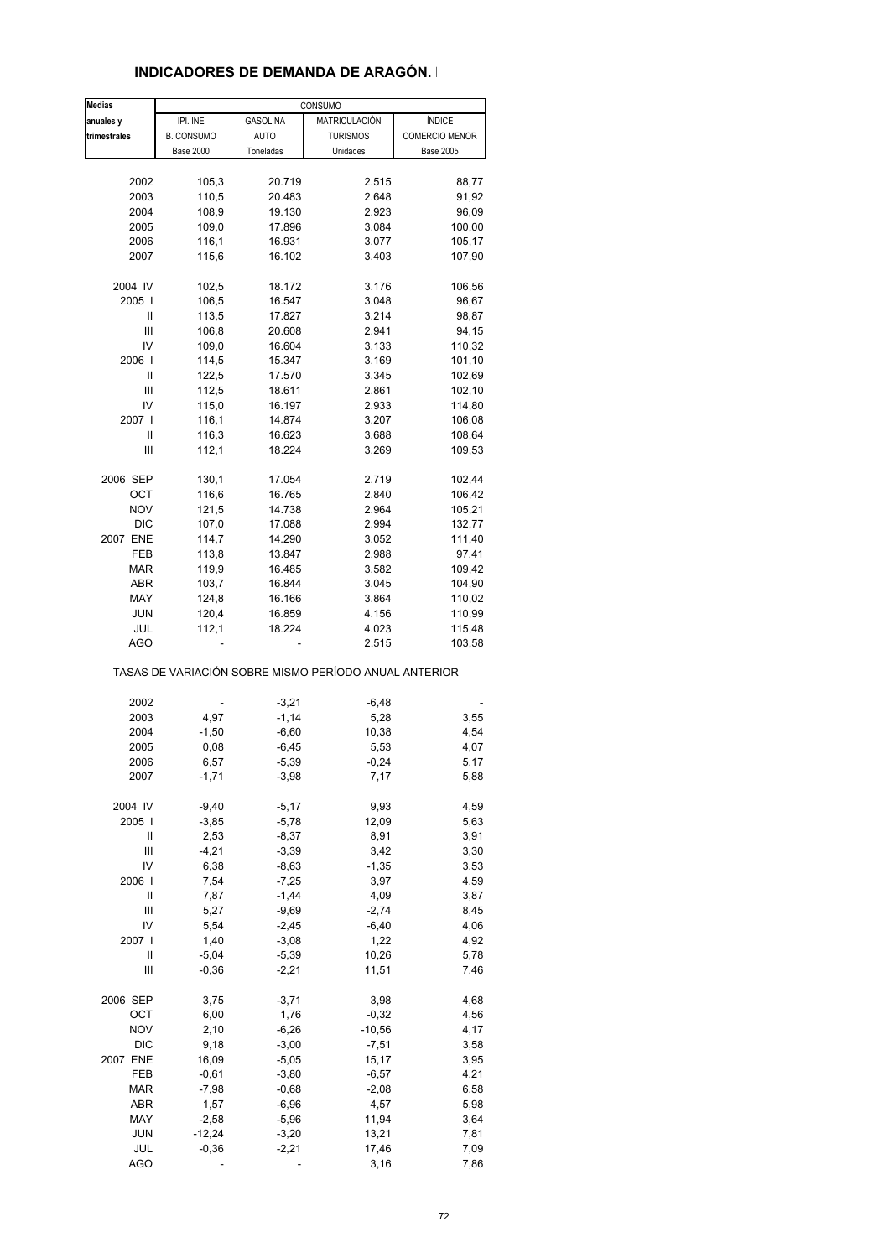### **INDICADORES DE DEMANDA DE ARAGÓN. I**

| <b>Medias</b> |                   |                 | CONSUMO                                               |                       |
|---------------|-------------------|-----------------|-------------------------------------------------------|-----------------------|
| anuales y     | IPI. INE          | <b>GASOLINA</b> | MATRICULACIÓN                                         | ÍNDICE                |
| trimestrales  | <b>B. CONSUMO</b> | AUTO            | <b>TURISMOS</b>                                       | <b>COMERCIO MENOR</b> |
|               | <b>Base 2000</b>  | Toneladas       | Unidades                                              | <b>Base 2005</b>      |
|               |                   |                 |                                                       |                       |
| 2002          | 105,3             | 20.719          | 2.515                                                 | 88,77                 |
| 2003          | 110,5             | 20.483          | 2.648                                                 | 91,92                 |
|               |                   |                 | 2.923                                                 |                       |
| 2004          | 108,9             | 19.130          |                                                       | 96,09                 |
| 2005          | 109,0             | 17.896          | 3.084                                                 | 100,00                |
| 2006          | 116,1             | 16.931          | 3.077                                                 | 105,17                |
| 2007          | 115,6             | 16.102          | 3.403                                                 | 107,90                |
|               |                   |                 |                                                       |                       |
| 2004 IV       | 102,5             | 18.172          | 3.176                                                 | 106,56                |
| 2005          | 106,5             | 16.547          | 3.048                                                 | 96,67                 |
| Ш             | 113,5             | 17.827          | 3.214                                                 | 98,87                 |
| Ш             | 106,8             | 20.608          | 2.941                                                 | 94,15                 |
| IV            | 109,0             | 16.604          | 3.133                                                 | 110,32                |
| 2006          | 114,5             | 15.347          | 3.169                                                 | 101,10                |
| Ш             | 122,5             | 17.570          | 3.345                                                 | 102,69                |
| Ш             | 112,5             | 18.611          | 2.861                                                 | 102,10                |
| IV            | 115,0             | 16.197          | 2.933                                                 | 114,80                |
| 2007 I        | 116,1             | 14.874          | 3.207                                                 | 106,08                |
| Ш             | 116,3             | 16.623          | 3.688                                                 | 108,64                |
| Ш             | 112,1             | 18.224          | 3.269                                                 | 109,53                |
|               |                   |                 |                                                       |                       |
| 2006 SEP      | 130,1             | 17.054          | 2.719                                                 | 102,44                |
| OCT           | 116,6             | 16.765          | 2.840                                                 | 106,42                |
| <b>NOV</b>    | 121,5             | 14.738          | 2.964                                                 | 105,21                |
| <b>DIC</b>    | 107,0             | 17.088          | 2.994                                                 | 132,77                |
| 2007 ENE      | 114,7             | 14.290          |                                                       | 111,40                |
|               |                   |                 | 3.052                                                 |                       |
| FEB           | 113,8             | 13.847          | 2.988                                                 | 97,41                 |
| <b>MAR</b>    | 119,9             | 16.485          | 3.582                                                 | 109,42                |
| ABR           | 103,7             | 16.844          | 3.045                                                 | 104,90                |
| MAY           | 124,8             | 16.166          | 3.864                                                 | 110,02                |
| JUN           | 120,4             | 16.859          | 4.156                                                 | 110,99                |
| JUL           | 112,1             | 18.224          | 4.023                                                 | 115,48                |
| AGO           |                   |                 | 2.515                                                 | 103,58                |
|               |                   |                 | TASAS DE VARIACIÓN SOBRE MISMO PERÍODO ANUAL ANTERIOR |                       |
|               |                   | $-3,21$         | $-6,48$                                               |                       |
| 2002          |                   |                 |                                                       |                       |
| 2003          | 4,97              | $-1,14$         | 5,28                                                  | 3,55                  |
| 2004          | $-1,50$           | $-6,60$         | 10,38                                                 | 4,54                  |
| 2005          | 0,08              | $-6,45$         | 5,53                                                  | 4,07                  |
| 2006          | 6,57              | $-5,39$         | $-0,24$                                               | 5,17                  |
| 2007          | $-1,71$           | $-3,98$         | 7,17                                                  | 5,88                  |
|               |                   |                 |                                                       |                       |
| 2004 IV       | $-9,40$           | $-5,17$         | 9,93                                                  | 4,59                  |
| 2005          | $-3,85$           | $-5,78$         | 12,09                                                 | 5,63                  |
| Ш             | 2,53              | $-8,37$         | 8,91                                                  | 3,91                  |
| Ш             | $-4,21$           | $-3,39$         | 3,42                                                  | 3,30                  |
| IV            | 6,38              | $-8,63$         | $-1,35$                                               | 3,53                  |
| 2006          | 7,54              | $-7,25$         | 3,97                                                  | 4,59                  |
| Ш             | 7,87              | $-1,44$         | 4,09                                                  | 3,87                  |
| Ш             | 5,27              | $-9,69$         | $-2,74$                                               | 8,45                  |
| IV            | 5,54              | $-2,45$         | $-6,40$                                               | 4,06                  |
| 2007 l        | 1,40              | $-3,08$         | 1,22                                                  | 4,92                  |
| Ш             | $-5,04$           | $-5,39$         | 10,26                                                 | 5,78                  |
| Ш             | $-0,36$           | $-2,21$         | 11,51                                                 | 7,46                  |
|               |                   |                 |                                                       |                       |
| 2006 SEP      | 3,75              | $-3,71$         | 3,98                                                  | 4,68                  |
| ОСТ           | 6,00              | 1,76            | $-0,32$                                               | 4,56                  |
| <b>NOV</b>    | 2,10              | $-6,26$         | $-10,56$                                              | 4,17                  |
| <b>DIC</b>    | 9,18              | $-3,00$         | $-7,51$                                               | 3,58                  |
| 2007 ENE      | 16,09             | $-5,05$         | 15,17                                                 | 3,95                  |
| FEB           | $-0,61$           | $-3,80$         | $-6,57$                                               | 4,21                  |
| MAR           | $-7,98$           | $-0,68$         | $-2,08$                                               | 6,58                  |
| ABR           | 1,57              | $-6,96$         | 4,57                                                  | 5,98                  |
| MAY           | $-2,58$           | $-5,96$         | 11,94                                                 | 3,64                  |
| <b>JUN</b>    | $-12,24$          | $-3,20$         | 13,21                                                 | 7,81                  |
| JUL           | $-0,36$           | $-2,21$         | 17,46                                                 | 7,09                  |
| <b>AGO</b>    |                   |                 | 3,16                                                  | 7,86                  |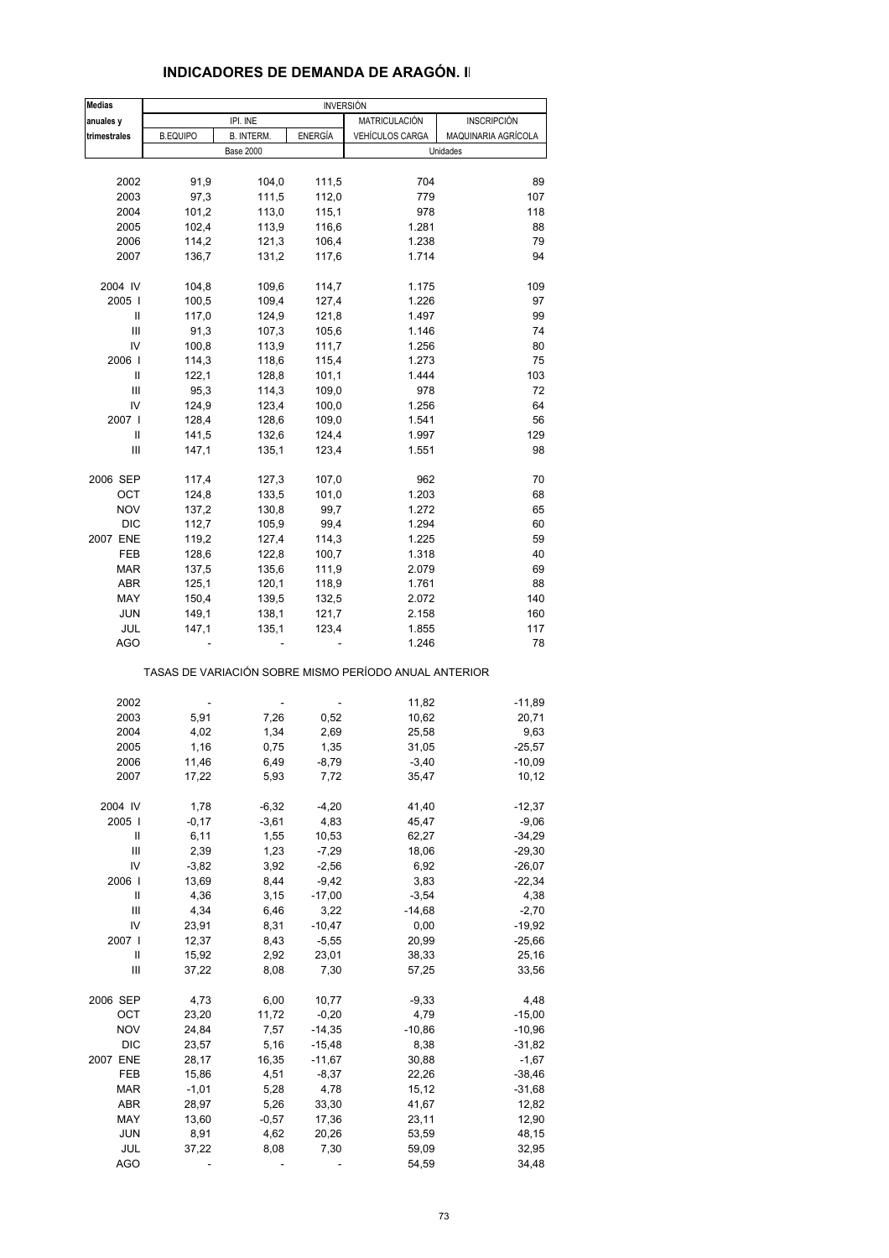### **INDICADORES DE DEMANDA DE ARAGÓN. II**

| <b>Medias</b> | <b>INVERSIÓN</b> |                   |                |                                                       |                     |  |
|---------------|------------------|-------------------|----------------|-------------------------------------------------------|---------------------|--|
| anuales y     |                  | IPI. INE          |                | MATRICULACIÓN                                         | <b>INSCRIPCIÓN</b>  |  |
| trimestrales  | <b>B.EQUIPO</b>  | <b>B. INTERM.</b> | ENERGÍA        | <b>VEHÍCULOS CARGA</b>                                | MAQUINARIA AGRÍCOLA |  |
|               |                  | <b>Base 2000</b>  |                |                                                       | Unidades            |  |
| 2002          | 91,9             | 104,0             | 111,5          | 704                                                   | 89                  |  |
| 2003          | 97,3             | 111,5             | 112,0          | 779                                                   | 107                 |  |
| 2004          | 101,2            | 113,0             | 115,1          | 978                                                   | 118                 |  |
| 2005          | 102,4            | 113,9             | 116,6          | 1.281                                                 | 88                  |  |
| 2006          | 114,2            | 121,3             | 106,4          | 1.238                                                 | 79                  |  |
| 2007          | 136,7            | 131,2             | 117,6          | 1.714                                                 | 94                  |  |
|               |                  |                   |                |                                                       |                     |  |
| 2004 IV       | 104,8            | 109,6             | 114,7          | 1.175                                                 | 109                 |  |
| 2005          | 100,5            | 109,4             | 127,4          | 1.226                                                 | 97                  |  |
| Ш             | 117,0            | 124,9             | 121,8          | 1.497                                                 | 99                  |  |
| Ш             | 91,3             | 107,3             | 105,6          | 1.146                                                 | 74                  |  |
| IV            | 100,8            | 113,9             | 111,7          | 1.256                                                 | 80                  |  |
| 2006          | 114,3            | 118,6             | 115,4          | 1.273                                                 | 75                  |  |
| Ш             | 122,1            | 128,8             | 101,1          | 1.444                                                 | 103                 |  |
| Ш<br>IV       | 95,3             | 114,3             | 109,0          | 978<br>1.256                                          | 72<br>64            |  |
| 2007 l        | 124,9<br>128,4   | 123,4<br>128,6    | 100,0<br>109,0 | 1.541                                                 | 56                  |  |
| Ш             | 141,5            | 132,6             | 124,4          | 1.997                                                 | 129                 |  |
| Ш             | 147,1            | 135,1             | 123,4          | 1.551                                                 | 98                  |  |
|               |                  |                   |                |                                                       |                     |  |
| 2006 SEP      | 117,4            | 127,3             | 107,0          | 962                                                   | 70                  |  |
| OCT           | 124,8            | 133,5             | 101,0          | 1.203                                                 | 68                  |  |
| <b>NOV</b>    | 137,2            | 130,8             | 99,7           | 1.272                                                 | 65                  |  |
| DIC           | 112,7            | 105,9             | 99,4           | 1.294                                                 | 60                  |  |
| 2007 ENE      | 119,2            | 127,4             | 114,3          | 1.225                                                 | 59                  |  |
| FEB           | 128,6            | 122,8             | 100,7          | 1.318                                                 | 40                  |  |
| <b>MAR</b>    | 137,5            | 135,6             | 111,9          | 2.079                                                 | 69                  |  |
| <b>ABR</b>    | 125,1            | 120,1             | 118,9          | 1.761                                                 | 88                  |  |
| MAY           | 150,4            | 139,5             | 132,5          | 2.072                                                 | 140                 |  |
| JUN<br>JUL    | 149,1<br>147,1   | 138,1<br>135,1    | 121,7<br>123,4 | 2.158<br>1.855                                        | 160<br>117          |  |
| <b>AGO</b>    |                  |                   |                | 1.246                                                 | 78                  |  |
|               |                  |                   |                |                                                       |                     |  |
|               |                  |                   |                | TASAS DE VARIACIÓN SOBRE MISMO PERÍODO ANUAL ANTERIOR |                     |  |
| 2002          |                  |                   | ä,             | 11,82                                                 | $-11,89$            |  |
| 2003          | 5,91             | 7,26              | 0,52           | 10,62                                                 | 20,71               |  |
| 2004          | 4,02             | 1,34              | 2,69           | 25,58                                                 | 9,63                |  |
| 2005          | 1,16             | 0,75              | 1,35           | 31,05                                                 | $-25,57$            |  |
| 2006          | 11,46            | 6,49              | $-8,79$        | $-3,40$                                               | $-10,09$            |  |
| 2007          | 17,22            | 5,93              | 7,72           | 35,47                                                 | 10,12               |  |
| 2004 IV       | 1,78             | $-6,32$           | $-4,20$        | 41,40                                                 | $-12,37$            |  |
| 2005          | $-0,17$          | $-3,61$           | 4,83           | 45,47                                                 | $-9,06$             |  |
| Ш             | 6, 11            | 1,55              | 10,53          | 62,27                                                 | $-34,29$            |  |
| Ш             | 2,39             | 1,23              | $-7,29$        | 18,06                                                 | $-29,30$            |  |
| IV            | $-3,82$          | 3,92              | $-2,56$        | 6,92                                                  | $-26,07$            |  |
| 2006          | 13,69            | 8,44              | $-9,42$        | 3,83                                                  | $-22,34$            |  |
| Ш             | 4,36             | 3,15              | $-17,00$       | $-3,54$                                               | 4,38                |  |
| Ш             | 4,34             | 6,46              | 3,22           | $-14,68$                                              | $-2,70$             |  |
| IV            | 23,91            | 8,31              | $-10,47$       | 0,00                                                  | $-19,92$            |  |
| 2007 l        | 12,37            | 8,43              | $-5,55$        | 20,99                                                 | $-25,66$            |  |
| Ш             | 15,92            | 2,92              | 23,01          | 38,33                                                 | 25,16               |  |
| Ш             | 37,22            | 8,08              | 7,30           | 57,25                                                 | 33,56               |  |
| 2006 SEP      | 4,73             | 6,00              | 10,77          | $-9,33$                                               | 4,48                |  |
| ОСТ           | 23,20            | 11,72             | $-0,20$        | 4,79                                                  | $-15,00$            |  |
| <b>NOV</b>    | 24,84            | 7,57              | $-14,35$       | $-10,86$                                              | $-10,96$            |  |
| DIC           | 23,57            | 5,16              | $-15,48$       | 8,38                                                  | $-31,82$            |  |
| 2007 ENE      | 28,17            | 16,35             | $-11,67$       | 30,88                                                 | $-1,67$             |  |
| FEB           | 15,86            | 4,51              | $-8,37$        | 22,26                                                 | $-38,46$            |  |
| <b>MAR</b>    | $-1,01$          | 5,28              | 4,78           | 15,12                                                 | $-31,68$            |  |
| ABR           | 28,97            | 5,26              | 33,30          | 41,67                                                 | 12,82               |  |
| MAY           | 13,60            | $-0,57$           | 17,36          | 23,11                                                 | 12,90               |  |
| <b>JUN</b>    | 8,91             | 4,62              | 20,26          | 53,59                                                 | 48,15               |  |
| JUL           | 37,22            | 8,08              | 7,30           | 59,09                                                 | 32,95               |  |
| <b>AGO</b>    |                  |                   |                | 54,59                                                 | 34,48               |  |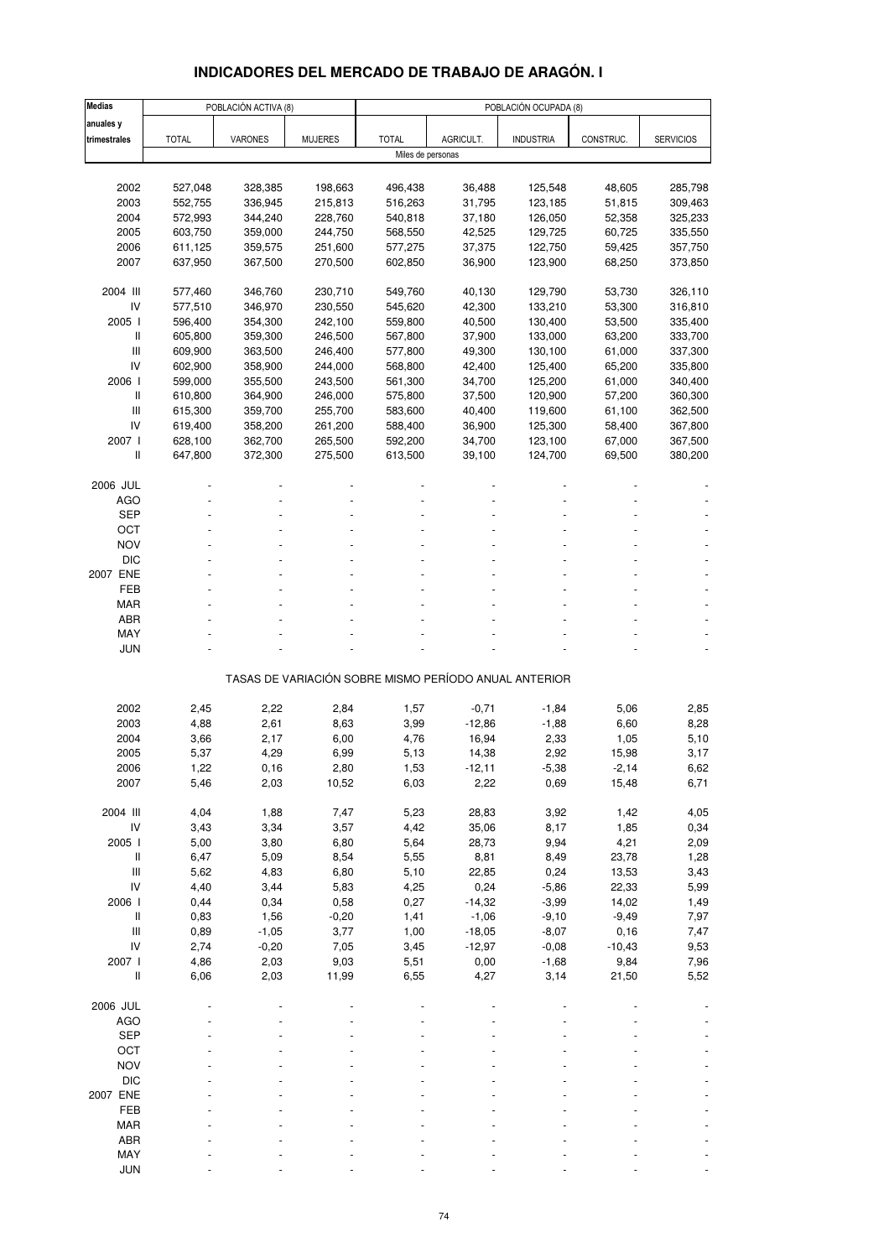### **INDICADORES DEL MERCADO DE TRABAJO DE ARAGÓN. I**

| <b>Medias</b>                                                             |              | POBLACIÓN ACTIVA (8) |                | POBLACIÓN OCUPADA (8) |           |                                                       |           |                  |  |  |
|---------------------------------------------------------------------------|--------------|----------------------|----------------|-----------------------|-----------|-------------------------------------------------------|-----------|------------------|--|--|
| anuales y                                                                 |              |                      |                |                       |           |                                                       |           |                  |  |  |
| trimestrales                                                              | <b>TOTAL</b> | <b>VARONES</b>       | <b>MUJERES</b> | <b>TOTAL</b>          | AGRICULT. | <b>INDUSTRIA</b>                                      | CONSTRUC. | <b>SERVICIOS</b> |  |  |
|                                                                           |              |                      |                | Miles de personas     |           |                                                       |           |                  |  |  |
|                                                                           |              |                      |                |                       |           |                                                       |           |                  |  |  |
| 2002                                                                      | 527,048      | 328,385              | 198,663        | 496,438               | 36,488    | 125,548                                               | 48,605    | 285,798          |  |  |
| 2003                                                                      | 552,755      | 336,945              | 215,813        | 516,263               | 31,795    | 123,185                                               | 51,815    | 309,463          |  |  |
| 2004                                                                      | 572,993      | 344,240              | 228,760        | 540,818               | 37,180    | 126,050                                               | 52,358    | 325,233          |  |  |
| 2005                                                                      | 603,750      | 359,000              | 244,750        | 568,550               | 42,525    | 129,725                                               | 60,725    | 335,550          |  |  |
| 2006                                                                      | 611,125      | 359,575              | 251,600        | 577,275               | 37,375    | 122,750                                               | 59,425    | 357,750          |  |  |
|                                                                           |              |                      |                |                       |           |                                                       |           |                  |  |  |
| 2007                                                                      | 637,950      | 367,500              | 270,500        | 602,850               | 36,900    | 123,900                                               | 68,250    | 373,850          |  |  |
| 2004 III                                                                  | 577,460      | 346,760              | 230,710        | 549,760               | 40,130    | 129,790                                               | 53,730    | 326,110          |  |  |
| IV                                                                        | 577,510      | 346,970              | 230,550        | 545,620               | 42,300    | 133,210                                               | 53,300    | 316,810          |  |  |
| 2005 l                                                                    |              |                      |                | 559,800               |           |                                                       |           |                  |  |  |
|                                                                           | 596,400      | 354,300              | 242,100        |                       | 40,500    | 130,400                                               | 53,500    | 335,400          |  |  |
| Ш                                                                         | 605,800      | 359,300              | 246,500        | 567,800               | 37,900    | 133,000                                               | 63,200    | 333,700          |  |  |
| Ш                                                                         | 609,900      | 363,500              | 246,400        | 577,800               | 49,300    | 130,100                                               | 61,000    | 337,300          |  |  |
| IV                                                                        | 602,900      | 358,900              | 244,000        | 568,800               | 42,400    | 125,400                                               | 65,200    | 335,800          |  |  |
| 2006 l                                                                    | 599,000      | 355,500              | 243,500        | 561,300               | 34,700    | 125,200                                               | 61,000    | 340,400          |  |  |
| Ш                                                                         | 610,800      | 364,900              | 246,000        | 575,800               | 37,500    | 120,900                                               | 57,200    | 360,300          |  |  |
| $\mathsf{III}$                                                            | 615,300      | 359,700              | 255,700        | 583,600               | 40,400    | 119,600                                               | 61,100    | 362,500          |  |  |
| IV                                                                        | 619,400      | 358,200              | 261,200        | 588,400               | 36,900    | 125,300                                               | 58,400    | 367,800          |  |  |
| 2007 l                                                                    | 628,100      | 362,700              | 265,500        | 592,200               | 34,700    | 123,100                                               | 67,000    | 367,500          |  |  |
| Ш                                                                         | 647,800      | 372,300              | 275,500        | 613,500               | 39,100    | 124,700                                               | 69,500    | 380,200          |  |  |
|                                                                           |              |                      |                |                       |           |                                                       |           |                  |  |  |
| 2006 JUL                                                                  |              |                      |                |                       |           |                                                       |           |                  |  |  |
| <b>AGO</b>                                                                |              |                      |                |                       |           |                                                       |           |                  |  |  |
| <b>SEP</b>                                                                |              |                      |                |                       |           |                                                       |           |                  |  |  |
| ОСТ                                                                       |              |                      |                |                       |           |                                                       |           |                  |  |  |
| <b>NOV</b>                                                                |              |                      |                |                       |           |                                                       |           |                  |  |  |
| <b>DIC</b>                                                                |              |                      |                |                       |           |                                                       |           |                  |  |  |
| 2007 ENE                                                                  |              |                      |                |                       |           |                                                       |           |                  |  |  |
|                                                                           |              |                      |                |                       |           |                                                       |           |                  |  |  |
| FEB                                                                       |              |                      |                |                       |           |                                                       |           |                  |  |  |
| <b>MAR</b>                                                                |              |                      |                |                       |           |                                                       |           |                  |  |  |
| <b>ABR</b>                                                                |              |                      |                |                       |           |                                                       |           |                  |  |  |
| MAY                                                                       |              |                      |                |                       |           |                                                       |           |                  |  |  |
| JUN                                                                       |              |                      |                |                       |           |                                                       |           |                  |  |  |
|                                                                           |              |                      |                |                       |           | TASAS DE VARIACIÓN SOBRE MISMO PERÍODO ANUAL ANTERIOR |           |                  |  |  |
|                                                                           |              |                      |                |                       |           |                                                       |           |                  |  |  |
| 2002                                                                      | 2,45         | 2,22                 | 2,84           | 1,57                  | $-0,71$   | $-1,84$                                               | 5,06      | 2,85             |  |  |
| 2003                                                                      | 4,88         | 2,61                 | 8,63           | 3,99                  | $-12,86$  | $-1,88$                                               | 6,60      | 8,28             |  |  |
| 2004                                                                      | 3,66         | 2,17                 | 6,00           | 4,76                  | 16,94     | 2,33                                                  | 1,05      | 5,10             |  |  |
| 2005                                                                      | 5,37         | 4,29                 | 6,99           | 5,13                  | 14,38     | 2,92                                                  | 15,98     | 3,17             |  |  |
| 2006                                                                      | 1,22         | 0,16                 | 2,80           | 1,53                  | -12,11    | $-5,38$                                               | $-2,14$   | 6,62             |  |  |
| 2007                                                                      | 5,46         | 2,03                 | 10,52          | 6,03                  | 2,22      | 0,69                                                  | 15,48     | 6,71             |  |  |
|                                                                           |              |                      |                |                       |           |                                                       |           |                  |  |  |
| 2004 III                                                                  | 4,04         | 1,88                 | 7,47           | 5,23                  | 28,83     | 3,92                                                  | 1,42      | 4,05             |  |  |
| IV                                                                        | 3,43         | 3,34                 | 3,57           | 4,42                  | 35,06     | 8,17                                                  | 1,85      | 0,34             |  |  |
| 2005 l                                                                    | 5,00         | 3,80                 | 6,80           | 5,64                  | 28,73     | 9,94                                                  | 4,21      | 2,09             |  |  |
| $\, \parallel$                                                            | 6,47         | 5,09                 | 8,54           | 5,55                  | 8,81      | 8,49                                                  | 23,78     | 1,28             |  |  |
| $\ensuremath{\mathsf{III}}\xspace$                                        | 5,62         | 4,83                 | 6,80           | 5,10                  | 22,85     | 0,24                                                  | 13,53     | 3,43             |  |  |
| IV                                                                        | 4,40         | 3,44                 | 5,83           | 4,25                  | 0,24      | $-5,86$                                               | 22,33     | 5,99             |  |  |
| 2006 l                                                                    | 0,44         | 0,34                 | 0,58           | 0,27                  | $-14,32$  | $-3,99$                                               | 14,02     | 1,49             |  |  |
| $\, \parallel$                                                            | 0,83         | 1,56                 | $-0,20$        | 1,41                  | $-1,06$   | $-9,10$                                               | $-9,49$   | 7,97             |  |  |
|                                                                           |              |                      |                |                       |           |                                                       |           |                  |  |  |
| $\mathsf{III}$                                                            | 0,89         | $-1,05$              | 3,77           | 1,00                  | $-18,05$  | $-8,07$                                               | 0, 16     | 7,47             |  |  |
| IV                                                                        | 2,74         | $-0,20$              | 7,05           | 3,45                  | $-12,97$  | $-0,08$                                               | $-10,43$  | 9,53             |  |  |
| 2007 l                                                                    | 4,86         | 2,03                 | 9,03           | 5,51                  | 0,00      | $-1,68$                                               | 9,84      | 7,96             |  |  |
| $\label{eq:1} \prod_{i=1}^n \left\{ \prod_{i=1}^n \frac{1}{n_i} \right\}$ | 6,06         | 2,03                 | 11,99          | 6,55                  | 4,27      | 3,14                                                  | 21,50     | 5,52             |  |  |
|                                                                           |              |                      |                |                       |           |                                                       |           |                  |  |  |
| 2006 JUL                                                                  |              |                      |                |                       |           |                                                       |           |                  |  |  |
| <b>AGO</b>                                                                |              |                      |                |                       |           |                                                       |           |                  |  |  |
| <b>SEP</b>                                                                |              |                      |                |                       |           |                                                       |           |                  |  |  |
| OCT                                                                       |              |                      |                |                       |           |                                                       |           |                  |  |  |
| <b>NOV</b>                                                                |              |                      |                |                       |           |                                                       |           |                  |  |  |
| <b>DIC</b>                                                                |              |                      |                |                       |           |                                                       |           |                  |  |  |
| 2007 ENE                                                                  |              |                      |                |                       |           |                                                       |           |                  |  |  |
| FEB                                                                       |              |                      |                |                       |           |                                                       |           |                  |  |  |
| <b>MAR</b>                                                                |              |                      |                |                       |           |                                                       |           |                  |  |  |
| ABR                                                                       |              |                      |                |                       |           |                                                       |           |                  |  |  |
|                                                                           |              |                      |                |                       |           |                                                       |           |                  |  |  |
| MAY                                                                       |              |                      |                |                       |           |                                                       |           |                  |  |  |
| <b>JUN</b>                                                                |              |                      |                |                       |           |                                                       |           |                  |  |  |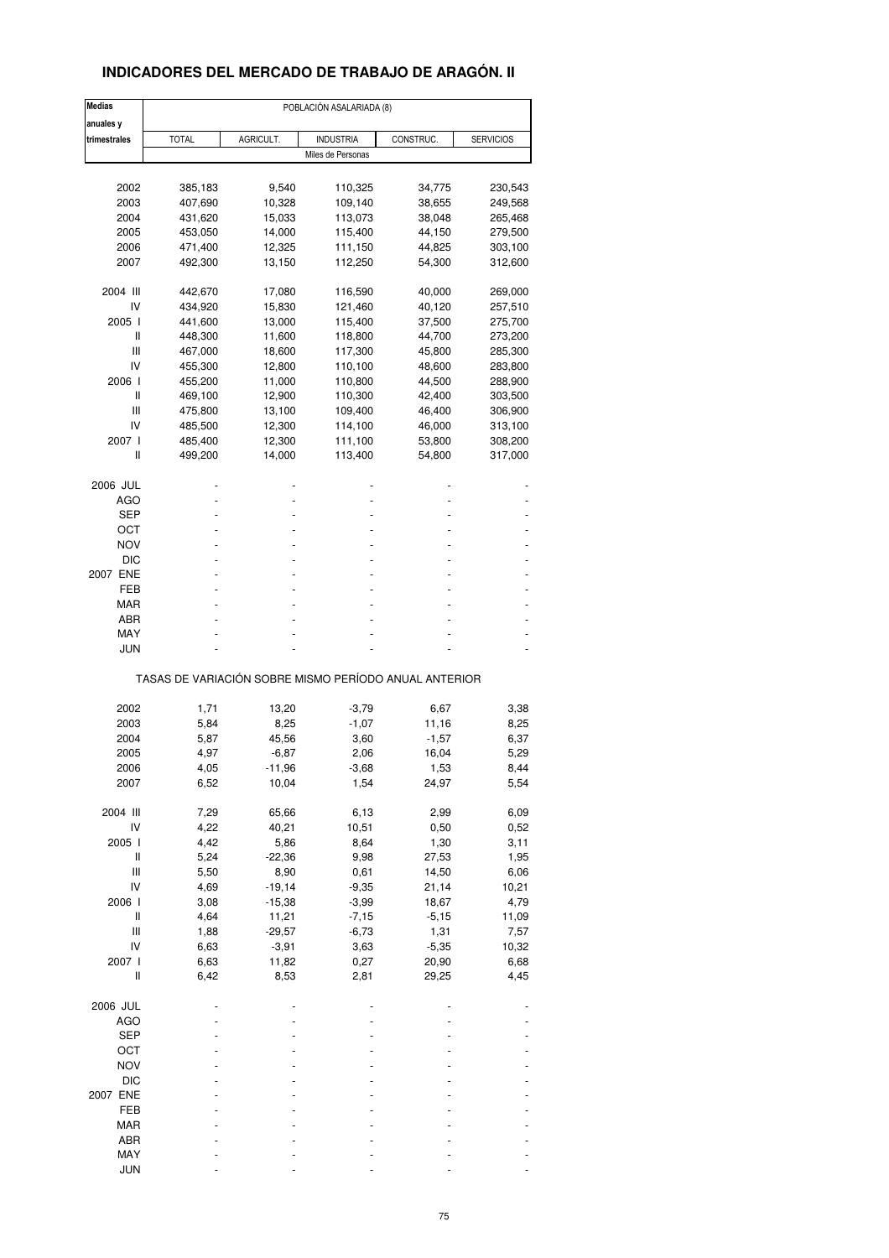### **INDICADORES DEL MERCADO DE TRABAJO DE ARAGÓN. II**

| <b>Medias</b> | POBLACIÓN ASALARIADA (8) |           |                                                       |           |                  |  |  |
|---------------|--------------------------|-----------|-------------------------------------------------------|-----------|------------------|--|--|
| anuales y     |                          |           |                                                       |           |                  |  |  |
| trimestrales  | <b>TOTAL</b>             | AGRICULT. | <b>INDUSTRIA</b>                                      | CONSTRUC. | <b>SERVICIOS</b> |  |  |
|               |                          |           | Miles de Personas                                     |           |                  |  |  |
|               |                          |           |                                                       |           |                  |  |  |
| 2002          | 385,183                  | 9,540     | 110,325                                               | 34,775    | 230,543          |  |  |
| 2003          | 407,690                  | 10,328    | 109,140                                               | 38,655    | 249,568          |  |  |
| 2004          | 431,620                  | 15,033    | 113,073                                               | 38,048    | 265,468          |  |  |
| 2005          | 453,050                  | 14,000    | 115,400                                               | 44,150    | 279,500          |  |  |
| 2006          | 471,400                  | 12,325    | 111,150                                               | 44,825    | 303,100          |  |  |
| 2007          | 492,300                  | 13,150    | 112,250                                               | 54,300    | 312,600          |  |  |
|               |                          |           |                                                       |           |                  |  |  |
| 2004 III      | 442,670                  | 17,080    | 116,590                                               | 40,000    | 269,000          |  |  |
| IV            | 434,920                  | 15,830    | 121,460                                               | 40,120    | 257,510          |  |  |
| 2005 l        | 441,600                  | 13,000    | 115,400                                               | 37,500    | 275,700          |  |  |
| Ш             | 448,300                  | 11,600    | 118,800                                               | 44,700    | 273,200          |  |  |
| Ш             | 467,000                  | 18,600    | 117,300                                               | 45,800    | 285,300          |  |  |
| IV            | 455,300                  | 12,800    | 110,100                                               | 48,600    | 283,800          |  |  |
|               |                          |           |                                                       |           |                  |  |  |
| 2006 l        | 455,200                  | 11,000    | 110,800                                               | 44,500    | 288,900          |  |  |
| Ш             | 469,100                  | 12,900    | 110,300                                               | 42,400    | 303,500          |  |  |
| Ш             | 475,800                  | 13,100    | 109,400                                               | 46,400    | 306,900          |  |  |
| IV            | 485,500                  | 12,300    | 114,100                                               | 46,000    | 313,100          |  |  |
| 2007 l        | 485,400                  | 12,300    | 111,100                                               | 53,800    | 308,200          |  |  |
| Ш             | 499,200                  | 14,000    | 113,400                                               | 54,800    | 317,000          |  |  |
|               |                          |           |                                                       |           |                  |  |  |
| 2006 JUL      |                          |           |                                                       |           |                  |  |  |
| AGO           |                          |           |                                                       |           |                  |  |  |
| SEP           |                          |           |                                                       |           |                  |  |  |
| ост           |                          |           |                                                       |           |                  |  |  |
| <b>NOV</b>    |                          |           |                                                       |           |                  |  |  |
| <b>DIC</b>    |                          |           |                                                       |           |                  |  |  |
|               |                          |           |                                                       |           |                  |  |  |
| 2007 ENE      |                          |           |                                                       |           |                  |  |  |
| FEB           |                          |           |                                                       |           |                  |  |  |
| MAR           |                          |           |                                                       |           |                  |  |  |
| ABR           |                          |           |                                                       |           |                  |  |  |
| MAY           |                          |           |                                                       |           |                  |  |  |
| <b>JUN</b>    |                          |           |                                                       |           |                  |  |  |
|               |                          |           |                                                       |           |                  |  |  |
|               |                          |           | TASAS DE VARIACIÓN SOBRE MISMO PERÍODO ANUAL ANTERIOR |           |                  |  |  |
| 2002          | 1,71                     | 13,20     | $-3,79$                                               | 6,67      | 3,38             |  |  |
| 2003          |                          |           |                                                       |           |                  |  |  |
|               | 5,84                     | 8,25      | $-1,07$                                               | 11,16     | 8,25             |  |  |
| 2004          | 5,87                     | 45,56     | 3,60                                                  | $-1,57$   | 6,37             |  |  |
| 2005          | 4,97                     | $-6,87$   | 2,06                                                  | 16,04     | 5,29             |  |  |
| 2006          | 4,05                     | $-11,96$  | $-3,68$                                               | 1,53      | 8,44             |  |  |
| 2007          | 6,52                     | 10,04     | 1,54                                                  | 24,97     | 5,54             |  |  |
|               |                          |           |                                                       |           |                  |  |  |
| 2004 III      | 7,29                     | 65,66     | 6,13                                                  | 2,99      | 6,09             |  |  |
| IV            | 4,22                     | 40,21     | 10,51                                                 | 0,50      | 0,52             |  |  |
| 2005 l        | 4,42                     | 5,86      | 8,64                                                  | 1,30      | 3,11             |  |  |
| Ш             | 5,24                     | $-22,36$  | 9,98                                                  | 27,53     | 1,95             |  |  |
|               |                          |           |                                                       |           |                  |  |  |
| Ш             | 5,50                     | 8,90      | 0,61                                                  | 14,50     | 6,06             |  |  |
| IV            | 4,69                     | $-19,14$  | $-9,35$                                               | 21,14     | 10,21            |  |  |
| 2006          | 3,08                     | $-15,38$  | $-3,99$                                               | 18,67     | 4,79             |  |  |
| Ш             | 4,64                     | 11,21     | $-7,15$                                               | $-5,15$   | 11,09            |  |  |
| Ш             | 1,88                     | $-29,57$  | $-6,73$                                               | 1,31      | 7,57             |  |  |
| IV            | 6,63                     | $-3,91$   | 3,63                                                  | $-5,35$   | 10,32            |  |  |
|               |                          |           |                                                       |           |                  |  |  |
| 2007 l        | 6,63                     | 11,82     | 0,27                                                  | 20,90     | 6,68             |  |  |
| $\sf II$      | 6,42                     | 8,53      | 2,81                                                  | 29,25     | 4,45             |  |  |
| 2006 JUL      |                          |           |                                                       |           |                  |  |  |
| <b>AGO</b>    |                          |           |                                                       |           |                  |  |  |
| <b>SEP</b>    |                          |           |                                                       |           |                  |  |  |
| OCT           |                          |           |                                                       |           |                  |  |  |
|               |                          |           |                                                       |           |                  |  |  |
| <b>NOV</b>    |                          |           |                                                       |           |                  |  |  |
| <b>DIC</b>    |                          |           |                                                       |           |                  |  |  |
| 2007 ENE      |                          |           |                                                       |           |                  |  |  |
| FEB           |                          |           |                                                       |           |                  |  |  |
| MAR           |                          |           |                                                       |           |                  |  |  |
|               |                          |           |                                                       |           |                  |  |  |
| ABR           |                          |           |                                                       |           |                  |  |  |
| MAY           |                          |           |                                                       |           |                  |  |  |
| <b>JUN</b>    |                          |           |                                                       |           |                  |  |  |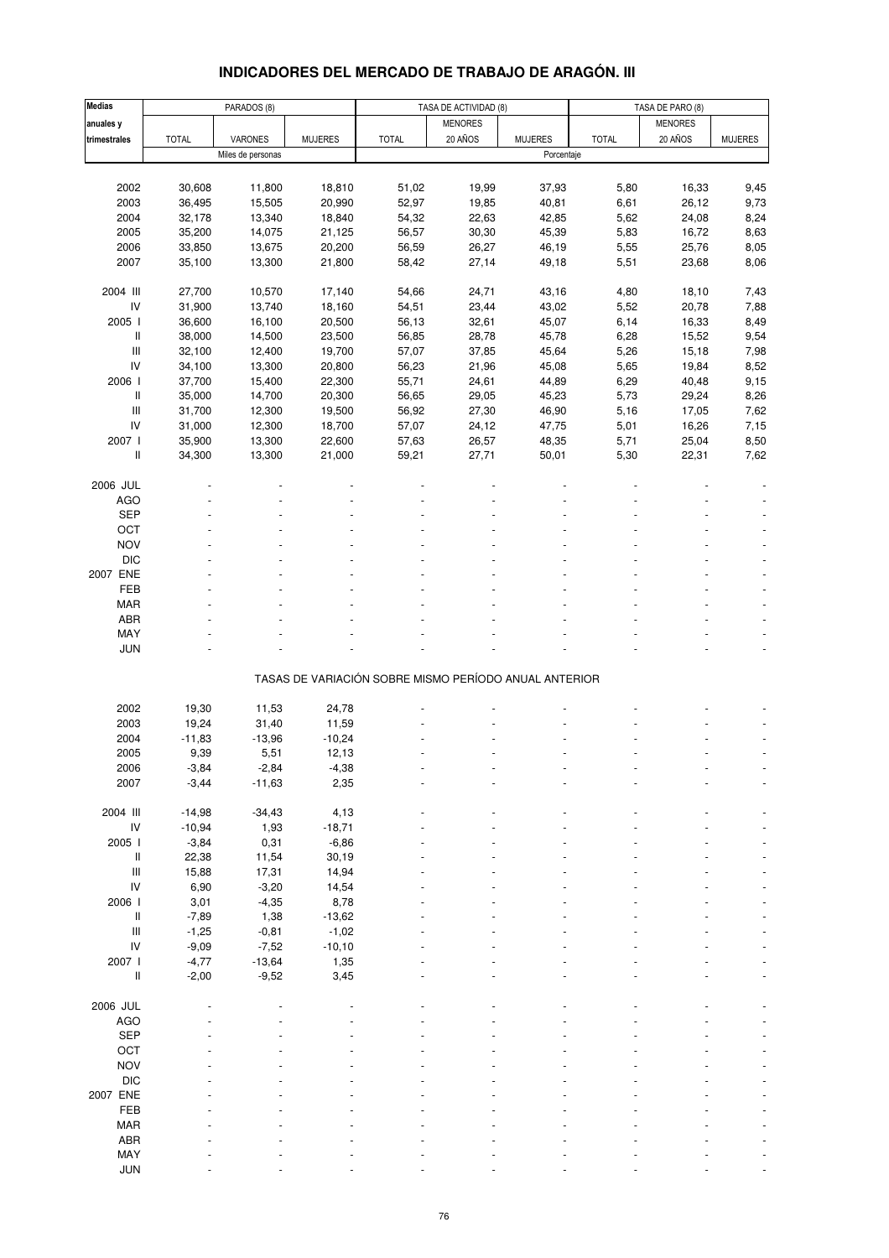### **INDICADORES DEL MERCADO DE TRABAJO DE ARAGÓN. III**

| <b>Medias</b>                                                             |              | PARADOS (8)       |                |                                                       | TASA DE ACTIVIDAD (8) |                |              | TASA DE PARO (8) |                |
|---------------------------------------------------------------------------|--------------|-------------------|----------------|-------------------------------------------------------|-----------------------|----------------|--------------|------------------|----------------|
| anuales y                                                                 |              |                   |                |                                                       | <b>MENORES</b>        |                |              | <b>MENORES</b>   |                |
| trimestrales                                                              | <b>TOTAL</b> | VARONES           | <b>MUJERES</b> | <b>TOTAL</b>                                          | 20 AÑOS               | <b>MUJERES</b> | <b>TOTAL</b> | 20 AÑOS          | <b>MUJERES</b> |
|                                                                           |              | Miles de personas |                |                                                       |                       | Porcentaje     |              |                  |                |
|                                                                           |              |                   |                |                                                       |                       |                |              |                  |                |
| 2002                                                                      | 30,608       | 11,800            | 18,810         | 51,02                                                 | 19,99                 | 37,93          | 5,80         | 16,33            | 9,45           |
| 2003                                                                      | 36,495       | 15,505            | 20,990         | 52,97                                                 | 19,85                 | 40,81          | 6,61         | 26,12            | 9,73           |
| 2004                                                                      | 32,178       | 13,340            | 18,840         | 54,32                                                 | 22,63                 | 42,85          | 5,62         | 24,08            | 8,24           |
| 2005                                                                      | 35,200       | 14,075            | 21,125         | 56,57                                                 | 30,30                 | 45,39          | 5,83         | 16,72            | 8,63           |
| 2006                                                                      | 33,850       | 13,675            | 20,200         | 56,59                                                 | 26,27                 | 46,19          | 5,55         | 25,76            | 8,05           |
| 2007                                                                      | 35,100       | 13,300            | 21,800         | 58,42                                                 | 27,14                 | 49,18          | 5,51         | 23,68            | 8,06           |
|                                                                           |              |                   |                |                                                       |                       |                |              |                  |                |
| 2004 III                                                                  | 27,700       | 10,570            | 17,140         | 54,66                                                 | 24,71                 | 43,16          | 4,80         | 18,10            | 7,43           |
| IV                                                                        | 31,900       | 13,740            | 18,160         | 54,51                                                 | 23,44                 | 43,02          | 5,52         | 20,78            | 7,88           |
| 2005 l                                                                    | 36,600       | 16,100            | 20,500         | 56,13                                                 | 32,61                 | 45,07          | 6,14         | 16,33            | 8,49           |
| Ш                                                                         | 38,000       | 14,500            | 23,500         | 56,85                                                 | 28,78                 | 45,78          | 6,28         | 15,52            | 9,54           |
| $\mathbf{III}$                                                            | 32,100       | 12,400            | 19,700         | 57,07                                                 | 37,85                 | 45,64          | 5,26         | 15,18            | 7,98           |
| IV                                                                        | 34,100       | 13,300            | 20,800         | 56,23                                                 | 21,96                 | 45,08          | 5,65         | 19,84            | 8,52           |
|                                                                           |              |                   |                |                                                       |                       |                |              |                  |                |
| 2006 l                                                                    | 37,700       | 15,400            | 22,300         | 55,71                                                 | 24,61                 | 44,89          | 6,29         | 40,48            | 9,15           |
| Ш                                                                         | 35,000       | 14,700            | 20,300         | 56,65                                                 | 29,05                 | 45,23          | 5,73         | 29,24            | 8,26           |
| $\mathbf{III}$                                                            | 31,700       | 12,300            | 19,500         | 56,92                                                 | 27,30                 | 46,90          | 5,16         | 17,05            | 7,62           |
| IV                                                                        | 31,000       | 12,300            | 18,700         | 57,07                                                 | 24,12                 | 47,75          | 5,01         | 16,26            | 7,15           |
| 2007 l                                                                    | 35,900       | 13,300            | 22,600         | 57,63                                                 | 26,57                 | 48,35          | 5,71         | 25,04            | 8,50           |
| $\label{eq:1} \prod_{i=1}^n \left\{ \prod_{i=1}^n \frac{1}{n_i} \right\}$ | 34,300       | 13,300            | 21,000         | 59,21                                                 | 27,71                 | 50,01          | 5,30         | 22,31            | 7,62           |
|                                                                           |              |                   |                |                                                       |                       |                |              |                  |                |
| 2006 JUL                                                                  |              |                   |                |                                                       |                       |                |              |                  |                |
| <b>AGO</b>                                                                |              |                   |                |                                                       |                       |                |              |                  |                |
| <b>SEP</b>                                                                |              |                   |                |                                                       |                       |                |              |                  |                |
| OCT                                                                       |              |                   |                |                                                       |                       |                |              |                  |                |
| <b>NOV</b>                                                                |              |                   |                |                                                       |                       |                |              |                  |                |
| <b>DIC</b>                                                                |              |                   |                |                                                       |                       |                |              |                  |                |
| 2007 ENE                                                                  |              |                   |                |                                                       |                       |                |              |                  |                |
| FEB                                                                       |              |                   |                |                                                       |                       |                |              |                  |                |
| <b>MAR</b>                                                                |              |                   |                |                                                       |                       |                |              |                  |                |
| <b>ABR</b>                                                                |              |                   |                |                                                       |                       |                |              |                  |                |
| MAY                                                                       |              |                   |                |                                                       |                       |                |              |                  |                |
| <b>JUN</b>                                                                |              |                   |                |                                                       |                       |                |              |                  |                |
|                                                                           |              |                   |                |                                                       |                       |                |              |                  |                |
|                                                                           |              |                   |                | TASAS DE VARIACIÓN SOBRE MISMO PERÍODO ANUAL ANTERIOR |                       |                |              |                  |                |
| 2002                                                                      | 19,30        | 11,53             | 24,78          |                                                       |                       |                |              |                  |                |
|                                                                           |              |                   |                |                                                       |                       |                |              |                  |                |
| 2003                                                                      | 19,24        | 31,40             | 11,59          |                                                       |                       |                |              |                  |                |
| 2004                                                                      | $-11,83$     | $-13,96$          | $-10,24$       |                                                       |                       |                |              |                  |                |
| 2005                                                                      | 9,39         | 5,51              | 12,13          |                                                       |                       |                |              |                  |                |
| 2006                                                                      | -3,84        | -2,84             | -4,38          |                                                       |                       |                |              |                  |                |
| 2007                                                                      | $-3,44$      | $-11,63$          | 2,35           |                                                       |                       |                |              |                  |                |
|                                                                           |              |                   |                |                                                       |                       |                |              |                  |                |
| 2004 III                                                                  | $-14,98$     | $-34,43$          | 4,13           |                                                       |                       |                |              |                  |                |
| $\mathsf{IV}$                                                             | $-10,94$     | 1,93              | $-18,71$       |                                                       |                       |                |              |                  |                |
| 2005                                                                      | $-3,84$      | 0,31              | $-6,86$        |                                                       |                       |                |              |                  |                |
| $\mathop{  }$                                                             | 22,38        | 11,54             | 30, 19         |                                                       |                       |                |              |                  |                |
| $\ensuremath{\mathsf{III}}\xspace$                                        | 15,88        | 17,31             | 14,94          |                                                       |                       |                |              |                  |                |
| IV                                                                        | 6,90         | $-3,20$           | 14,54          |                                                       |                       |                |              |                  |                |
| 2006 l                                                                    | 3,01         | $-4,35$           | 8,78           |                                                       |                       |                |              |                  |                |
| $\,$ $\,$ $\,$                                                            | $-7,89$      | 1,38              | $-13,62$       |                                                       |                       |                |              |                  |                |
| $\mathbf{III}$                                                            | $-1,25$      | $-0,81$           | $-1,02$        |                                                       |                       |                |              |                  |                |
| IV                                                                        | $-9,09$      | $-7,52$           | $-10, 10$      |                                                       |                       |                |              |                  |                |
| 2007 l                                                                    | $-4,77$      | $-13,64$          | 1,35           |                                                       |                       |                |              |                  |                |
| $\,$ $\,$ $\,$                                                            | $-2,00$      | $-9,52$           | 3,45           |                                                       |                       |                |              |                  |                |
|                                                                           |              |                   |                |                                                       |                       |                |              |                  |                |
| 2006 JUL                                                                  |              |                   |                |                                                       |                       |                |              |                  |                |
| <b>AGO</b>                                                                |              |                   |                |                                                       |                       |                |              |                  |                |
| SEP                                                                       |              |                   |                |                                                       |                       |                |              |                  |                |
| OCT                                                                       |              |                   |                |                                                       |                       |                |              |                  |                |
| <b>NOV</b>                                                                |              |                   |                |                                                       |                       |                |              |                  |                |
| <b>DIC</b>                                                                |              |                   |                |                                                       |                       |                |              |                  |                |
| 2007 ENE                                                                  |              |                   |                |                                                       |                       |                |              |                  |                |
| FEB                                                                       |              |                   |                |                                                       |                       |                |              |                  |                |
| <b>MAR</b>                                                                |              |                   |                |                                                       |                       |                |              |                  |                |
| ABR                                                                       |              |                   |                |                                                       |                       |                |              |                  |                |
| MAY                                                                       |              |                   |                |                                                       |                       |                |              |                  |                |
| <b>JUN</b>                                                                |              |                   |                |                                                       |                       |                |              |                  |                |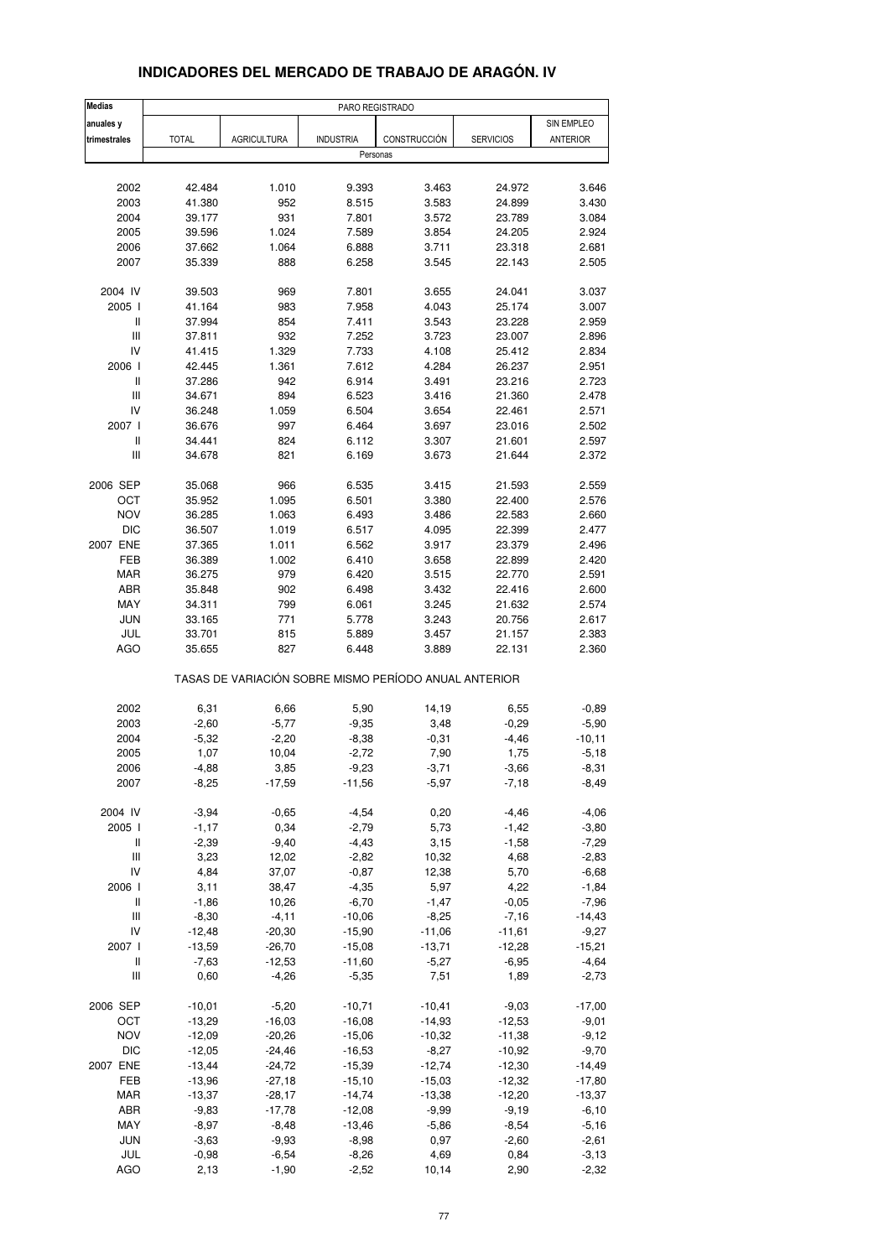| <b>Medias</b>                      |              |                    | PARO REGISTRADO                                       |              |                  |                 |
|------------------------------------|--------------|--------------------|-------------------------------------------------------|--------------|------------------|-----------------|
| anuales y                          |              |                    |                                                       |              |                  | SIN EMPLEO      |
| trimestrales                       | <b>TOTAL</b> | <b>AGRICULTURA</b> | <b>INDUSTRIA</b>                                      | CONSTRUCCIÓN | <b>SERVICIOS</b> | <b>ANTERIOR</b> |
|                                    |              |                    | Personas                                              |              |                  |                 |
|                                    |              |                    |                                                       |              |                  |                 |
| 2002                               | 42.484       | 1.010              | 9.393                                                 | 3.463        | 24.972           | 3.646           |
| 2003                               | 41.380       | 952                | 8.515                                                 | 3.583        | 24.899           | 3.430           |
| 2004                               | 39.177       | 931                | 7.801                                                 | 3.572        | 23.789           | 3.084           |
| 2005                               | 39.596       | 1.024              | 7.589                                                 | 3.854        | 24.205           | 2.924           |
| 2006                               | 37.662       | 1.064              | 6.888                                                 | 3.711        | 23.318           | 2.681           |
| 2007                               | 35.339       | 888                | 6.258                                                 | 3.545        | 22.143           | 2.505           |
| 2004 IV                            | 39.503       | 969                | 7.801                                                 | 3.655        | 24.041           | 3.037           |
| 2005 l                             | 41.164       | 983                | 7.958                                                 | 4.043        | 25.174           | 3.007           |
| Ш                                  | 37.994       | 854                | 7.411                                                 | 3.543        | 23.228           | 2.959           |
| III                                | 37.811       | 932                | 7.252                                                 | 3.723        | 23.007           | 2.896           |
| IV                                 | 41.415       | 1.329              | 7.733                                                 | 4.108        | 25.412           | 2.834           |
| 2006                               | 42.445       | 1.361              | 7.612                                                 | 4.284        | 26.237           | 2.951           |
| Ш                                  | 37.286       | 942                | 6.914                                                 | 3.491        | 23.216           | 2.723           |
| Ш                                  | 34.671       | 894                | 6.523                                                 | 3.416        | 21.360           | 2.478           |
| IV                                 | 36.248       | 1.059              | 6.504                                                 | 3.654        | 22.461           | 2.571           |
| 2007                               | 36.676       | 997                | 6.464                                                 | 3.697        | 23.016           | 2.502           |
| Ш                                  | 34.441       | 824                | 6.112                                                 | 3.307        | 21.601           | 2.597           |
| III                                | 34.678       | 821                | 6.169                                                 | 3.673        | 21.644           | 2.372           |
| 2006 SEP                           | 35.068       | 966                | 6.535                                                 | 3.415        | 21.593           | 2.559           |
| ОСТ                                | 35.952       | 1.095              | 6.501                                                 | 3.380        | 22.400           | 2.576           |
| <b>NOV</b>                         | 36.285       | 1.063              | 6.493                                                 | 3.486        | 22.583           | 2.660           |
| <b>DIC</b>                         | 36.507       | 1.019              | 6.517                                                 | 4.095        | 22.399           | 2.477           |
| 2007 ENE                           | 37.365       | 1.011              | 6.562                                                 | 3.917        | 23.379           | 2.496           |
| FEB                                | 36.389       | 1.002              | 6.410                                                 | 3.658        | 22.899           | 2.420           |
| <b>MAR</b>                         | 36.275       | 979                | 6.420                                                 | 3.515        | 22.770           | 2.591           |
| <b>ABR</b>                         | 35.848       | 902                | 6.498                                                 | 3.432        | 22.416           | 2.600           |
| MAY                                | 34.311       | 799                | 6.061                                                 | 3.245        | 21.632           | 2.574           |
| <b>JUN</b>                         | 33.165       | 771                | 5.778                                                 | 3.243        | 20.756           | 2.617           |
| JUL                                | 33.701       | 815                | 5.889                                                 | 3.457        | 21.157           | 2.383           |
| AGO                                | 35.655       | 827                | 6.448                                                 | 3.889        | 22.131           | 2.360           |
|                                    |              |                    | TASAS DE VARIACIÓN SOBRE MISMO PERÍODO ANUAL ANTERIOR |              |                  |                 |
| 2002                               | 6,31         | 6,66               | 5,90                                                  | 14,19        | 6,55             | $-0,89$         |
| 2003                               | $-2,60$      | $-5,77$            | $-9,35$                                               | 3,48         | $-0,29$          | $-5,90$         |
| 2004                               | $-5,32$      | $-2,20$            | $-8,38$                                               | $-0,31$      | $-4,46$          | $-10, 11$       |
| 2005                               | 1,07         | 10,04              | $-2,72$                                               | 7,90         | 1,75             | $-5,18$         |
| 2006                               | -4,88        | 3,85               | $-9,23$                                               | $-3,71$      | $-3,66$          | -8,31           |
| 2007                               | $-8,25$      | $-17,59$           | $-11,56$                                              | $-5,97$      | $-7,18$          | $-8,49$         |
| 2004 IV                            | $-3,94$      | $-0,65$            | $-4,54$                                               | 0,20         | $-4,46$          | $-4,06$         |
| 2005 l                             | $-1,17$      | 0,34               | $-2,79$                                               | 5,73         | $-1,42$          | $-3,80$         |
| $\mathop{  }$                      | $-2,39$      | $-9,40$            | $-4,43$                                               | 3,15         | $-1,58$          | $-7,29$         |
| Ш                                  | 3,23         | 12,02              | $-2,82$                                               | 10,32        | 4,68             | $-2,83$         |
| IV                                 | 4,84         | 37,07              | $-0,87$                                               | 12,38        | 5,70             | $-6,68$         |
| 2006                               | 3,11         | 38,47              | $-4,35$                                               | 5,97         | 4,22             | $-1,84$         |
| $\, \parallel$                     | $-1,86$      | 10,26              | $-6,70$                                               | $-1,47$      | $-0,05$          | $-7,96$         |
| Ш                                  | $-8,30$      | $-4, 11$           | $-10,06$                                              | $-8,25$      | $-7,16$          | $-14,43$        |
| IV                                 | $-12,48$     | $-20,30$           | $-15,90$                                              | $-11,06$     | $-11,61$         | $-9,27$         |
| 2007 l                             | $-13,59$     | $-26,70$           | $-15,08$                                              | $-13,71$     | $-12,28$         | $-15,21$        |
| Ш                                  | $-7,63$      | $-12,53$           | $-11,60$                                              | $-5,27$      | $-6,95$          | $-4,64$         |
| $\ensuremath{\mathsf{III}}\xspace$ | 0,60         | $-4,26$            | $-5,35$                                               | 7,51         | 1,89             | $-2,73$         |
| 2006 SEP                           | $-10,01$     | $-5,20$            | $-10,71$                                              | $-10,41$     | $-9,03$          | $-17,00$        |
| OCT                                | $-13,29$     | $-16,03$           | $-16,08$                                              | $-14,93$     | $-12,53$         | $-9,01$         |
| <b>NOV</b>                         | $-12,09$     | $-20,26$           | $-15,06$                                              | $-10,32$     | $-11,38$         | $-9,12$         |
| <b>DIC</b>                         | $-12,05$     | $-24,46$           | $-16,53$                                              | $-8,27$      | $-10,92$         | $-9,70$         |
| 2007 ENE                           | $-13,44$     | $-24,72$           | $-15,39$                                              | $-12,74$     | $-12,30$         | $-14,49$        |
| FEB                                | $-13,96$     | $-27,18$           | $-15,10$                                              | $-15,03$     | $-12,32$         | $-17,80$        |
| MAR                                | $-13,37$     | $-28,17$           | $-14,74$                                              | $-13,38$     | $-12,20$         | $-13,37$        |
| ABR                                | $-9,83$      | $-17,78$           | $-12,08$                                              | $-9,99$      | $-9,19$          | $-6,10$         |
| MAY                                | $-8,97$      | $-8,48$            | $-13,46$                                              | $-5,86$      | $-8,54$          | $-5,16$         |
| <b>JUN</b>                         | $-3,63$      | $-9,93$            | $-8,98$                                               | 0,97         | $-2,60$          | $-2,61$         |
| JUL                                | $-0,98$      | $-6,54$            | $-8,26$                                               | 4,69         | 0,84             | $-3,13$         |
| <b>AGO</b>                         | 2,13         | $-1,90$            | $-2,52$                                               | 10,14        | 2,90             | $-2,32$         |
|                                    |              |                    |                                                       |              |                  |                 |

### **INDICADORES DEL MERCADO DE TRABAJO DE ARAGÓN. IV**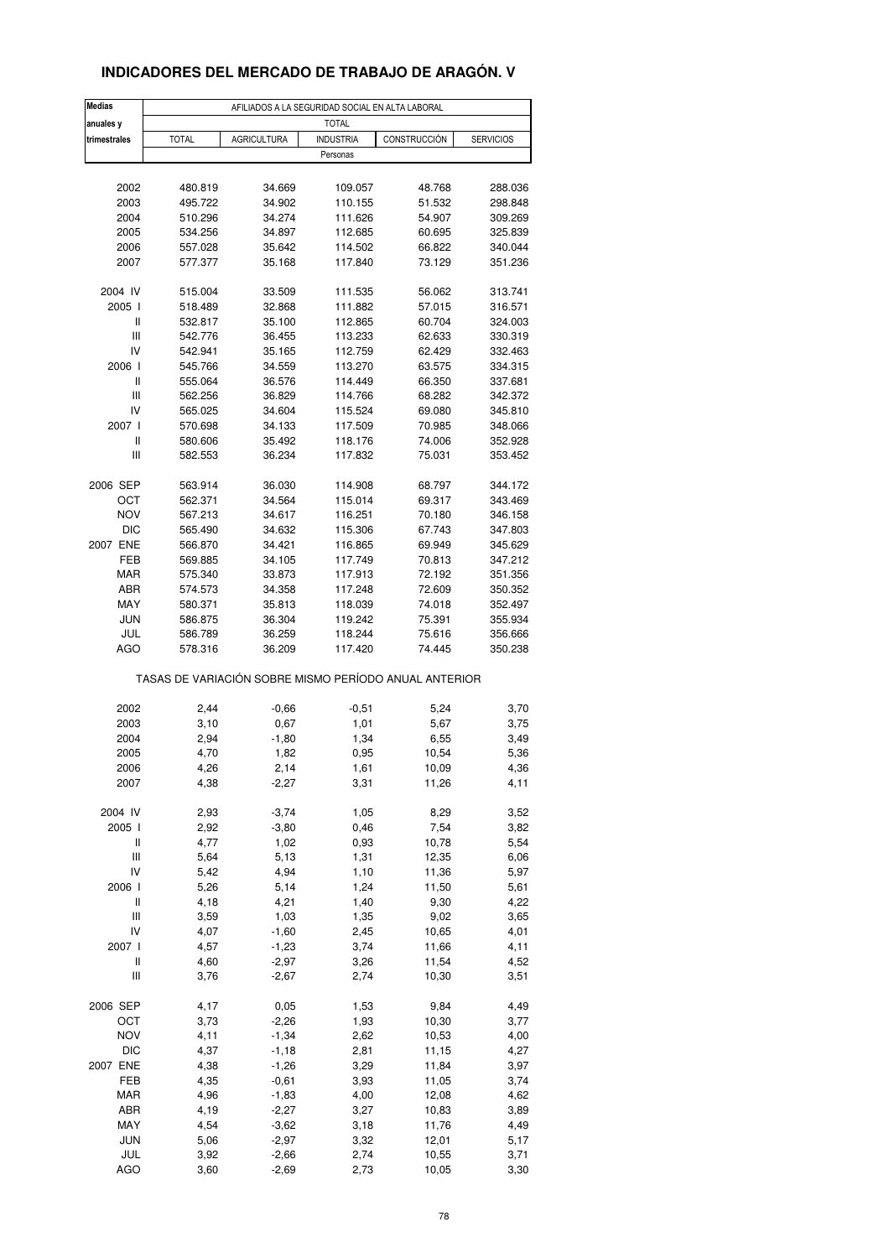### **INDICADORES DEL MERCADO DE TRABAJO DE ARAGÓN. V**

| <b>Medias</b>                           |                                                       |                    | AFILIADOS A LA SEGURIDAD SOCIAL EN ALTA LABORAL |                  |                    |
|-----------------------------------------|-------------------------------------------------------|--------------------|-------------------------------------------------|------------------|--------------------|
| anuales y                               |                                                       |                    | <b>TOTAL</b>                                    |                  |                    |
| trimestrales                            | <b>TOTAL</b>                                          | <b>AGRICULTURA</b> | <b>INDUSTRIA</b>                                | CONSTRUCCIÓN     | <b>SERVICIOS</b>   |
|                                         |                                                       |                    | Personas                                        |                  |                    |
|                                         |                                                       |                    |                                                 |                  |                    |
| 2002                                    | 480.819                                               | 34.669             | 109.057                                         | 48.768           | 288.036            |
| 2003                                    | 495.722                                               | 34.902             | 110.155                                         | 51.532           | 298.848            |
| 2004                                    | 510.296                                               | 34.274             | 111.626                                         | 54.907           | 309.269            |
| 2005                                    | 534.256                                               | 34.897             | 112.685                                         | 60.695           | 325.839            |
| 2006                                    | 557.028                                               | 35.642             | 114.502                                         | 66.822           | 340.044            |
| 2007                                    | 577.377                                               | 35.168             | 117.840                                         | 73.129           | 351.236            |
|                                         |                                                       |                    |                                                 |                  |                    |
| 2004 IV                                 | 515.004                                               | 33.509             | 111.535                                         | 56.062           | 313.741            |
| 2005 l                                  | 518.489                                               | 32.868             | 111.882                                         | 57.015           | 316.571            |
| Ш<br>$\ensuremath{\mathsf{III}}\xspace$ | 532.817                                               | 35.100             | 112.865                                         | 60.704           | 324.003            |
| IV                                      | 542.776<br>542.941                                    | 36.455<br>35.165   | 113.233<br>112.759                              | 62.633<br>62.429 | 330.319<br>332.463 |
| 2006                                    | 545.766                                               | 34.559             | 113.270                                         | 63.575           | 334.315            |
| Ш                                       | 555.064                                               | 36.576             | 114.449                                         | 66.350           | 337.681            |
| Ш                                       | 562.256                                               | 36.829             | 114.766                                         | 68.282           | 342.372            |
| IV                                      | 565.025                                               | 34.604             | 115.524                                         | 69.080           | 345.810            |
| 2007 l                                  | 570.698                                               | 34.133             | 117.509                                         | 70.985           | 348.066            |
| $\sf II$                                | 580.606                                               | 35.492             | 118.176                                         | 74.006           | 352.928            |
| Ш                                       | 582.553                                               | 36.234             | 117.832                                         | 75.031           | 353.452            |
|                                         |                                                       |                    |                                                 |                  |                    |
| 2006 SEP                                | 563.914                                               | 36.030             | 114.908                                         | 68.797           | 344.172            |
| ОСТ                                     | 562.371                                               | 34.564             | 115.014                                         | 69.317           | 343.469            |
| <b>NOV</b>                              | 567.213                                               | 34.617             | 116.251                                         | 70.180           | 346.158            |
| <b>DIC</b>                              | 565.490                                               | 34.632             | 115.306                                         | 67.743           | 347.803            |
| 2007 ENE                                | 566.870                                               | 34.421             | 116.865                                         | 69.949           | 345.629            |
| FEB                                     | 569.885                                               | 34.105             | 117.749                                         | 70.813           | 347.212            |
| MAR                                     | 575.340                                               | 33.873             | 117.913                                         | 72.192           | 351.356            |
| ABR                                     | 574.573                                               | 34.358             | 117.248                                         | 72.609           | 350.352            |
| MAY                                     | 580.371                                               | 35.813             | 118.039                                         | 74.018           | 352.497            |
| <b>JUN</b>                              | 586.875                                               | 36.304             | 119.242                                         | 75.391           | 355.934            |
| JUL                                     | 586.789                                               | 36.259             | 118.244                                         | 75.616           | 356.666            |
| AGO                                     | 578.316                                               | 36.209             | 117.420                                         | 74.445           | 350.238            |
|                                         | TASAS DE VARIACIÓN SOBRE MISMO PERÍODO ANUAL ANTERIOR |                    |                                                 |                  |                    |
|                                         |                                                       |                    |                                                 |                  |                    |
| 2002<br>2003                            | 2,44                                                  | $-0,66$<br>0,67    | $-0,51$<br>1,01                                 | 5,24<br>5,67     | 3,70               |
| 2004                                    | 3,10<br>2,94                                          | $-1,80$            | 1,34                                            | 6,55             | 3,75<br>3,49       |
| 2005                                    | 4,70                                                  | 1,82               | 0,95                                            | 10,54            | 5,36               |
| 2006                                    | 4,26                                                  | 2,14               | 1,61                                            | 10,09            | 4,36               |
| 2007                                    | 4,38                                                  | $-2,27$            | 3,31                                            | 11,26            | 4,11               |
|                                         |                                                       |                    |                                                 |                  |                    |
| 2004 IV                                 | 2,93                                                  | $-3,74$            | 1,05                                            | 8,29             | 3,52               |
| 2005 l                                  | 2,92                                                  | $-3,80$            | 0,46                                            | 7,54             | 3,82               |
| Ш                                       | 4,77                                                  | 1,02               | 0,93                                            | 10,78            | 5,54               |
| Ш                                       | 5,64                                                  | 5,13               | 1,31                                            | 12,35            | 6,06               |
| IV                                      | 5,42                                                  | 4,94               | 1,10                                            | 11,36            | 5,97               |
| 2006                                    | 5,26                                                  | 5,14               | 1,24                                            | 11,50            | 5,61               |
| Ш                                       | 4,18                                                  | 4,21               | 1,40                                            | 9,30             | 4,22               |
| $\ensuremath{\mathsf{III}}\xspace$      | 3,59                                                  | 1,03               | 1,35                                            | 9,02             | 3,65               |
| IV                                      | 4,07                                                  | $-1,60$            | 2,45                                            | 10,65            | 4,01               |
| 2007 l                                  | 4,57                                                  | $-1,23$            | 3,74                                            | 11,66            | 4,11               |
| Ш                                       | 4,60                                                  | $-2,97$            | 3,26                                            | 11,54            | 4,52               |
| Ш                                       | 3,76                                                  | $-2,67$            | 2,74                                            | 10,30            | 3,51               |
|                                         |                                                       |                    |                                                 |                  |                    |
| 2006 SEP                                | 4,17                                                  | 0,05               | 1,53                                            | 9,84             | 4,49               |
| OCT                                     | 3,73                                                  | $-2,26$            | 1,93                                            | 10,30            | 3,77               |
| NOV<br>DIC                              | 4,11<br>4,37                                          | $-1,34$            | 2,62                                            | 10,53            | 4,00<br>4,27       |
| 2007 ENE                                | 4,38                                                  | $-1,18$<br>$-1,26$ | 2,81<br>3,29                                    | 11,15<br>11,84   | 3,97               |
| FEB                                     | 4,35                                                  | $-0,61$            | 3,93                                            | 11,05            | 3,74               |
| MAR                                     | 4,96                                                  | $-1,83$            | 4,00                                            | 12,08            | 4,62               |
| ABR                                     | 4,19                                                  | $-2,27$            | 3,27                                            | 10,83            | 3,89               |
| MAY                                     | 4,54                                                  | $-3,62$            | 3,18                                            | 11,76            | 4,49               |
| <b>JUN</b>                              | 5,06                                                  | $-2,97$            | 3,32                                            | 12,01            | 5,17               |
| JUL                                     | 3,92                                                  | $-2,66$            | 2,74                                            | 10,55            | 3,71               |
| AGO                                     | 3,60                                                  | $-2,69$            | 2,73                                            | 10,05            | 3,30               |
|                                         |                                                       |                    |                                                 |                  |                    |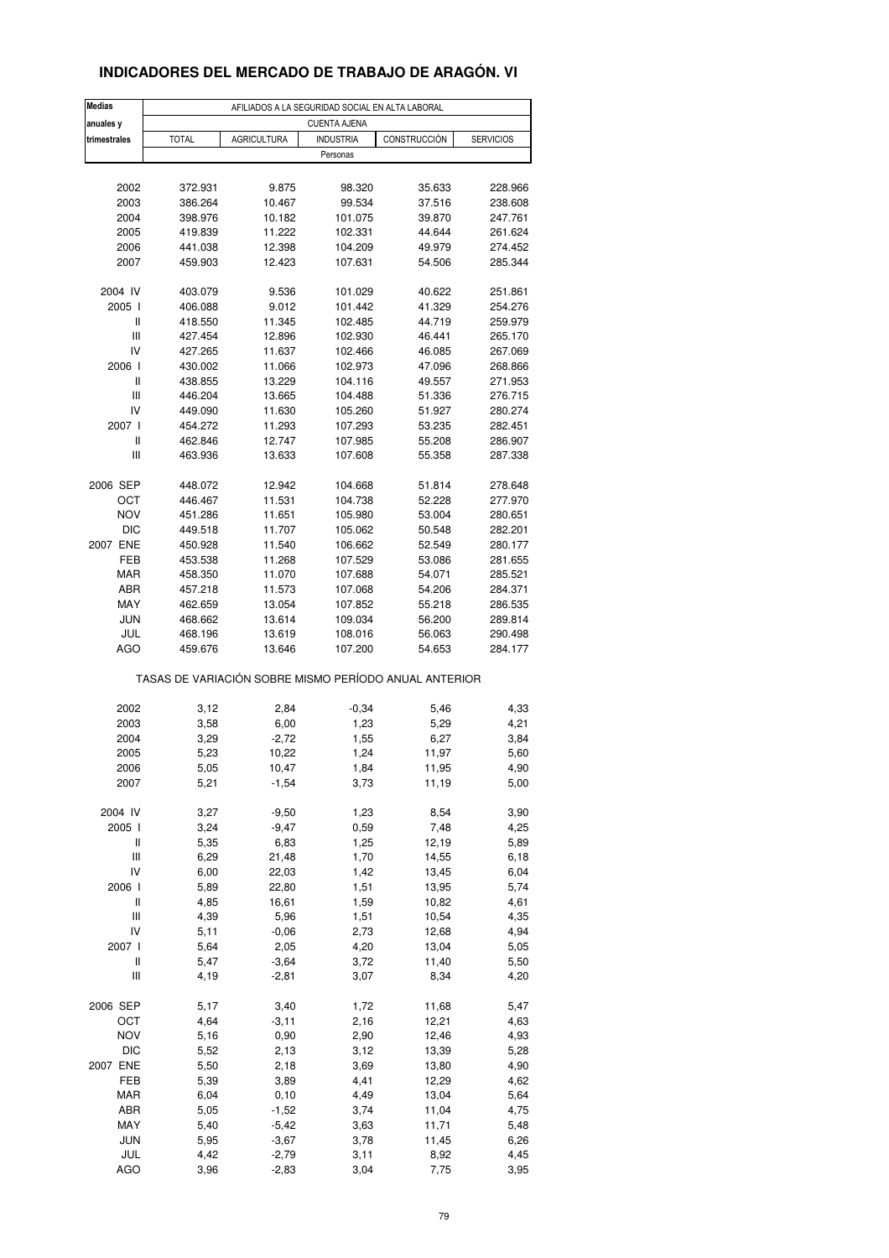### **INDICADORES DEL MERCADO DE TRABAJO DE ARAGÓN. VI**

| <b>Medias</b> |                                                       |                    | AFILIADOS A LA SEGURIDAD SOCIAL EN ALTA LABORAL |              |                  |  |  |  |
|---------------|-------------------------------------------------------|--------------------|-------------------------------------------------|--------------|------------------|--|--|--|
| anuales y     | <b>CUENTA AJENA</b>                                   |                    |                                                 |              |                  |  |  |  |
| trimestrales  | <b>TOTAL</b>                                          | <b>AGRICULTURA</b> | <b>INDUSTRIA</b>                                | CONSTRUCCIÓN | <b>SERVICIOS</b> |  |  |  |
|               |                                                       |                    | Personas                                        |              |                  |  |  |  |
|               |                                                       |                    |                                                 |              |                  |  |  |  |
| 2002          | 372.931                                               | 9.875              | 98.320                                          | 35.633       | 228.966          |  |  |  |
| 2003          | 386.264                                               | 10.467             | 99.534                                          | 37.516       | 238.608          |  |  |  |
| 2004          | 398.976                                               | 10.182             | 101.075                                         | 39.870       | 247.761          |  |  |  |
| 2005          | 419.839                                               | 11.222             | 102.331                                         | 44.644       | 261.624          |  |  |  |
| 2006          | 441.038                                               | 12.398             | 104.209                                         | 49.979       | 274.452          |  |  |  |
| 2007          | 459.903                                               | 12.423             | 107.631                                         | 54.506       | 285.344          |  |  |  |
|               |                                                       |                    |                                                 |              |                  |  |  |  |
| 2004 IV       | 403.079                                               | 9.536              | 101.029                                         | 40.622       | 251.861          |  |  |  |
| 2005 l        | 406.088                                               | 9.012              | 101.442                                         | 41.329       | 254.276          |  |  |  |
| Ш             | 418.550                                               | 11.345             | 102.485                                         | 44.719       | 259.979          |  |  |  |
| Ш             | 427.454                                               | 12.896             | 102.930                                         | 46.441       | 265.170          |  |  |  |
| IV            | 427.265                                               | 11.637             | 102.466                                         | 46.085       | 267.069          |  |  |  |
| 2006          | 430.002                                               | 11.066             | 102.973                                         | 47.096       | 268.866          |  |  |  |
| Ш             | 438.855                                               | 13.229             | 104.116                                         | 49.557       | 271.953          |  |  |  |
| Ш             | 446.204                                               | 13.665             | 104.488                                         | 51.336       | 276.715          |  |  |  |
| IV            | 449.090                                               | 11.630             | 105.260                                         | 51.927       | 280.274          |  |  |  |
| 2007 l        | 454.272                                               | 11.293             | 107.293                                         | 53.235       | 282.451          |  |  |  |
| Ш             | 462.846                                               | 12.747             | 107.985                                         | 55.208       | 286.907          |  |  |  |
| Ш             | 463.936                                               | 13.633             | 107.608                                         | 55.358       | 287.338          |  |  |  |
|               |                                                       |                    |                                                 |              |                  |  |  |  |
| 2006 SEP      | 448.072                                               | 12.942             | 104.668                                         | 51.814       | 278.648          |  |  |  |
| OCT           | 446.467                                               | 11.531             | 104.738                                         | 52.228       | 277.970          |  |  |  |
| <b>NOV</b>    | 451.286                                               | 11.651             | 105.980                                         | 53.004       | 280.651          |  |  |  |
| DIC           | 449.518                                               | 11.707             | 105.062                                         | 50.548       | 282.201          |  |  |  |
| 2007 ENE      | 450.928                                               | 11.540             | 106.662                                         | 52.549       | 280.177          |  |  |  |
| FEB           | 453.538                                               | 11.268             | 107.529                                         | 53.086       | 281.655          |  |  |  |
| MAR           | 458.350                                               | 11.070             | 107.688                                         | 54.071       | 285.521          |  |  |  |
| ABR           | 457.218                                               | 11.573             | 107.068                                         | 54.206       | 284.371          |  |  |  |
| MAY           | 462.659                                               | 13.054             | 107.852                                         | 55.218       | 286.535          |  |  |  |
| <b>JUN</b>    | 468.662                                               | 13.614             | 109.034                                         | 56.200       | 289.814          |  |  |  |
| JUL           | 468.196                                               | 13.619             | 108.016                                         | 56.063       | 290.498          |  |  |  |
| AGO           | 459.676                                               | 13.646             | 107.200                                         | 54.653       | 284.177          |  |  |  |
|               | TASAS DE VARIACIÓN SOBRE MISMO PERÍODO ANUAL ANTERIOR |                    |                                                 |              |                  |  |  |  |
| 2002          | 3,12                                                  | 2,84               | $-0,34$                                         | 5,46         | 4,33             |  |  |  |
| 2003          | 3,58                                                  | 6,00               | 1,23                                            | 5,29         | 4,21             |  |  |  |
| 2004          | 3,29                                                  | $-2,72$            | 1,55                                            | 6,27         | 3,84             |  |  |  |
| 2005          | 5,23                                                  | 10,22              | 1,24                                            | 11,97        | 5,60             |  |  |  |
| 2006          | 5,05                                                  | 10,47              | 1,84                                            | 11,95        | 4,90             |  |  |  |
| 2007          | 5,21                                                  | $-1,54$            | 3,73                                            | 11,19        | 5,00             |  |  |  |
|               |                                                       |                    |                                                 |              |                  |  |  |  |
| 2004 IV       | 3,27                                                  | $-9,50$            | 1,23                                            | 8,54         | 3,90             |  |  |  |
| 2005 l        | 3,24                                                  | $-9,47$            | 0,59                                            | 7,48         | 4,25             |  |  |  |
| Ш             | 5,35                                                  | 6,83               | 1,25                                            | 12,19        | 5,89             |  |  |  |
| Ш             | 6,29                                                  | 21,48              | 1,70                                            | 14,55        | 6,18             |  |  |  |
| IV            | 6,00                                                  | 22,03              | 1,42                                            | 13,45        | 6,04             |  |  |  |
| 2006          | 5,89                                                  | 22,80              | 1,51                                            | 13,95        | 5,74             |  |  |  |
| Ш             | 4,85                                                  | 16,61              | 1,59                                            | 10,82        | 4,61             |  |  |  |
| Ш             | 4,39                                                  | 5,96               | 1,51                                            | 10,54        | 4,35             |  |  |  |
| IV            | 5,11                                                  | $-0,06$            | 2,73                                            | 12,68        | 4,94             |  |  |  |
| 2007 l        | 5,64                                                  | 2,05               | 4,20                                            | 13,04        | 5,05             |  |  |  |
| Ш             | 5,47                                                  | $-3,64$            | 3,72                                            | 11,40        | 5,50             |  |  |  |
| Ш             | 4,19                                                  | $-2,81$            | 3,07                                            | 8,34         | 4,20             |  |  |  |
|               |                                                       |                    |                                                 |              |                  |  |  |  |
| 2006 SEP      | 5,17                                                  | 3,40               | 1,72                                            | 11,68        | 5,47             |  |  |  |
| OCT           | 4,64                                                  | $-3,11$            | 2,16                                            | 12,21        | 4,63             |  |  |  |
| <b>NOV</b>    | 5,16                                                  | 0,90               | 2,90                                            | 12,46        | 4,93             |  |  |  |
| DIC           | 5,52                                                  | 2,13               | 3,12                                            | 13,39        | 5,28             |  |  |  |
| 2007 ENE      | 5,50                                                  | 2,18               | 3,69                                            | 13,80        | 4,90             |  |  |  |
| FEB           | 5,39                                                  | 3,89               | 4,41                                            | 12,29        | 4,62             |  |  |  |
| MAR           | 6,04                                                  | 0, 10              | 4,49                                            | 13,04        | 5,64             |  |  |  |
| ABR           | 5,05                                                  | $-1,52$            | 3,74                                            | 11,04        | 4,75             |  |  |  |
| MAY           | 5,40                                                  | $-5,42$            | 3,63                                            | 11,71        | 5,48             |  |  |  |
| <b>JUN</b>    | 5,95                                                  | $-3,67$            | 3,78                                            | 11,45        | 6,26             |  |  |  |
| JUL           | 4,42                                                  | $-2,79$            | 3,11                                            | 8,92         | 4,45             |  |  |  |
| <b>AGO</b>    | 3,96                                                  | $-2,83$            | 3,04                                            | 7,75         | 3,95             |  |  |  |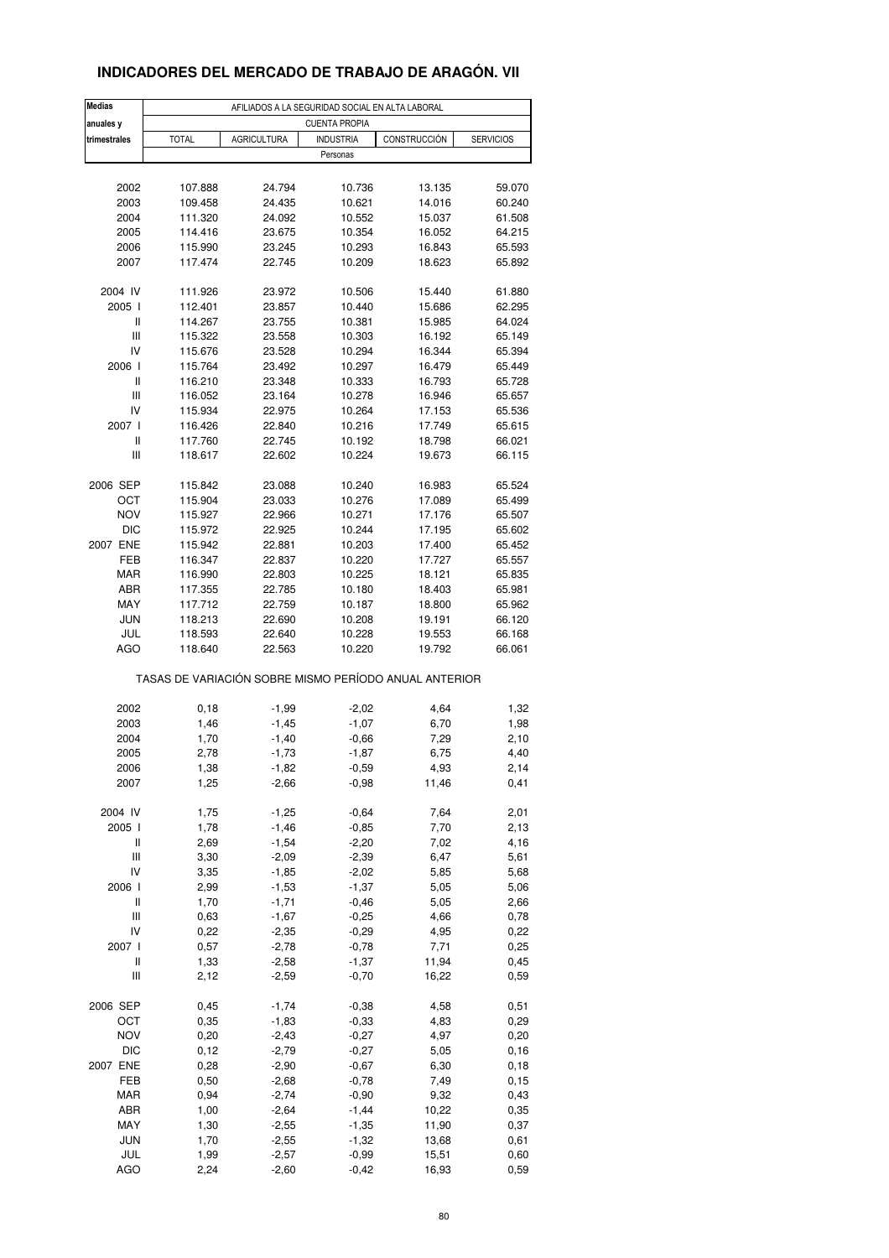### **INDICADORES DEL MERCADO DE TRABAJO DE ARAGÓN. VII**

| <b>Medias</b> |                                                       |                    | AFILIADOS A LA SEGURIDAD SOCIAL EN ALTA LABORAL |               |                  |  |  |  |
|---------------|-------------------------------------------------------|--------------------|-------------------------------------------------|---------------|------------------|--|--|--|
| anuales y     | <b>CUENTA PROPIA</b>                                  |                    |                                                 |               |                  |  |  |  |
| trimestrales  | <b>TOTAL</b>                                          | <b>AGRICULTURA</b> | <b>INDUSTRIA</b>                                | CONSTRUCCIÓN  | <b>SERVICIOS</b> |  |  |  |
|               |                                                       |                    | Personas                                        |               |                  |  |  |  |
|               |                                                       |                    |                                                 |               |                  |  |  |  |
| 2002          | 107.888                                               | 24.794             | 10.736                                          | 13.135        | 59.070           |  |  |  |
| 2003          | 109.458                                               | 24.435             | 10.621                                          | 14.016        | 60.240           |  |  |  |
| 2004          | 111.320                                               | 24.092             | 10.552                                          | 15.037        | 61.508           |  |  |  |
| 2005          | 114.416                                               | 23.675             | 10.354                                          | 16.052        | 64.215           |  |  |  |
| 2006          | 115.990                                               | 23.245             | 10.293                                          | 16.843        | 65.593           |  |  |  |
| 2007          | 117.474                                               | 22.745             | 10.209                                          | 18.623        | 65.892           |  |  |  |
|               |                                                       |                    |                                                 |               |                  |  |  |  |
| 2004 IV       | 111.926                                               | 23.972             | 10.506                                          | 15.440        | 61.880           |  |  |  |
| 2005 l        | 112.401                                               | 23.857             | 10.440                                          | 15.686        | 62.295           |  |  |  |
| Ш             | 114.267                                               | 23.755             | 10.381                                          | 15.985        | 64.024           |  |  |  |
| Ш             | 115.322                                               | 23.558             | 10.303                                          | 16.192        | 65.149           |  |  |  |
| IV            | 115.676                                               | 23.528             | 10.294                                          | 16.344        | 65.394           |  |  |  |
| 2006 l        | 115.764                                               | 23.492             | 10.297                                          | 16.479        | 65.449           |  |  |  |
| Ш             | 116.210                                               | 23.348             | 10.333                                          | 16.793        | 65.728           |  |  |  |
| Ш             | 116.052                                               | 23.164             | 10.278                                          | 16.946        | 65.657           |  |  |  |
| IV            | 115.934                                               | 22.975             | 10.264                                          | 17.153        | 65.536           |  |  |  |
| 2007 l        | 116.426                                               | 22.840             | 10.216                                          | 17.749        | 65.615           |  |  |  |
| Ш             | 117.760                                               | 22.745             | 10.192                                          | 18.798        | 66.021           |  |  |  |
| Ш             | 118.617                                               | 22.602             | 10.224                                          | 19.673        | 66.115           |  |  |  |
|               |                                                       |                    |                                                 |               |                  |  |  |  |
| 2006 SEP      | 115.842                                               | 23.088             | 10.240                                          | 16.983        | 65.524           |  |  |  |
| OCT           | 115.904                                               | 23.033             | 10.276                                          | 17.089        | 65.499           |  |  |  |
| <b>NOV</b>    | 115.927                                               | 22.966             | 10.271                                          | 17.176        | 65.507           |  |  |  |
| DIC           | 115.972                                               | 22.925             | 10.244                                          | 17.195        | 65.602           |  |  |  |
| 2007 ENE      | 115.942                                               | 22.881             | 10.203                                          | 17.400        | 65.452           |  |  |  |
| FEB           | 116.347                                               | 22.837             | 10.220                                          | 17.727        | 65.557           |  |  |  |
| MAR           | 116.990                                               | 22.803             | 10.225                                          | 18.121        | 65.835           |  |  |  |
| ABR           | 117.355                                               | 22.785             | 10.180                                          | 18.403        | 65.981           |  |  |  |
| MAY           | 117.712                                               | 22.759             | 10.187                                          | 18.800        | 65.962           |  |  |  |
| <b>JUN</b>    | 118.213                                               | 22.690             | 10.208                                          | 19.191        | 66.120           |  |  |  |
| JUL           | 118.593                                               | 22.640             | 10.228                                          | 19.553        | 66.168           |  |  |  |
| AGO           | 118.640                                               | 22.563             | 10.220                                          | 19.792        | 66.061           |  |  |  |
|               | TASAS DE VARIACIÓN SOBRE MISMO PERÍODO ANUAL ANTERIOR |                    |                                                 |               |                  |  |  |  |
| 2002          |                                                       |                    |                                                 |               |                  |  |  |  |
| 2003          | 0, 18<br>1,46                                         | $-1,99$            | $-2,02$<br>$-1,07$                              | 4,64<br>6,70  | 1,32             |  |  |  |
| 2004          | 1,70                                                  | $-1,45$            |                                                 | 7,29          | 1,98             |  |  |  |
| 2005          | 2,78                                                  | $-1,40$<br>$-1,73$ | $-0,66$                                         | 6,75          | 2,10<br>4,40     |  |  |  |
|               |                                                       |                    | $-1,87$                                         |               |                  |  |  |  |
| 2006<br>2007  | 1,38<br>1,25                                          | -1,82<br>$-2,66$   | -0,59<br>$-0,98$                                | 4,93<br>11,46 | 2,14<br>0,41     |  |  |  |
|               |                                                       |                    |                                                 |               |                  |  |  |  |
| 2004 IV       | 1,75                                                  | $-1,25$            | $-0,64$                                         | 7,64          | 2,01             |  |  |  |
| 2005 l        | 1,78                                                  | $-1,46$            | $-0,85$                                         | 7,70          | 2,13             |  |  |  |
| Ш             | 2,69                                                  | $-1,54$            | $-2,20$                                         | 7,02          | 4,16             |  |  |  |
| Ш             | 3,30                                                  | $-2,09$            | $-2,39$                                         | 6,47          | 5,61             |  |  |  |
| IV            | 3,35                                                  | $-1,85$            | $-2,02$                                         | 5,85          | 5,68             |  |  |  |
| 2006 l        | 2,99                                                  | $-1,53$            | $-1,37$                                         | 5,05          | 5,06             |  |  |  |
| Ш             | 1,70                                                  | $-1,71$            | $-0,46$                                         | 5,05          | 2,66             |  |  |  |
| Ш             | 0,63                                                  | $-1,67$            | $-0,25$                                         | 4,66          | 0,78             |  |  |  |
| IV            | 0,22                                                  | $-2,35$            | $-0,29$                                         | 4,95          | 0,22             |  |  |  |
| 2007 l        | 0,57                                                  | $-2,78$            | $-0,78$                                         | 7,71          | 0,25             |  |  |  |
| Ш             | 1,33                                                  | $-2,58$            | $-1,37$                                         | 11,94         | 0,45             |  |  |  |
| Ш             | 2,12                                                  | $-2,59$            | $-0,70$                                         | 16,22         | 0,59             |  |  |  |
|               |                                                       |                    |                                                 |               |                  |  |  |  |
| 2006 SEP      | 0,45                                                  | $-1,74$            | $-0,38$                                         | 4,58          | 0,51             |  |  |  |
| OCT           | 0,35                                                  | $-1,83$            | $-0,33$                                         | 4,83          | 0,29             |  |  |  |
| <b>NOV</b>    | 0,20                                                  | $-2,43$            | $-0,27$                                         | 4,97          | 0,20             |  |  |  |
| <b>DIC</b>    | 0,12                                                  | $-2,79$            | $-0,27$                                         | 5,05          | 0, 16            |  |  |  |
| 2007 ENE      | 0,28                                                  | $-2,90$            | $-0,67$                                         | 6,30          | 0, 18            |  |  |  |
| FEB           | 0,50                                                  | $-2,68$            | $-0,78$                                         | 7,49          | 0, 15            |  |  |  |
| MAR           | 0,94                                                  | $-2,74$            | $-0,90$                                         | 9,32          | 0,43             |  |  |  |
| ABR           | 1,00                                                  | $-2,64$            | $-1,44$                                         | 10,22         | 0,35             |  |  |  |
| MAY           | 1,30                                                  | $-2,55$            | $-1,35$                                         | 11,90         | 0,37             |  |  |  |
| <b>JUN</b>    | 1,70                                                  | $-2,55$            | $-1,32$                                         | 13,68         | 0,61             |  |  |  |
| JUL           | 1,99                                                  | $-2,57$            | $-0,99$                                         | 15,51         | 0,60             |  |  |  |
| AGO           | 2,24                                                  | $-2,60$            | $-0,42$                                         | 16,93         | 0,59             |  |  |  |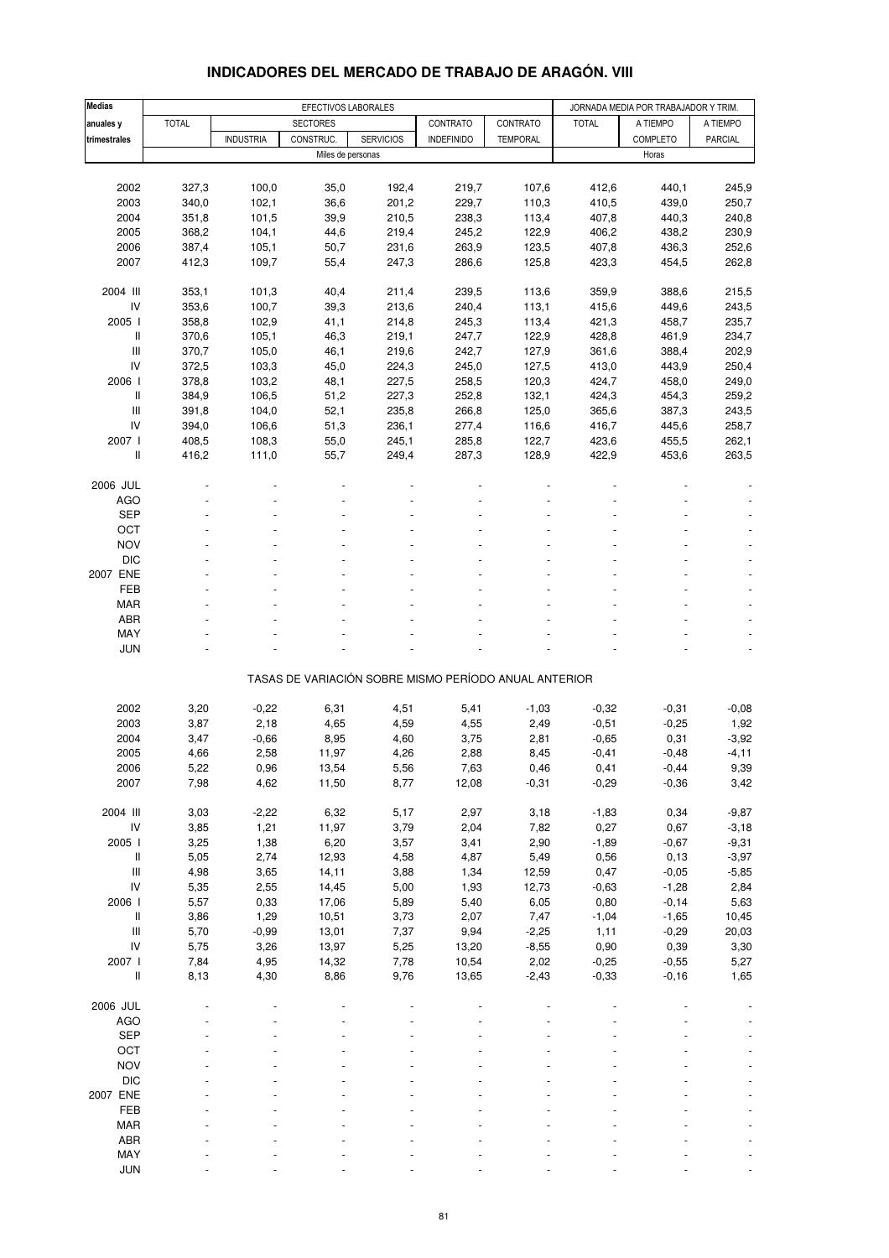| <b>Medias</b>                      |              | EFECTIVOS LABORALES |                 |                                                       |                   |                 |              | JORNADA MEDIA POR TRABAJADOR Y TRIM. |                |
|------------------------------------|--------------|---------------------|-----------------|-------------------------------------------------------|-------------------|-----------------|--------------|--------------------------------------|----------------|
| anuales y                          | <b>TOTAL</b> |                     | <b>SECTORES</b> |                                                       | CONTRATO          | CONTRATO        | <b>TOTAL</b> | A TIEMPO                             | A TIEMPO       |
| trimestrales                       |              | <b>INDUSTRIA</b>    | CONSTRUC.       | <b>SERVICIOS</b>                                      | <b>INDEFINIDO</b> | <b>TEMPORAL</b> |              | <b>COMPLETO</b>                      | <b>PARCIAL</b> |
|                                    |              |                     |                 | Miles de personas                                     |                   |                 |              | Horas                                |                |
|                                    |              |                     |                 |                                                       |                   |                 |              |                                      |                |
| 2002                               | 327,3        | 100,0               | 35,0            | 192,4                                                 | 219,7             | 107,6           | 412,6        | 440,1                                | 245,9          |
| 2003                               | 340,0        | 102,1               | 36,6            | 201,2                                                 | 229,7             | 110,3           | 410,5        | 439,0                                | 250,7          |
| 2004                               | 351,8        | 101,5               | 39,9            | 210,5                                                 | 238,3             | 113,4           | 407,8        | 440,3                                | 240,8          |
|                                    |              |                     |                 |                                                       |                   |                 |              |                                      |                |
| 2005                               | 368,2        | 104,1               | 44,6            | 219,4                                                 | 245,2             | 122,9           | 406,2        | 438,2                                | 230,9          |
| 2006                               | 387,4        | 105,1               | 50,7            | 231,6                                                 | 263,9             | 123,5           | 407,8        | 436,3                                | 252,6          |
| 2007                               | 412,3        | 109,7               | 55,4            | 247,3                                                 | 286,6             | 125,8           | 423,3        | 454,5                                | 262,8          |
|                                    |              |                     |                 |                                                       |                   |                 |              |                                      |                |
| 2004 III                           | 353,1        | 101,3               | 40,4            | 211,4                                                 | 239,5             | 113,6           | 359,9        | 388,6                                | 215,5          |
| IV                                 | 353,6        | 100,7               | 39,3            | 213,6                                                 | 240,4             | 113,1           | 415,6        | 449,6                                | 243,5          |
| 2005 l                             | 358,8        | 102,9               | 41,1            | 214,8                                                 | 245,3             | 113,4           | 421,3        | 458,7                                | 235,7          |
| Ш                                  | 370,6        | 105,1               | 46,3            | 219,1                                                 | 247,7             | 122,9           | 428,8        | 461,9                                | 234,7          |
| $\ensuremath{\mathsf{III}}\xspace$ | 370,7        | 105,0               | 46,1            | 219,6                                                 | 242,7             | 127,9           | 361,6        | 388,4                                | 202,9          |
| IV                                 | 372,5        | 103,3               | 45,0            | 224,3                                                 | 245,0             | 127,5           | 413,0        | 443,9                                | 250,4          |
| 2006                               | 378,8        | 103,2               | 48,1            | 227,5                                                 | 258,5             | 120,3           | 424,7        | 458,0                                | 249,0          |
| Ш                                  | 384,9        | 106,5               | 51,2            | 227,3                                                 | 252,8             | 132,1           | 424,3        | 454,3                                | 259,2          |
| III                                | 391,8        | 104,0               | 52,1            | 235,8                                                 | 266,8             | 125,0           | 365,6        | 387,3                                | 243,5          |
| IV                                 | 394,0        | 106,6               | 51,3            | 236,1                                                 | 277,4             | 116,6           | 416,7        | 445,6                                | 258,7          |
| 2007 l                             | 408,5        | 108,3               | 55,0            | 245,1                                                 | 285,8             | 122,7           | 423,6        | 455,5                                | 262,1          |
| Ш                                  | 416,2        | 111,0               | 55,7            | 249,4                                                 | 287,3             | 128,9           | 422,9        | 453,6                                | 263,5          |
|                                    |              |                     |                 |                                                       |                   |                 |              |                                      |                |
| 2006 JUL                           |              |                     |                 |                                                       |                   |                 |              |                                      |                |
| AGO                                |              |                     |                 |                                                       |                   |                 |              |                                      |                |
| <b>SEP</b>                         |              |                     |                 |                                                       |                   |                 |              |                                      |                |
| OCT                                |              |                     |                 |                                                       |                   |                 |              |                                      |                |
| <b>NOV</b>                         |              |                     |                 |                                                       |                   |                 |              |                                      |                |
| <b>DIC</b>                         |              |                     |                 |                                                       |                   |                 |              |                                      |                |
| 2007 ENE                           |              |                     |                 |                                                       |                   |                 |              |                                      | $\blacksquare$ |
| FEB                                |              |                     |                 |                                                       |                   |                 |              |                                      |                |
| MAR                                |              |                     |                 |                                                       |                   |                 |              |                                      |                |
| ABR                                |              |                     |                 |                                                       |                   |                 |              |                                      |                |
| MAY                                |              |                     |                 |                                                       |                   |                 |              |                                      |                |
| <b>JUN</b>                         |              |                     |                 |                                                       |                   |                 |              |                                      |                |
|                                    |              |                     |                 |                                                       |                   |                 |              |                                      |                |
|                                    |              |                     |                 | TASAS DE VARIACIÓN SOBRE MISMO PERÍODO ANUAL ANTERIOR |                   |                 |              |                                      |                |
|                                    |              |                     |                 |                                                       |                   |                 |              |                                      |                |
| 2002                               | 3,20         | $-0,22$             | 6,31            | 4,51                                                  | 5,41              | $-1,03$         | $-0,32$      | $-0,31$                              | $-0,08$        |
| 2003                               | 3,87         | 2,18                | 4,65            | 4,59                                                  | 4,55              | 2,49            | $-0,51$      | $-0,25$                              | 1,92           |
| 2004                               | 3,47         | $-0,66$             | 8,95            | 4,60                                                  | 3,75              | 2,81            | $-0,65$      | 0,31                                 | $-3,92$        |
| 2005                               | 4,66         | 2,58                | 11,97           | 4,26                                                  | 2,88              | 8,45            | $-0,41$      | $-0,48$                              | $-4, 11$       |
| 2006                               | 5,22         | 0,96                | 13,54           | 5,56                                                  | 7,63              | 0,46            | 0,41         | $-0,44$                              | 9,39           |
| 2007                               | 7,98         | 4,62                | 11,50           | 8,77                                                  | 12,08             | $-0,31$         | $-0,29$      | $-0,36$                              | 3,42           |
|                                    |              |                     |                 |                                                       |                   |                 |              |                                      |                |
| 2004 III                           | 3,03         | $-2,22$             | 6,32            | 5,17                                                  | 2,97              | 3,18            | $-1,83$      | 0,34                                 | $-9,87$        |
| ${\sf IV}$                         | 3,85         | 1,21                | 11,97           | 3,79                                                  | 2,04              | 7,82            | 0,27         | 0,67                                 | $-3,18$        |
| 2005 l                             | 3,25         | 1,38                | 6,20            | 3,57                                                  | 3,41              | 2,90            | $-1,89$      | $-0,67$                              | $-9,31$        |
| Ш                                  | 5,05         | 2,74                | 12,93           | 4,58                                                  | 4,87              | 5,49            | 0,56         | 0, 13                                | $-3,97$        |
| $\ensuremath{\mathsf{III}}\xspace$ | 4,98         | 3,65                | 14,11           | 3,88                                                  | 1,34              | 12,59           | 0,47         | $-0,05$                              | $-5,85$        |
| IV                                 | 5,35         | 2,55                | 14,45           | 5,00                                                  | 1,93              | 12,73           | $-0,63$      | $-1,28$                              | 2,84           |
|                                    |              |                     |                 |                                                       |                   |                 |              |                                      |                |
| 2006                               | 5,57         | 0,33                | 17,06           | 5,89                                                  | 5,40              | 6,05            | 0,80         | $-0,14$                              | 5,63           |
| II                                 | 3,86         | 1,29                | 10,51           | 3,73                                                  | 2,07              | 7,47            | $-1,04$      | $-1,65$                              | 10,45          |
| $\ensuremath{\mathsf{III}}\xspace$ | 5,70         | $-0,99$             | 13,01           | 7,37                                                  | 9,94              | $-2,25$         | 1,11         | $-0,29$                              | 20,03          |
| IV                                 | 5,75         | 3,26                | 13,97           | 5,25                                                  | 13,20             | $-8,55$         | 0,90         | 0,39                                 | 3,30           |
| 2007 l                             | 7,84         | 4,95                | 14,32           | 7,78                                                  | 10,54             | 2,02            | $-0,25$      | $-0,55$                              | 5,27           |
| II                                 | 8,13         | 4,30                | 8,86            | 9,76                                                  | 13,65             | $-2,43$         | $-0,33$      | $-0,16$                              | 1,65           |
|                                    |              |                     |                 |                                                       |                   |                 |              |                                      |                |
| 2006 JUL                           |              |                     |                 |                                                       |                   |                 |              |                                      |                |
| AGO                                |              |                     |                 |                                                       |                   |                 |              |                                      |                |
| <b>SEP</b>                         |              |                     |                 |                                                       |                   |                 |              |                                      |                |
| OCT                                |              |                     |                 |                                                       |                   |                 |              |                                      |                |
| <b>NOV</b>                         |              |                     |                 |                                                       |                   |                 |              |                                      |                |
| $DIC$                              |              |                     |                 |                                                       |                   |                 |              |                                      |                |
| 2007 ENE                           |              |                     |                 |                                                       |                   |                 |              |                                      |                |
| FEB                                |              |                     |                 |                                                       |                   |                 |              |                                      |                |
| MAR                                |              |                     |                 |                                                       |                   |                 |              |                                      |                |
| ABR                                |              |                     |                 |                                                       |                   |                 |              |                                      |                |

#### **INDICADORES DEL MERCADO DE TRABAJO DE ARAGÓN. VIII**

 $\text{MAY}$  . In the set of the set of the set of the set of the set of the set of the set of the set of the set of the set of the set of the set of the set of the set of the set of the set of the set of the set of the set o JUN - - - - - - - - -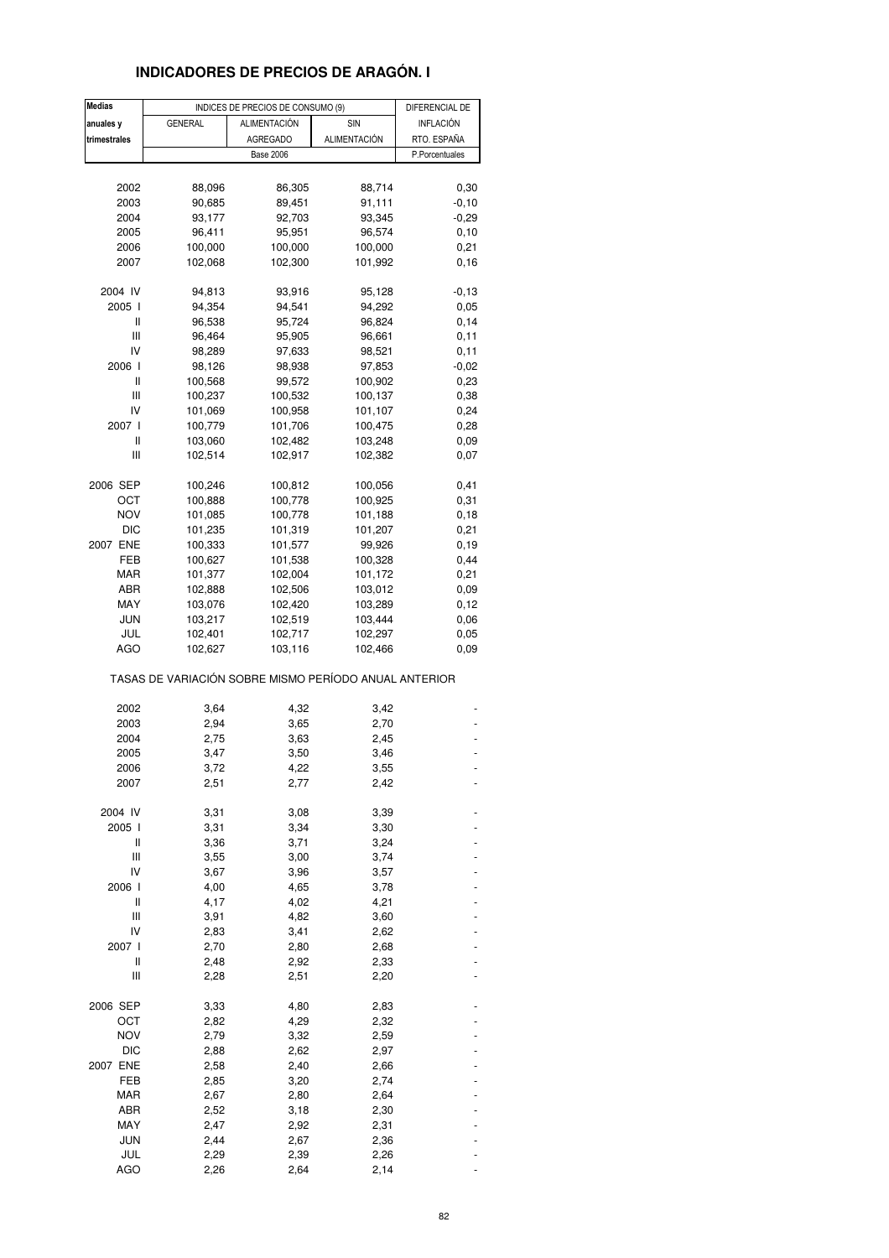### **INDICADORES DE PRECIOS DE ARAGÓN. I**

| <b>Medias</b> |                                                       | INDICES DE PRECIOS DE CONSUMO (9) |                    | DIFERENCIAL DE |  |
|---------------|-------------------------------------------------------|-----------------------------------|--------------------|----------------|--|
| anuales y     | <b>GENERAL</b>                                        | <b>ALIMENTACIÓN</b>               | SIN                | INFLACIÓN      |  |
| trimestrales  |                                                       | <b>AGREGADO</b>                   | ALIMENTACIÓN       | RTO. ESPAÑA    |  |
|               |                                                       | <b>Base 2006</b>                  |                    | P.Porcentuales |  |
|               |                                                       |                                   |                    |                |  |
| 2002          | 88,096                                                | 86,305                            | 88,714             | 0,30           |  |
| 2003          | 90,685                                                | 89,451                            | 91,111             | $-0,10$        |  |
| 2004          | 93,177                                                | 92,703                            | 93,345             | $-0,29$        |  |
| 2005          | 96,411                                                | 95,951                            | 96,574             | 0, 10          |  |
| 2006          | 100,000                                               | 100,000                           | 100,000            | 0,21           |  |
| 2007          | 102,068                                               | 102,300                           | 101,992            | 0,16           |  |
| 2004 IV       | 94,813                                                | 93,916                            | 95,128             | $-0,13$        |  |
| 2005 l        | 94,354                                                | 94,541                            | 94,292             | 0,05           |  |
| Ш             | 96,538                                                | 95,724                            | 96,824             | 0,14           |  |
| Ш             | 96,464                                                | 95,905                            | 96,661             | 0,11           |  |
| IV            | 98,289                                                | 97,633                            | 98,521             | 0,11           |  |
| 2006 l        | 98,126                                                | 98,938                            | 97,853             | $-0,02$        |  |
| Ш             | 100,568                                               | 99,572                            | 100,902            | 0,23           |  |
| Ш             | 100,237                                               | 100,532                           | 100,137            | 0,38           |  |
| IV            | 101,069                                               | 100,958                           | 101,107            | 0,24           |  |
| 2007 l        | 100,779                                               | 101,706                           | 100,475            | 0,28           |  |
| Ш             | 103,060                                               | 102,482                           | 103,248            | 0,09           |  |
| Ш             | 102,514                                               | 102,917                           | 102,382            | 0,07           |  |
|               |                                                       |                                   |                    |                |  |
| 2006 SEP      | 100,246                                               | 100,812                           | 100,056            | 0,41           |  |
| ОСТ           | 100,888                                               | 100,778                           | 100,925            | 0,31           |  |
| <b>NOV</b>    | 101,085                                               | 100,778                           | 101,188            | 0,18           |  |
| DIC           | 101,235                                               | 101,319                           | 101,207            | 0,21           |  |
| 2007 ENE      | 100,333                                               | 101,577                           | 99,926             | 0, 19          |  |
| FEB           | 100,627                                               | 101,538                           | 100,328            | 0,44           |  |
| MAR<br>ABR    | 101,377                                               | 102,004                           | 101,172            | 0,21           |  |
| MAY           | 102,888<br>103,076                                    | 102,506<br>102,420                | 103,012<br>103,289 | 0,09<br>0,12   |  |
| JUN           | 103,217                                               | 102,519                           | 103,444            | 0,06           |  |
| JUL           | 102,401                                               | 102,717                           | 102,297            | 0,05           |  |
| <b>AGO</b>    | 102,627                                               | 103,116                           | 102,466            | 0,09           |  |
|               | TASAS DE VARIACIÓN SOBRE MISMO PERÍODO ANUAL ANTERIOR |                                   |                    |                |  |
| 2002          | 3,64                                                  | 4,32                              | 3,42               |                |  |
| 2003          | 2,94                                                  | 3,65                              | 2,70               |                |  |
| 2004          | 2,75                                                  | 3,63                              | 2,45               |                |  |
| 2005          | 3,47                                                  | 3,50                              | 3,46               |                |  |
| 2006          | 3,72                                                  | 4,22                              | 3,55               |                |  |
| 2007          | 2,51                                                  | 2,77                              | 2,42               |                |  |
|               |                                                       |                                   |                    |                |  |
| 2004 IV       | 3,31                                                  | 3,08                              | 3,39               |                |  |
| 2005 l        | 3,31                                                  | 3,34                              | 3,30               |                |  |
| Ш             | 3,36                                                  | 3,71                              | 3,24               |                |  |
| Ш             | 3,55                                                  | 3,00                              | 3,74               |                |  |
| IV            | 3,67                                                  | 3,96                              | 3,57               |                |  |
| 2006 l        | 4,00                                                  | 4,65                              | 3,78               |                |  |
| Ш<br>Ш        | 4,17<br>3,91                                          | 4,02<br>4,82                      | 4,21               |                |  |
| IV            |                                                       | 3,41                              | 3,60               |                |  |
| 2007 l        | 2,83<br>2,70                                          | 2,80                              | 2,62<br>2,68       |                |  |
| Ш             | 2,48                                                  | 2,92                              | 2,33               |                |  |
| Ш             | 2,28                                                  | 2,51                              | 2,20               |                |  |
|               |                                                       |                                   |                    |                |  |
| 2006 SEP      | 3,33                                                  | 4,80                              | 2,83               |                |  |
| OCT           | 2,82                                                  | 4,29                              | 2,32               |                |  |
| <b>NOV</b>    | 2,79                                                  | 3,32                              | 2,59               |                |  |
| <b>DIC</b>    | 2,88                                                  | 2,62                              | 2,97               |                |  |
| 2007 ENE      | 2,58                                                  | 2,40                              | 2,66               |                |  |
| FEB           | 2,85                                                  | 3,20                              | 2,74               |                |  |
| MAR           | 2,67                                                  | 2,80                              | 2,64               |                |  |
| ABR           | 2,52                                                  | 3,18                              | 2,30               |                |  |
| MAY           | 2,47                                                  | 2,92                              | 2,31               |                |  |
| <b>JUN</b>    | 2,44                                                  | 2,67                              | 2,36               |                |  |
| JUL           | 2,29                                                  | 2,39                              | 2,26               |                |  |
| <b>AGO</b>    | 2,26                                                  | 2,64                              | 2,14               |                |  |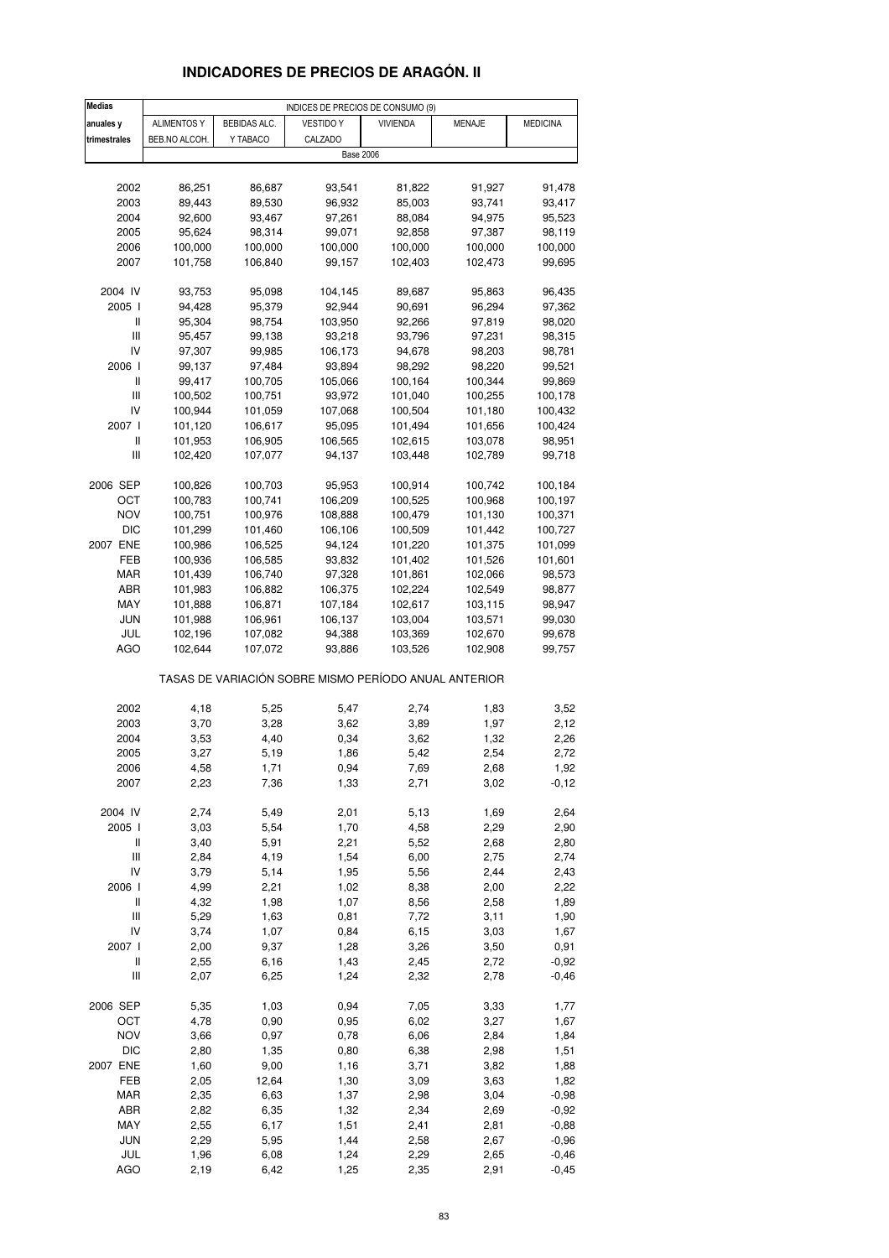## **INDICADORES DE PRECIOS DE ARAGÓN. II**

| <b>Medias</b>                      |                    |              | INDICES DE PRECIOS DE CONSUMO (9)                     |                 |               |                 |
|------------------------------------|--------------------|--------------|-------------------------------------------------------|-----------------|---------------|-----------------|
| anuales y                          | <b>ALIMENTOS Y</b> | BEBIDAS ALC. | <b>VESTIDO Y</b>                                      | <b>VIVIENDA</b> | <b>MENAJE</b> | <b>MEDICINA</b> |
| trimestrales                       | BEB.NO ALCOH.      | Y TABACO     | CALZADO                                               |                 |               |                 |
|                                    |                    |              | <b>Base 2006</b>                                      |                 |               |                 |
|                                    |                    |              |                                                       |                 |               |                 |
| 2002                               | 86,251             | 86,687       | 93,541                                                | 81,822          | 91,927        | 91,478          |
| 2003                               | 89,443             | 89,530       | 96,932                                                | 85,003          | 93,741        | 93,417          |
| 2004                               | 92,600             | 93,467       | 97,261                                                | 88,084          | 94,975        | 95,523          |
| 2005                               | 95,624             | 98,314       | 99,071                                                | 92,858          | 97,387        | 98,119          |
| 2006                               | 100,000            | 100,000      | 100,000                                               | 100,000         | 100,000       | 100,000         |
| 2007                               | 101,758            | 106,840      | 99,157                                                | 102,403         | 102,473       | 99,695          |
|                                    |                    |              |                                                       |                 |               |                 |
| 2004 IV                            | 93,753             | 95,098       | 104,145                                               | 89,687          | 95,863        | 96,435          |
| 2005 l                             | 94,428             | 95,379       | 92,944                                                | 90,691          | 96,294        | 97,362          |
| Ш                                  | 95,304             | 98,754       | 103,950                                               | 92,266          | 97,819        | 98,020          |
| Ш                                  | 95,457             | 99,138       | 93,218                                                | 93,796          | 97,231        | 98,315          |
| IV                                 | 97,307             | 99,985       | 106,173                                               | 94,678          | 98,203        | 98,781          |
| 2006                               | 99,137             | 97,484       | 93,894                                                | 98,292          | 98,220        | 99,521          |
| II                                 | 99,417             | 100,705      | 105,066                                               | 100,164         | 100,344       | 99,869          |
| Ш                                  | 100,502            | 100,751      | 93,972                                                | 101,040         | 100,255       | 100,178         |
| IV                                 | 100,944            | 101,059      | 107,068                                               | 100,504         | 101,180       | 100,432         |
| 2007 l                             | 101,120            | 106,617      | 95,095                                                | 101,494         | 101,656       | 100,424         |
| Ш                                  | 101,953            | 106,905      | 106,565                                               | 102,615         | 103,078       | 98,951          |
| $\ensuremath{\mathsf{III}}\xspace$ | 102,420            | 107,077      | 94,137                                                | 103,448         | 102,789       | 99,718          |
|                                    |                    |              |                                                       |                 |               |                 |
| 2006 SEP                           | 100,826            | 100,703      | 95,953                                                | 100,914         | 100,742       | 100,184         |
| ост                                | 100,783            | 100,741      | 106,209                                               | 100,525         | 100,968       | 100,197         |
| <b>NOV</b>                         | 100,751            | 100,976      | 108,888                                               | 100,479         | 101,130       | 100,371         |
| DIC                                | 101,299            | 101,460      | 106,106                                               | 100,509         | 101,442       | 100,727         |
| 2007 ENE                           | 100,986            | 106,525      | 94,124                                                | 101,220         | 101,375       | 101,099         |
| FEB                                | 100,936            | 106,585      | 93,832                                                | 101,402         | 101,526       | 101,601         |
| MAR                                | 101,439            | 106,740      | 97,328                                                | 101,861         | 102,066       | 98,573          |
| ABR                                | 101,983            | 106,882      | 106,375                                               | 102,224         | 102,549       | 98,877          |
| MAY                                | 101,888            | 106,871      | 107,184                                               | 102,617         | 103,115       | 98,947          |
| JUN                                | 101,988            | 106,961      | 106,137                                               | 103,004         | 103,571       | 99,030          |
| JUL                                | 102,196            | 107,082      | 94,388                                                | 103,369         | 102,670       | 99,678          |
| AGO                                | 102,644            | 107,072      | 93,886                                                | 103,526         | 102,908       | 99,757          |
|                                    |                    |              | TASAS DE VARIACIÓN SOBRE MISMO PERÍODO ANUAL ANTERIOR |                 |               |                 |
| 2002                               | 4,18               | 5,25         | 5,47                                                  | 2,74            | 1,83          | 3,52            |
| 2003                               | 3,70               | 3,28         | 3,62                                                  | 3,89            | 1,97          | 2,12            |
| 2004                               | 3,53               | 4,40         | 0,34                                                  | 3,62            | 1,32          | 2,26            |
| 2005                               | 3,27               | 5,19         | 1,86                                                  | 5,42            | 2,54          | 2,72            |
| 2006                               | 4,58               | 1,71         | 0,94                                                  | 7,69            | 2,68          | 1,92            |
| 2007                               | 2,23               | 7,36         | 1,33                                                  | 2,71            | 3,02          | $-0,12$         |
|                                    |                    |              |                                                       |                 |               |                 |
| 2004 IV                            | 2,74               | 5,49         | 2,01                                                  | 5,13            | 1,69          | 2,64            |
| 2005 l                             | 3,03               | 5,54         | 1,70                                                  | 4,58            | 2,29          | 2,90            |
| Ш                                  | 3,40               | 5,91         | 2,21                                                  | 5,52            | 2,68          | 2,80            |
| Ш                                  | 2,84               | 4,19         | 1,54                                                  | 6,00            | 2,75          | 2,74            |
| IV                                 | 3,79               | 5,14         | 1,95                                                  | 5,56            | 2,44          | 2,43            |
| 2006 l                             | 4,99               | 2,21         | 1,02                                                  | 8,38            | 2,00          | 2,22            |
| $\,$ $\,$ $\,$ $\,$                | 4,32               | 1,98         | 1,07                                                  | 8,56            | 2,58          | 1,89            |
| Ш                                  | 5,29               | 1,63         | 0,81                                                  | 7,72            | 3,11          | 1,90            |
| IV                                 | 3,74               | 1,07         | 0,84                                                  | 6, 15           | 3,03          | 1,67            |
| 2007 l                             | 2,00               | 9,37         | 1,28                                                  | 3,26            | 3,50          | 0,91            |
| $\sf II$                           | 2,55               | 6,16         | 1,43                                                  | 2,45            | 2,72          | $-0,92$         |
| Ш                                  | 2,07               | 6,25         | 1,24                                                  | 2,32            | 2,78          | $-0,46$         |
| 2006 SEP                           | 5,35               | 1,03         | 0,94                                                  | 7,05            | 3,33          | 1,77            |
| OCT                                | 4,78               | 0,90         | 0,95                                                  | 6,02            | 3,27          | 1,67            |
| <b>NOV</b>                         | 3,66               | 0,97         | 0,78                                                  | 6,06            | 2,84          | 1,84            |
| <b>DIC</b>                         | 2,80               | 1,35         | 0,80                                                  | 6,38            | 2,98          | 1,51            |
| 2007 ENE                           | 1,60               | 9,00         | 1,16                                                  | 3,71            | 3,82          | 1,88            |
| FEB                                | 2,05               | 12,64        | 1,30                                                  | 3,09            | 3,63          | 1,82            |
| <b>MAR</b>                         | 2,35               | 6,63         | 1,37                                                  | 2,98            | 3,04          | $-0,98$         |
| ABR                                | 2,82               | 6,35         | 1,32                                                  | 2,34            | 2,69          | $-0,92$         |
| MAY                                | 2,55               | 6,17         | 1,51                                                  | 2,41            | 2,81          | $-0,88$         |
| JUN                                | 2,29               | 5,95         | 1,44                                                  | 2,58            | 2,67          | $-0,96$         |
| JUL                                | 1,96               | 6,08         | 1,24                                                  | 2,29            | 2,65          | $-0,46$         |
| AGO                                | 2,19               | 6,42         | 1,25                                                  | 2,35            | 2,91          | $-0,45$         |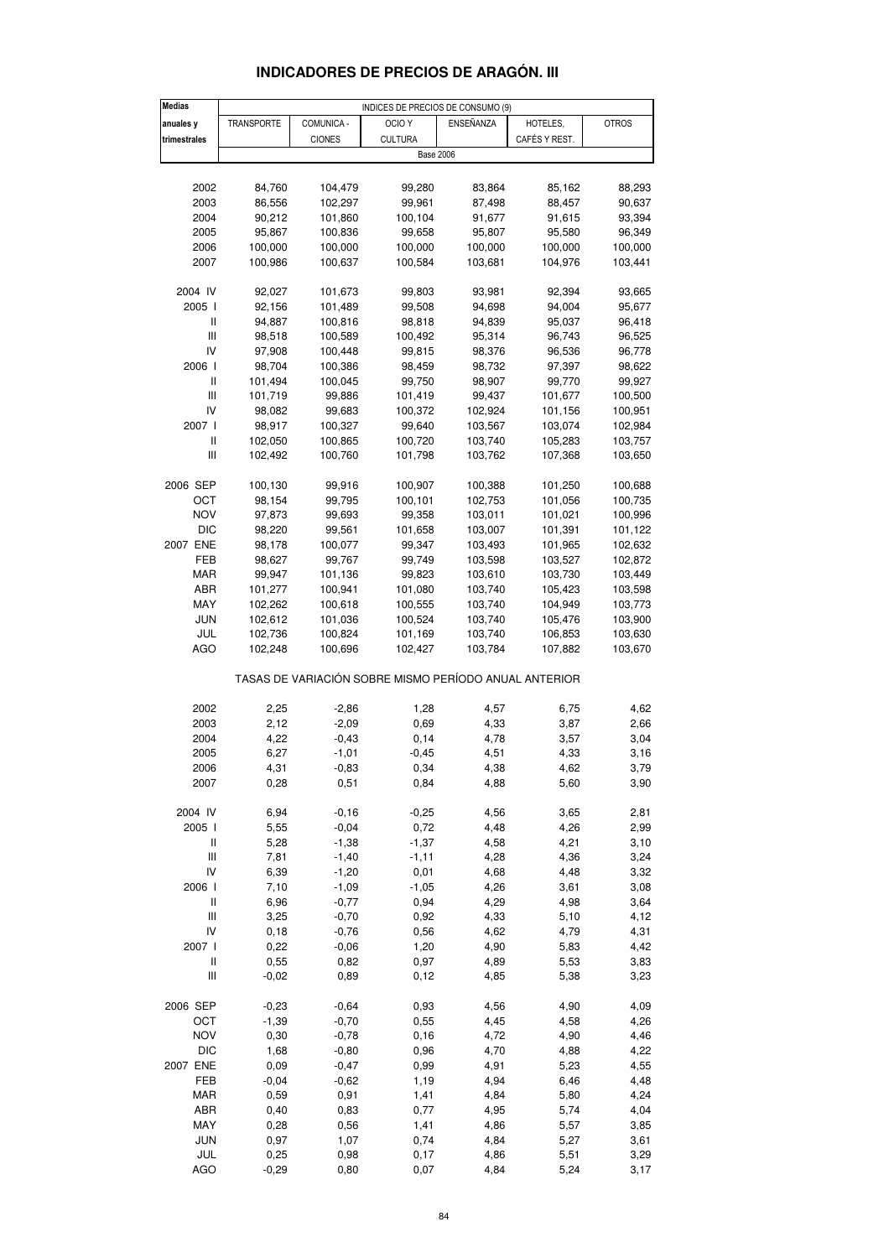| <b>Medias</b>                         | INDICES DE PRECIOS DE CONSUMO (9) |               |                                                       |           |               |              |  |  |
|---------------------------------------|-----------------------------------|---------------|-------------------------------------------------------|-----------|---------------|--------------|--|--|
| anuales y                             | TRANSPORTE                        | COMUNICA -    | OCIO <sub>Y</sub>                                     | ENSEÑANZA | HOTELES,      | <b>OTROS</b> |  |  |
| trimestrales                          |                                   | <b>CIONES</b> | <b>CULTURA</b>                                        |           | CAFÉS Y REST. |              |  |  |
|                                       |                                   |               |                                                       |           |               |              |  |  |
|                                       |                                   |               | <b>Base 2006</b>                                      |           |               |              |  |  |
|                                       |                                   |               |                                                       |           |               |              |  |  |
| 2002                                  | 84,760                            | 104,479       | 99,280                                                | 83,864    | 85,162        | 88,293       |  |  |
| 2003                                  | 86,556                            | 102,297       | 99,961                                                | 87,498    | 88,457        | 90,637       |  |  |
| 2004                                  | 90,212                            | 101,860       | 100,104                                               | 91,677    | 91,615        | 93,394       |  |  |
| 2005                                  | 95,867                            | 100,836       | 99,658                                                | 95,807    | 95,580        | 96,349       |  |  |
| 2006                                  | 100,000                           | 100,000       | 100,000                                               | 100,000   | 100,000       | 100,000      |  |  |
| 2007                                  | 100,986                           | 100,637       | 100,584                                               | 103,681   | 104,976       | 103,441      |  |  |
|                                       |                                   |               |                                                       |           |               |              |  |  |
| 2004 IV                               | 92,027                            | 101,673       | 99,803                                                | 93,981    | 92,394        | 93,665       |  |  |
|                                       |                                   |               |                                                       |           | 94,004        |              |  |  |
| 2005 l                                | 92,156                            | 101,489       | 99,508                                                | 94,698    |               | 95,677       |  |  |
| Ш                                     | 94,887                            | 100,816       | 98,818                                                | 94,839    | 95,037        | 96,418       |  |  |
| $\mathop{\rm III}\nolimits$           | 98,518                            | 100,589       | 100,492                                               | 95,314    | 96,743        | 96,525       |  |  |
| IV                                    | 97,908                            | 100,448       | 99,815                                                | 98,376    | 96,536        | 96,778       |  |  |
| 2006                                  | 98,704                            | 100,386       | 98,459                                                | 98,732    | 97,397        | 98,622       |  |  |
| $\ensuremath{\mathsf{II}}$            | 101,494                           | 100,045       | 99,750                                                | 98,907    | 99,770        | 99,927       |  |  |
| Ш                                     | 101,719                           | 99,886        | 101,419                                               | 99,437    | 101,677       | 100,500      |  |  |
| IV                                    | 98,082                            | 99,683        | 100,372                                               | 102,924   | 101,156       | 100,951      |  |  |
| 2007 l                                | 98,917                            | 100,327       | 99,640                                                | 103,567   | 103,074       | 102,984      |  |  |
| Ш                                     | 102,050                           | 100,865       | 100,720                                               | 103,740   | 105,283       | 103,757      |  |  |
| $\begin{array}{c} \hline \end{array}$ | 102,492                           | 100,760       | 101,798                                               | 103,762   | 107,368       | 103,650      |  |  |
|                                       |                                   |               |                                                       |           |               |              |  |  |
|                                       |                                   |               |                                                       |           |               |              |  |  |
| 2006 SEP                              | 100,130                           | 99,916        | 100,907                                               | 100,388   | 101,250       | 100,688      |  |  |
| OCT                                   | 98,154                            | 99,795        | 100,101                                               | 102,753   | 101,056       | 100,735      |  |  |
| <b>NOV</b>                            | 97,873                            | 99,693        | 99,358                                                | 103,011   | 101,021       | 100,996      |  |  |
| <b>DIC</b>                            | 98,220                            | 99,561        | 101,658                                               | 103,007   | 101,391       | 101,122      |  |  |
| 2007 ENE                              | 98,178                            | 100,077       | 99,347                                                | 103,493   | 101,965       | 102,632      |  |  |
| FEB                                   | 98,627                            | 99,767        | 99,749                                                | 103,598   | 103,527       | 102,872      |  |  |
| MAR                                   | 99,947                            | 101,136       | 99,823                                                | 103,610   | 103,730       | 103,449      |  |  |
| ABR                                   | 101,277                           | 100,941       | 101,080                                               | 103,740   | 105,423       | 103,598      |  |  |
| MAY                                   | 102,262                           | 100,618       | 100,555                                               | 103,740   | 104,949       | 103,773      |  |  |
|                                       |                                   |               |                                                       |           |               |              |  |  |
| JUN                                   | 102,612                           | 101,036       | 100,524                                               | 103,740   | 105,476       | 103,900      |  |  |
| JUL                                   | 102,736                           | 100,824       | 101,169                                               | 103,740   | 106,853       | 103,630      |  |  |
| <b>AGO</b>                            | 102,248                           | 100,696       | 102,427                                               | 103,784   | 107,882       | 103,670      |  |  |
|                                       |                                   |               | TASAS DE VARIACIÓN SOBRE MISMO PERÍODO ANUAL ANTERIOR |           |               |              |  |  |
|                                       |                                   |               |                                                       |           |               |              |  |  |
| 2002                                  | 2,25                              | $-2,86$       | 1,28                                                  | 4,57      | 6,75          | 4,62         |  |  |
| 2003                                  | 2,12                              | $-2,09$       | 0,69                                                  | 4,33      | 3,87          | 2,66         |  |  |
| 2004                                  | 4,22                              | $-0,43$       | 0,14                                                  | 4,78      | 3,57          | 3,04         |  |  |
| 2005                                  | 6,27                              | $-1,01$       | $-0,45$                                               | 4,51      | 4,33          | 3,16         |  |  |
| 2006                                  | 4,31                              | $-0,83$       | 0,34                                                  | 4,38      | 4,62          | 3,79         |  |  |
| 2007                                  | 0,28                              | 0,51          | 0,84                                                  | 4,88      | 5,60          | 3,90         |  |  |
|                                       |                                   |               |                                                       |           |               |              |  |  |
| 2004 IV                               | 6,94                              | $-0, 16$      | $-0,25$                                               | 4,56      | 3,65          | 2,81         |  |  |
| 2005 l                                | 5,55                              | $-0,04$       | 0,72                                                  | 4,48      | 4,26          | 2,99         |  |  |
|                                       |                                   |               |                                                       |           |               |              |  |  |
| Ш                                     | 5,28                              | $-1,38$       | $-1,37$                                               | 4,58      | 4,21          | 3,10         |  |  |
| Ш                                     | 7,81                              | $-1,40$       | $-1,11$                                               | 4,28      | 4,36          | 3,24         |  |  |
| IV                                    | 6,39                              | $-1,20$       | 0,01                                                  | 4,68      | 4,48          | 3,32         |  |  |
| 2006 l                                | 7,10                              | $-1,09$       | $-1,05$                                               | 4,26      | 3,61          | 3,08         |  |  |
| $\ensuremath{\mathsf{II}}$            | 6,96                              | $-0,77$       | 0,94                                                  | 4,29      | 4,98          | 3,64         |  |  |
| Ш                                     | 3,25                              | $-0,70$       | 0,92                                                  | 4,33      | 5,10          | 4,12         |  |  |
| IV                                    | 0, 18                             | $-0,76$       | 0,56                                                  | 4,62      | 4,79          | 4,31         |  |  |
| 2007 l                                | 0,22                              | $-0,06$       | 1,20                                                  | 4,90      | 5,83          | 4,42         |  |  |
| $\ensuremath{\mathsf{II}}$            | 0,55                              | 0,82          | 0,97                                                  | 4,89      | 5,53          | 3,83         |  |  |
| Ш                                     | $-0,02$                           | 0,89          | 0, 12                                                 | 4,85      | 5,38          | 3,23         |  |  |
|                                       |                                   |               |                                                       |           |               |              |  |  |
| 2006 SEP                              | $-0,23$                           | $-0,64$       | 0,93                                                  | 4,56      | 4,90          | 4,09         |  |  |
| OCT                                   | $-1,39$                           | $-0,70$       | 0,55                                                  | 4,45      | 4,58          | 4,26         |  |  |
| <b>NOV</b>                            | 0,30                              | $-0,78$       | 0, 16                                                 | 4,72      | 4,90          | 4,46         |  |  |
|                                       |                                   |               |                                                       |           |               |              |  |  |
| DIC                                   | 1,68                              | $-0,80$       | 0,96                                                  | 4,70      | 4,88          | 4,22         |  |  |
| 2007 ENE                              | 0,09                              | $-0,47$       | 0,99                                                  | 4,91      | 5,23          | 4,55         |  |  |
| FEB                                   | $-0,04$                           | $-0,62$       | 1,19                                                  | 4,94      | 6,46          | 4,48         |  |  |
| MAR                                   | 0,59                              | 0,91          | 1,41                                                  | 4,84      | 5,80          | 4,24         |  |  |
| ABR                                   | 0,40                              | 0,83          | 0,77                                                  | 4,95      | 5,74          | 4,04         |  |  |
| MAY                                   | 0,28                              | 0,56          | 1,41                                                  | 4,86      | 5,57          | 3,85         |  |  |
| <b>JUN</b>                            | 0,97                              | 1,07          | 0,74                                                  | 4,84      | 5,27          | 3,61         |  |  |
| JUL                                   | 0,25                              | 0,98          | 0,17                                                  | 4,86      | 5,51          | 3,29         |  |  |

### **INDICADORES DE PRECIOS DE ARAGÓN. III**

AGO -0,29 0,80 0,07 4,84 5,24 3,17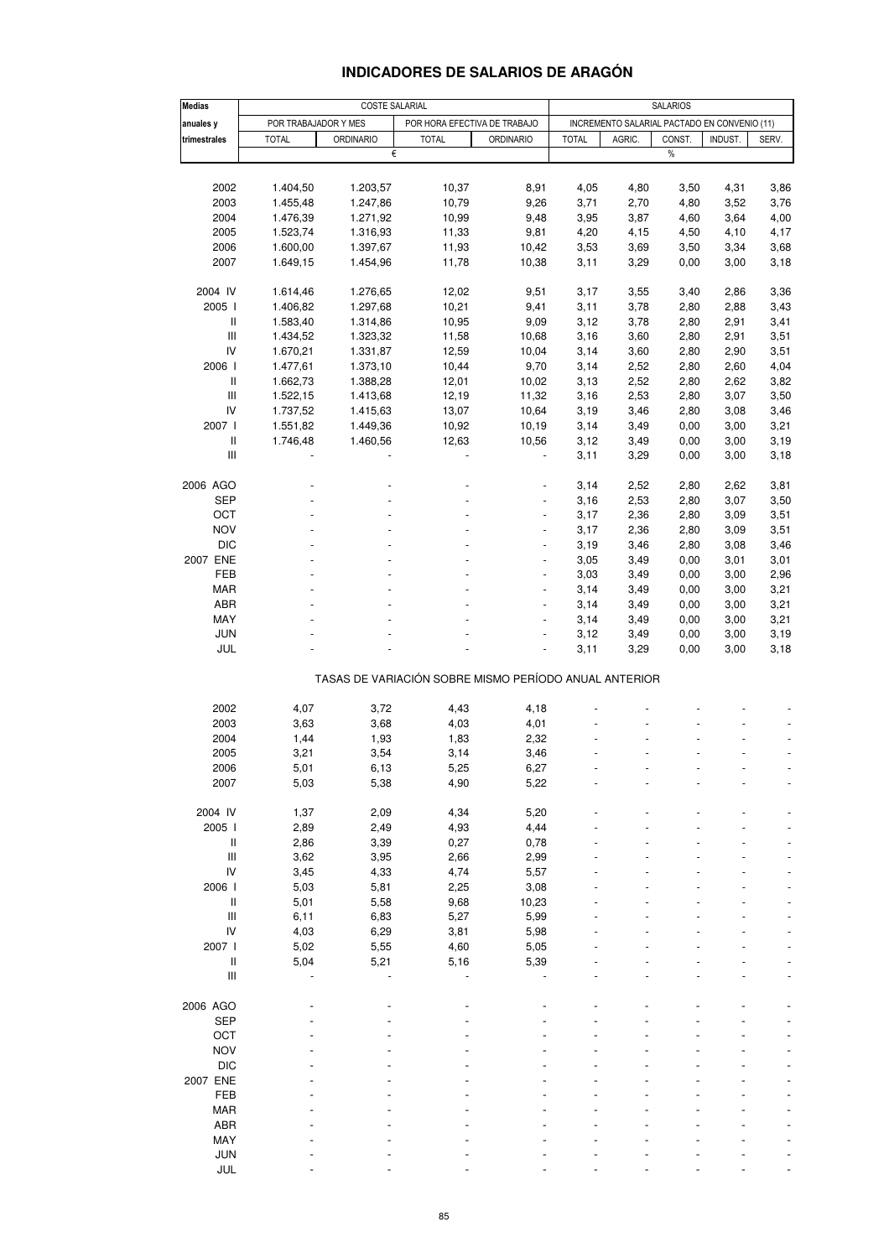### **INDICADORES DE SALARIOS DE ARAGÓN**

| Medias                             |                      | <b>COSTE SALARIAL</b> |                              |                                                       |              |                                              | <b>SALARIOS</b> |                |       |
|------------------------------------|----------------------|-----------------------|------------------------------|-------------------------------------------------------|--------------|----------------------------------------------|-----------------|----------------|-------|
| anuales y                          | POR TRABAJADOR Y MES |                       | POR HORA EFECTIVA DE TRABAJO |                                                       |              | INCREMENTO SALARIAL PACTADO EN CONVENIO (11) |                 |                |       |
| trimestrales                       | <b>TOTAL</b>         | <b>ORDINARIO</b>      | <b>TOTAL</b>                 | <b>ORDINARIO</b>                                      | <b>TOTAL</b> | AGRIC.                                       | CONST.          | <b>INDUST.</b> | SERV. |
|                                    |                      | €                     |                              |                                                       |              |                                              | %               |                |       |
|                                    |                      |                       |                              |                                                       |              |                                              |                 |                |       |
| 2002                               | 1.404,50             | 1.203,57              | 10,37                        | 8,91                                                  | 4,05         | 4,80                                         | 3,50            | 4,31           | 3,86  |
| 2003                               | 1.455,48             | 1.247,86              | 10,79                        | 9,26                                                  | 3,71         | 2,70                                         | 4,80            | 3,52           | 3,76  |
| 2004                               | 1.476,39             | 1.271,92              | 10,99                        | 9,48                                                  | 3,95         | 3,87                                         | 4,60            | 3,64           | 4,00  |
| 2005                               | 1.523,74             | 1.316,93              | 11,33                        | 9,81                                                  | 4,20         | 4,15                                         | 4,50            | 4,10           | 4,17  |
| 2006                               | 1.600,00             | 1.397,67              | 11,93                        | 10,42                                                 | 3,53         | 3,69                                         | 3,50            | 3,34           | 3,68  |
| 2007                               | 1.649,15             | 1.454,96              | 11,78                        | 10,38                                                 | 3,11         | 3,29                                         | 0,00            | 3,00           | 3,18  |
| 2004 IV                            | 1.614,46             | 1.276,65              | 12,02                        | 9,51                                                  | 3,17         | 3,55                                         | 3,40            | 2,86           | 3,36  |
| 2005 l                             | 1.406,82             | 1.297,68              | 10,21                        | 9,41                                                  | 3,11         | 3,78                                         | 2,80            | 2,88           | 3,43  |
| Ш                                  | 1.583,40             | 1.314,86              | 10,95                        | 9,09                                                  | 3,12         | 3,78                                         | 2,80            | 2,91           | 3,41  |
| Ш                                  | 1.434,52             | 1.323,32              | 11,58                        | 10,68                                                 | 3,16         | 3,60                                         | 2,80            | 2,91           | 3,51  |
|                                    |                      |                       |                              |                                                       |              |                                              |                 |                |       |
| IV                                 | 1.670,21             | 1.331,87              | 12,59                        | 10,04                                                 | 3,14         | 3,60                                         | 2,80            | 2,90           | 3,51  |
| 2006                               | 1.477,61             | 1.373,10              | 10,44                        | 9,70                                                  | 3,14         | 2,52                                         | 2,80            | 2,60           | 4,04  |
| Ш                                  | 1.662,73             | 1.388,28              | 12,01                        | 10,02                                                 | 3,13         | 2,52                                         | 2,80            | 2,62           | 3,82  |
| $\ensuremath{\mathsf{III}}\xspace$ | 1.522,15             | 1.413,68              | 12,19                        | 11,32                                                 | 3,16         | 2,53                                         | 2,80            | 3,07           | 3,50  |
| IV                                 | 1.737,52             | 1.415,63              | 13,07                        | 10,64                                                 | 3,19         | 3,46                                         | 2,80            | 3,08           | 3,46  |
| 2007 l                             | 1.551,82             | 1.449,36              | 10,92                        | 10,19                                                 | 3,14         | 3,49                                         | 0,00            | 3,00           | 3,21  |
| $\ensuremath{\mathsf{II}}$         | 1.746,48             | 1.460,56              | 12,63                        | 10,56                                                 | 3,12         | 3,49                                         | 0,00            | 3,00           | 3,19  |
| $\ensuremath{\mathsf{III}}\xspace$ |                      |                       |                              |                                                       | 3,11         | 3,29                                         | 0,00            | 3,00           | 3,18  |
| 2006 AGO                           |                      |                       |                              |                                                       | 3,14         | 2,52                                         | 2,80            | 2,62           | 3,81  |
|                                    |                      |                       |                              |                                                       |              |                                              |                 |                |       |
| SEP                                |                      |                       |                              |                                                       | 3,16         | 2,53                                         | 2,80            | 3,07           | 3,50  |
| OCT                                |                      |                       |                              | $\overline{a}$                                        | 3,17         | 2,36                                         | 2,80            | 3,09           | 3,51  |
| <b>NOV</b>                         |                      |                       |                              | ÷,                                                    | 3,17         | 2,36                                         | 2,80            | 3,09           | 3,51  |
| <b>DIC</b>                         |                      |                       |                              |                                                       | 3,19         | 3,46                                         | 2,80            | 3,08           | 3,46  |
| 2007 ENE                           |                      |                       |                              | ä,                                                    | 3,05         | 3,49                                         | 0,00            | 3,01           | 3,01  |
| FEB                                |                      |                       |                              | $\qquad \qquad \blacksquare$                          | 3,03         | 3,49                                         | 0,00            | 3,00           | 2,96  |
| MAR                                |                      |                       |                              |                                                       | 3,14         | 3,49                                         | 0,00            | 3,00           | 3,21  |
| ABR                                |                      |                       |                              | L,                                                    | 3,14         | 3,49                                         | 0,00            | 3,00           | 3,21  |
| MAY                                |                      |                       |                              | $\blacksquare$                                        | 3,14         | 3,49                                         | 0,00            | 3,00           | 3,21  |
| JUN                                |                      |                       |                              |                                                       | 3,12         | 3,49                                         | 0,00            | 3,00           | 3,19  |
| JUL                                |                      |                       |                              | L,                                                    | 3,11         | 3,29                                         | 0,00            | 3,00           | 3,18  |
|                                    |                      |                       |                              | TASAS DE VARIACIÓN SOBRE MISMO PERÍODO ANUAL ANTERIOR |              |                                              |                 |                |       |
|                                    |                      |                       |                              |                                                       |              |                                              |                 |                |       |
| 2002                               | 4,07                 | 3,72                  | 4,43                         | 4,18                                                  |              |                                              |                 |                |       |
| 2003                               | 3,63                 | 3,68                  | 4,03                         | 4,01                                                  |              |                                              |                 |                |       |
| 2004                               | 1,44                 | 1,93                  | 1,83                         | 2,32                                                  |              |                                              |                 |                |       |
| 2005                               | 3,21                 | 3,54                  | 3,14                         | 3,46                                                  |              |                                              |                 |                |       |
| 2006                               | 5,01                 | 6,13                  | 5,25                         | 6,27                                                  |              |                                              |                 |                |       |
| 2007                               | 5,03                 | 5,38                  | 4,90                         | 5,22                                                  |              |                                              |                 |                |       |
| 2004 IV                            | 1,37                 | 2,09                  | 4,34                         | 5,20                                                  |              |                                              |                 |                |       |
| 2005 l                             | 2,89                 | 2,49                  | 4,93                         | 4,44                                                  |              |                                              |                 |                |       |
| $\ensuremath{\mathsf{II}}$         | 2,86                 | 3,39                  | 0,27                         | 0,78                                                  |              |                                              |                 |                |       |
| $\ensuremath{\mathsf{III}}\xspace$ | 3,62                 | 3,95                  | 2,66                         | 2,99                                                  |              |                                              |                 |                |       |
| IV                                 | 3,45                 | 4,33                  | 4,74                         | 5,57                                                  |              |                                              |                 |                |       |
| 2006 l                             | 5,03                 | 5,81                  | 2,25                         | 3,08                                                  |              |                                              |                 |                |       |
| $\ensuremath{\mathsf{II}}$         |                      |                       |                              |                                                       |              |                                              |                 |                |       |
|                                    | 5,01                 | 5,58                  | 9,68                         | 10,23                                                 |              |                                              |                 |                |       |
| $\ensuremath{\mathsf{III}}\xspace$ | 6,11                 | 6,83                  | 5,27                         | 5,99                                                  |              |                                              |                 |                |       |
| IV                                 | 4,03                 | 6,29                  | 3,81                         | 5,98                                                  |              |                                              |                 |                |       |
| 2007                               | 5,02                 | 5,55                  | 4,60                         | 5,05                                                  |              |                                              |                 |                |       |
| $\sf II$                           | 5,04                 | 5,21                  | 5,16                         | 5,39                                                  |              |                                              |                 |                |       |
| $\ensuremath{\mathsf{III}}\xspace$ |                      |                       |                              |                                                       |              |                                              |                 |                |       |
| 2006 AGO                           |                      |                       |                              |                                                       |              |                                              |                 |                |       |
| <b>SEP</b>                         |                      |                       |                              |                                                       |              |                                              |                 |                |       |
| OCT                                |                      |                       |                              |                                                       |              |                                              |                 |                |       |
| <b>NOV</b>                         |                      |                       |                              |                                                       |              |                                              |                 |                |       |
| <b>DIC</b>                         |                      |                       |                              |                                                       |              |                                              |                 |                |       |
| 2007 ENE                           |                      |                       |                              |                                                       |              |                                              |                 |                |       |
|                                    |                      |                       |                              |                                                       |              |                                              |                 |                |       |
| FEB                                |                      |                       |                              |                                                       |              |                                              |                 |                |       |
| <b>MAR</b>                         |                      |                       |                              |                                                       |              |                                              |                 |                |       |
| ABR                                |                      |                       |                              |                                                       |              |                                              |                 |                |       |
| MAY                                |                      |                       |                              |                                                       |              |                                              |                 |                |       |
| JUN                                |                      |                       |                              |                                                       |              |                                              |                 |                |       |
| JUL                                |                      |                       |                              |                                                       |              |                                              |                 |                |       |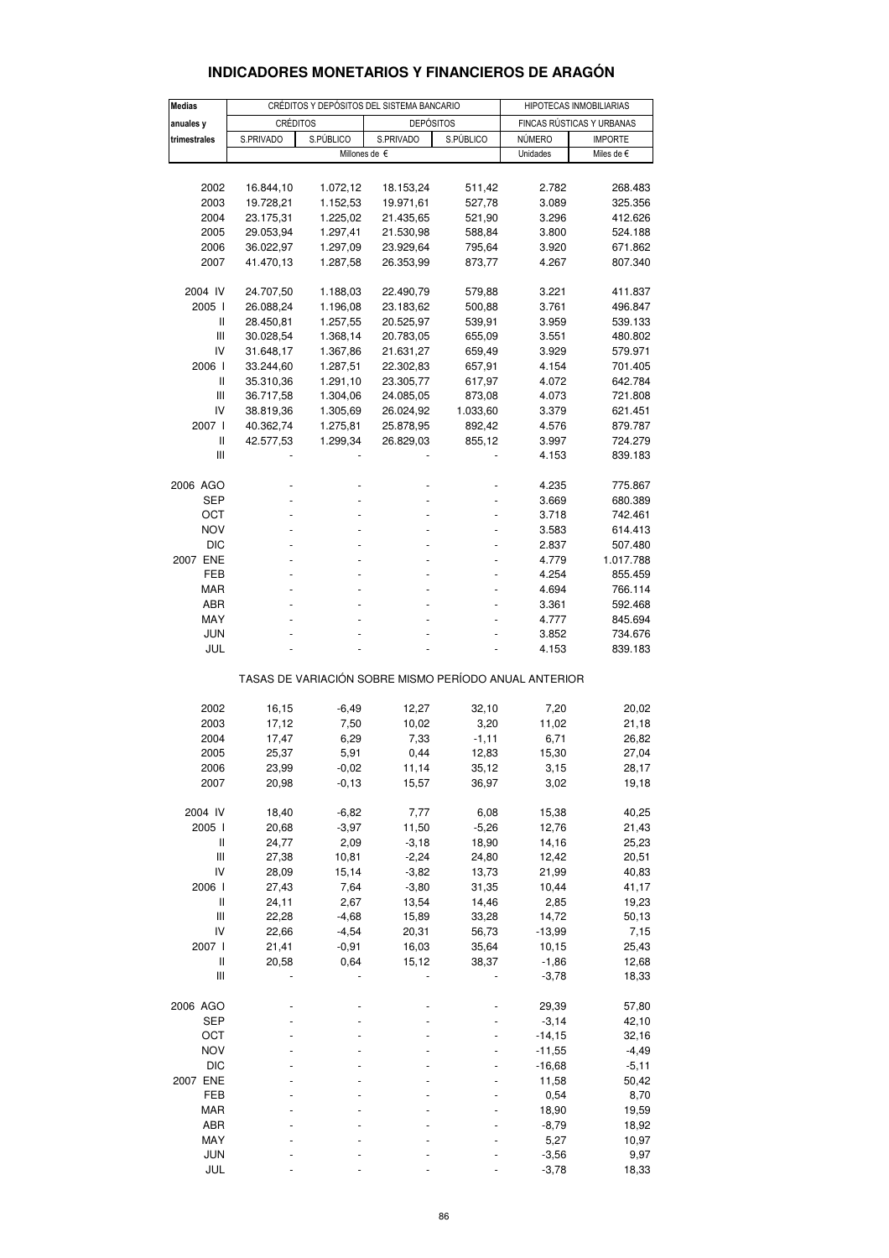| <b>Medias</b> |           |           | CRÉDITOS Y DEPÓSITOS DEL SISTEMA BANCARIO             |           |          | HIPOTECAS INMOBILIARIAS   |
|---------------|-----------|-----------|-------------------------------------------------------|-----------|----------|---------------------------|
| anuales y     | CRÉDITOS  |           | <b>DEPÓSITOS</b>                                      |           |          | FINCAS RÚSTICAS Y URBANAS |
| trimestrales  | S.PRIVADO | S.PÚBLICO | S.PRIVADO                                             | S.PÚBLICO | NÚMERO   | <b>IMPORTE</b>            |
|               |           |           | Millones de €                                         |           | Unidades | Miles de €                |
|               |           |           |                                                       |           |          |                           |
| 2002          | 16.844,10 | 1.072,12  | 18.153,24                                             | 511,42    | 2.782    | 268.483                   |
| 2003          | 19.728,21 | 1.152,53  | 19.971,61                                             | 527,78    | 3.089    | 325.356                   |
| 2004          | 23.175,31 | 1.225,02  | 21.435,65                                             | 521,90    | 3.296    | 412.626                   |
| 2005          | 29.053,94 | 1.297,41  | 21.530,98                                             | 588,84    | 3.800    | 524.188                   |
| 2006          | 36.022,97 | 1.297,09  | 23.929,64                                             | 795,64    | 3.920    | 671.862                   |
| 2007          | 41.470,13 | 1.287,58  | 26.353,99                                             | 873,77    | 4.267    | 807.340                   |
|               |           |           |                                                       |           |          |                           |
| 2004 IV       | 24.707,50 | 1.188,03  | 22.490,79                                             | 579,88    | 3.221    | 411.837                   |
| 2005 l        | 26.088,24 | 1.196,08  | 23.183,62                                             | 500,88    | 3.761    | 496.847                   |
| Ш             | 28.450,81 | 1.257,55  | 20.525,97                                             | 539,91    | 3.959    | 539.133                   |
| Ш             | 30.028,54 | 1.368,14  | 20.783,05                                             | 655,09    | 3.551    | 480.802                   |
| IV            | 31.648,17 | 1.367,86  | 21.631,27                                             | 659,49    | 3.929    | 579.971                   |
| 2006          |           |           |                                                       |           |          |                           |
|               | 33.244,60 | 1.287,51  | 22.302,83                                             | 657,91    | 4.154    | 701.405                   |
| Ш             | 35.310,36 | 1.291,10  | 23.305,77                                             | 617,97    | 4.072    | 642.784                   |
| Ш             | 36.717,58 | 1.304,06  | 24.085,05                                             | 873,08    | 4.073    | 721.808                   |
| IV            | 38.819,36 | 1.305,69  | 26.024,92                                             | 1.033,60  | 3.379    | 621.451                   |
| 2007 l        | 40.362,74 | 1.275,81  | 25.878,95                                             | 892,42    | 4.576    | 879.787                   |
| Ш             | 42.577,53 | 1.299,34  | 26.829,03                                             | 855,12    | 3.997    | 724.279                   |
| Ш             |           |           |                                                       |           | 4.153    | 839.183                   |
|               |           |           |                                                       |           |          |                           |
| 2006 AGO      |           |           |                                                       |           | 4.235    | 775.867                   |
| SEP           |           |           |                                                       |           | 3.669    | 680.389                   |
| OCT           |           |           |                                                       |           | 3.718    | 742.461                   |
| <b>NOV</b>    |           |           |                                                       |           | 3.583    | 614.413                   |
| <b>DIC</b>    | ٠         |           |                                                       | L.        | 2.837    | 507.480                   |
| 2007 ENE      |           |           |                                                       |           | 4.779    | 1.017.788                 |
| FEB           |           |           |                                                       |           | 4.254    | 855.459                   |
| MAR           |           |           |                                                       |           | 4.694    | 766.114                   |
| ABR           |           |           |                                                       |           | 3.361    | 592.468                   |
| MAY           |           |           |                                                       |           | 4.777    | 845.694                   |
| <b>JUN</b>    |           |           |                                                       |           | 3.852    | 734.676                   |
| JUL           |           |           |                                                       |           | 4.153    | 839.183                   |
|               |           |           |                                                       |           |          |                           |
|               |           |           | TASAS DE VARIACIÓN SOBRE MISMO PERÍODO ANUAL ANTERIOR |           |          |                           |
|               |           |           |                                                       |           |          |                           |
| 2002          | 16,15     | $-6,49$   | 12,27                                                 | 32,10     | 7,20     | 20,02                     |
| 2003          | 17,12     | 7,50      | 10,02                                                 | 3,20      | 11,02    | 21,18                     |
| 2004          | 17,47     | 6,29      | 7,33                                                  | $-1,11$   | 6,71     | 26,82                     |
| 2005          | 25,37     | 5,91      | 0,44                                                  | 12,83     | 15,30    | 27,04                     |
| 2006          | 23,99     | $-0,02$   | 11,14                                                 | 35,12     | 3,15     | 28,17                     |
| 2007          | 20,98     | $-0, 13$  | 15,57                                                 | 36,97     | 3,02     | 19,18                     |
|               |           |           |                                                       |           |          |                           |
| 2004 IV       | 18,40     | $-6,82$   | 7,77                                                  | 6,08      | 15,38    | 40,25                     |
| 2005 l        | 20,68     | $-3,97$   | 11,50                                                 | $-5,26$   | 12,76    | 21,43                     |
| Ш             | 24,77     | 2,09      | $-3,18$                                               | 18,90     | 14,16    | 25,23                     |
| Ш             | 27,38     | 10,81     | $-2,24$                                               | 24,80     | 12,42    | 20,51                     |
| IV            | 28,09     | 15,14     | $-3,82$                                               | 13,73     | 21,99    | 40,83                     |
| 2006 l        | 27,43     | 7,64      | $-3,80$                                               | 31,35     | 10,44    | 41,17                     |
| Ш             | 24,11     | 2,67      | 13,54                                                 | 14,46     | 2,85     | 19,23                     |
| Ш             | 22,28     | $-4,68$   | 15,89                                                 | 33,28     | 14,72    | 50,13                     |
| IV            | 22,66     | $-4,54$   | 20,31                                                 | 56,73     | -13,99   | 7,15                      |
| 2007 l        | 21,41     | $-0,91$   | 16,03                                                 | 35,64     | 10,15    | 25,43                     |
| Ш             | 20,58     | 0,64      | 15,12                                                 | 38,37     | $-1,86$  | 12,68                     |
| Ш             |           |           |                                                       |           | $-3,78$  | 18,33                     |
|               |           |           |                                                       |           |          |                           |
| 2006 AGO      |           |           |                                                       |           | 29,39    | 57,80                     |
| SEP           |           |           |                                                       |           | $-3,14$  | 42,10                     |
| OCT           |           |           |                                                       |           | -14,15   | 32,16                     |
| <b>NOV</b>    |           |           |                                                       |           | -11,55   | -4,49                     |
| <b>DIC</b>    |           |           |                                                       |           | $-16,68$ | $-5,11$                   |
| 2007 ENE      |           |           |                                                       |           | 11,58    | 50,42                     |

#### **INDICADORES MONETARIOS Y FINANCIEROS DE ARAGÓN**

 FEB - - - - 0,54 8,70 MAR - - - - 18,90 19,59 ABR - - - - -8,79 18,92 MAY - - - - - - - - - 5,27 10,97 JUN - - - - -3,56 9,97 JUL - - - - -3,78 18,33